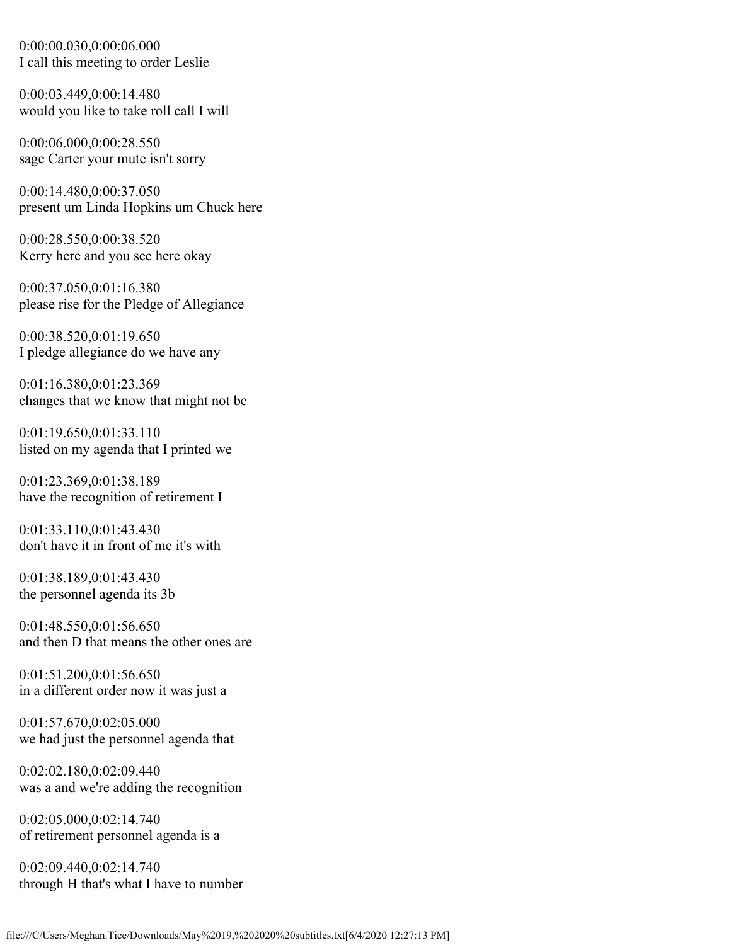0:00:00.030,0:00:06.000 I call this meeting to order Leslie

0:00:03.449,0:00:14.480 would you like to take roll call I will

0:00:06.000,0:00:28.550 sage Carter your mute isn't sorry

0:00:14.480,0:00:37.050 present um Linda Hopkins um Chuck here

0:00:28.550,0:00:38.520 Kerry here and you see here okay

0:00:37.050,0:01:16.380 please rise for the Pledge of Allegiance

0:00:38.520,0:01:19.650 I pledge allegiance do we have any

0:01:16.380,0:01:23.369 changes that we know that might not be

0:01:19.650,0:01:33.110 listed on my agenda that I printed we

0:01:23.369,0:01:38.189 have the recognition of retirement I

0:01:33.110,0:01:43.430 don't have it in front of me it's with

0:01:38.189,0:01:43.430 the personnel agenda its 3b

0:01:48.550,0:01:56.650 and then D that means the other ones are

0:01:51.200,0:01:56.650 in a different order now it was just a

0:01:57.670,0:02:05.000 we had just the personnel agenda that

0:02:02.180,0:02:09.440 was a and we're adding the recognition

0:02:05.000,0:02:14.740 of retirement personnel agenda is a

0:02:09.440,0:02:14.740 through H that's what I have to number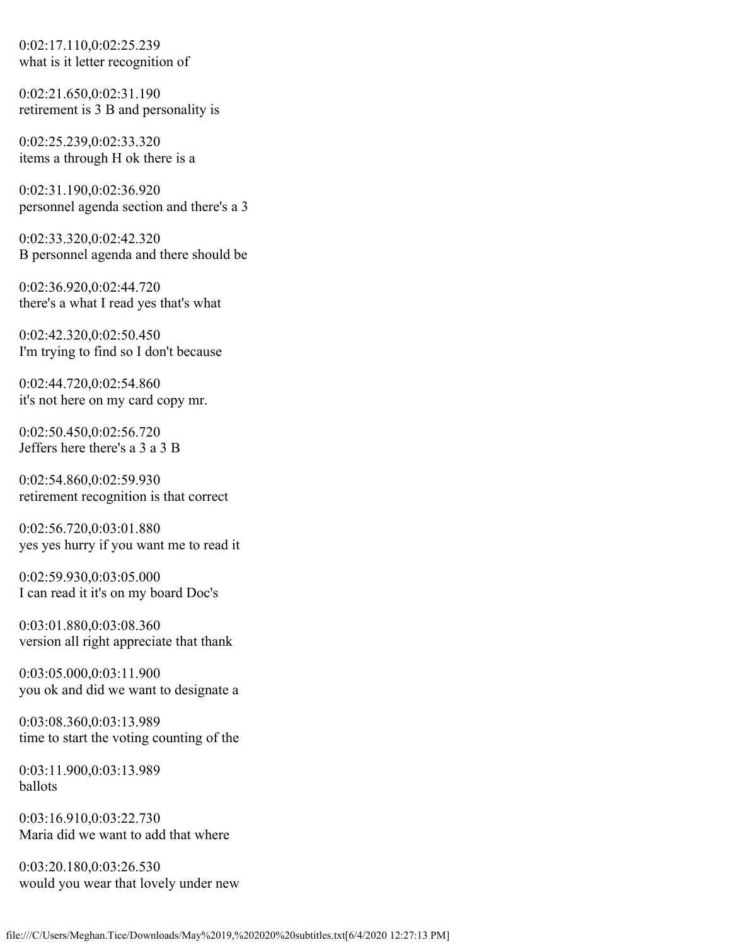0:02:17.110,0:02:25.239 what is it letter recognition of

0:02:21.650,0:02:31.190 retirement is 3 B and personality is

0:02:25.239,0:02:33.320 items a through H ok there is a

0:02:31.190,0:02:36.920 personnel agenda section and there's a 3

0:02:33.320,0:02:42.320 B personnel agenda and there should be

0:02:36.920,0:02:44.720 there's a what I read yes that's what

0:02:42.320,0:02:50.450 I'm trying to find so I don't because

0:02:44.720,0:02:54.860 it's not here on my card copy mr.

0:02:50.450,0:02:56.720 Jeffers here there's a 3 a 3 B

0:02:54.860,0:02:59.930 retirement recognition is that correct

0:02:56.720,0:03:01.880 yes yes hurry if you want me to read it

0:02:59.930,0:03:05.000 I can read it it's on my board Doc's

0:03:01.880,0:03:08.360 version all right appreciate that thank

0:03:05.000,0:03:11.900 you ok and did we want to designate a

0:03:08.360,0:03:13.989 time to start the voting counting of the

0:03:11.900,0:03:13.989 ballots

0:03:16.910,0:03:22.730 Maria did we want to add that where

0:03:20.180,0:03:26.530 would you wear that lovely under new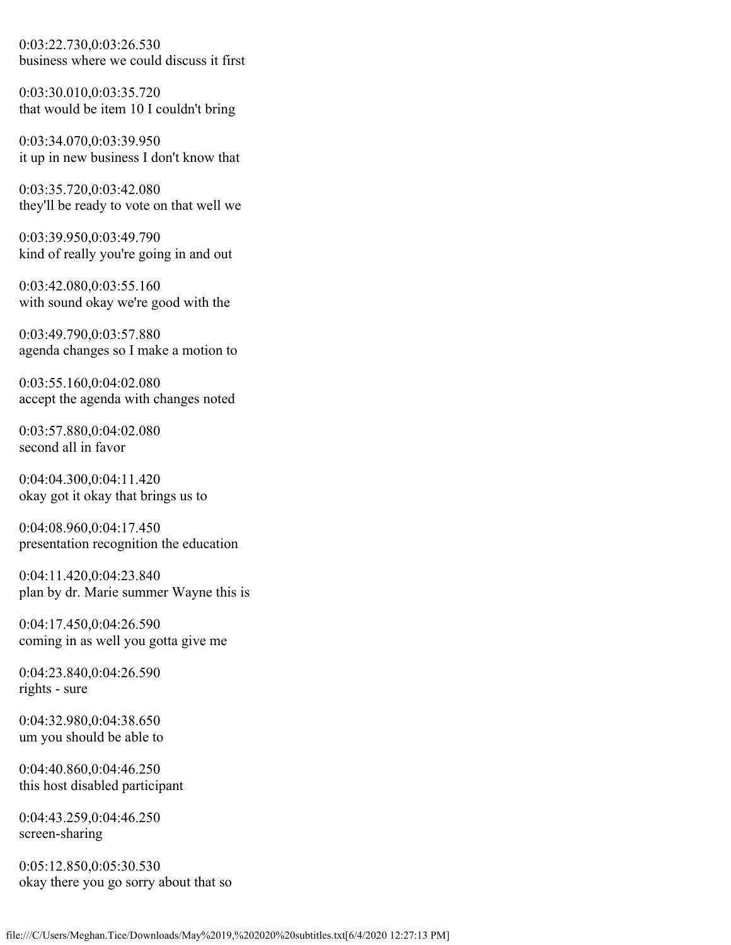0:03:22.730,0:03:26.530 business where we could discuss it first

0:03:30.010,0:03:35.720 that would be item 10 I couldn't bring

0:03:34.070,0:03:39.950 it up in new business I don't know that

0:03:35.720,0:03:42.080 they'll be ready to vote on that well we

0:03:39.950,0:03:49.790 kind of really you're going in and out

0:03:42.080,0:03:55.160 with sound okay we're good with the

0:03:49.790,0:03:57.880 agenda changes so I make a motion to

0:03:55.160,0:04:02.080 accept the agenda with changes noted

0:03:57.880,0:04:02.080 second all in favor

0:04:04.300,0:04:11.420 okay got it okay that brings us to

0:04:08.960,0:04:17.450 presentation recognition the education

0:04:11.420,0:04:23.840 plan by dr. Marie summer Wayne this is

0:04:17.450,0:04:26.590 coming in as well you gotta give me

0:04:23.840,0:04:26.590 rights - sure

0:04:32.980,0:04:38.650 um you should be able to

0:04:40.860,0:04:46.250 this host disabled participant

0:04:43.259,0:04:46.250 screen-sharing

0:05:12.850,0:05:30.530 okay there you go sorry about that so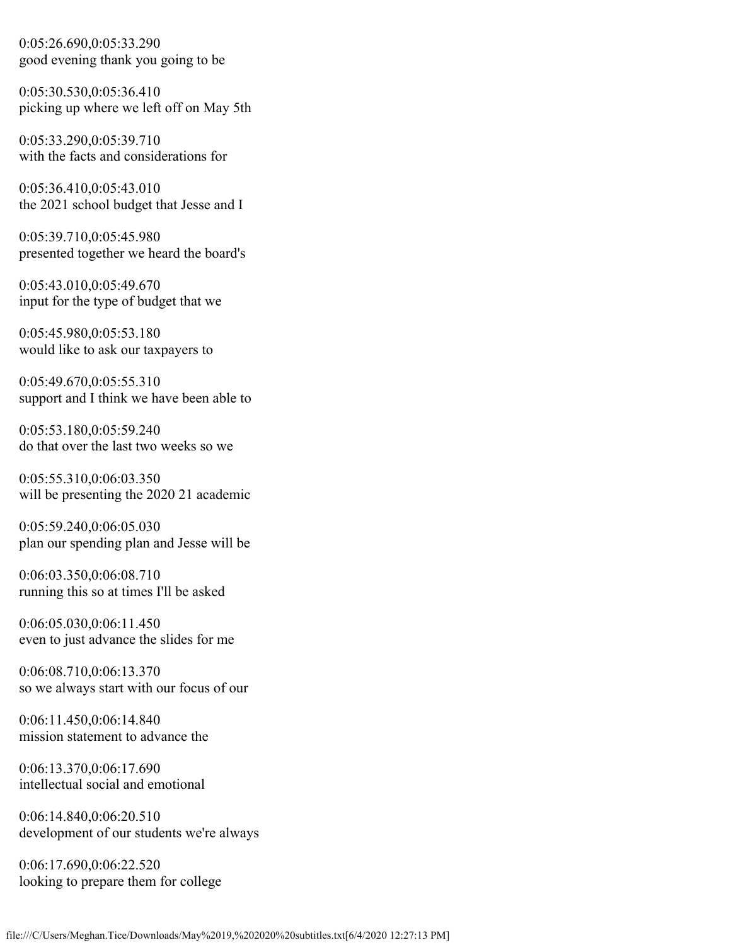0:05:26.690,0:05:33.290 good evening thank you going to be

0:05:30.530,0:05:36.410 picking up where we left off on May 5th

0:05:33.290,0:05:39.710 with the facts and considerations for

0:05:36.410,0:05:43.010 the 2021 school budget that Jesse and I

0:05:39.710,0:05:45.980 presented together we heard the board's

0:05:43.010,0:05:49.670 input for the type of budget that we

0:05:45.980,0:05:53.180 would like to ask our taxpayers to

0:05:49.670,0:05:55.310 support and I think we have been able to

0:05:53.180,0:05:59.240 do that over the last two weeks so we

0:05:55.310,0:06:03.350 will be presenting the 2020 21 academic

0:05:59.240,0:06:05.030 plan our spending plan and Jesse will be

0:06:03.350,0:06:08.710 running this so at times I'll be asked

0:06:05.030,0:06:11.450 even to just advance the slides for me

0:06:08.710,0:06:13.370 so we always start with our focus of our

0:06:11.450,0:06:14.840 mission statement to advance the

0:06:13.370,0:06:17.690 intellectual social and emotional

0:06:14.840,0:06:20.510 development of our students we're always

0:06:17.690,0:06:22.520 looking to prepare them for college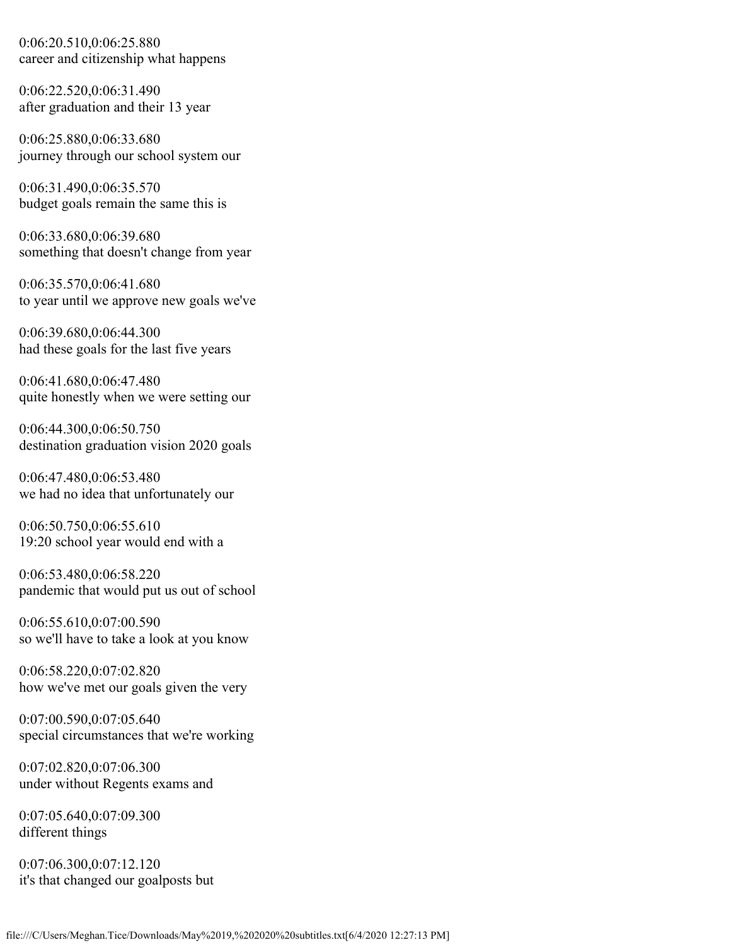0:06:20.510,0:06:25.880 career and citizenship what happens

0:06:22.520,0:06:31.490 after graduation and their 13 year

0:06:25.880,0:06:33.680 journey through our school system our

0:06:31.490,0:06:35.570 budget goals remain the same this is

0:06:33.680,0:06:39.680 something that doesn't change from year

0:06:35.570,0:06:41.680 to year until we approve new goals we've

0:06:39.680,0:06:44.300 had these goals for the last five years

0:06:41.680,0:06:47.480 quite honestly when we were setting our

0:06:44.300,0:06:50.750 destination graduation vision 2020 goals

0:06:47.480,0:06:53.480 we had no idea that unfortunately our

0:06:50.750,0:06:55.610 19:20 school year would end with a

0:06:53.480,0:06:58.220 pandemic that would put us out of school

0:06:55.610,0:07:00.590 so we'll have to take a look at you know

0:06:58.220,0:07:02.820 how we've met our goals given the very

0:07:00.590,0:07:05.640 special circumstances that we're working

0:07:02.820,0:07:06.300 under without Regents exams and

0:07:05.640,0:07:09.300 different things

0:07:06.300,0:07:12.120 it's that changed our goalposts but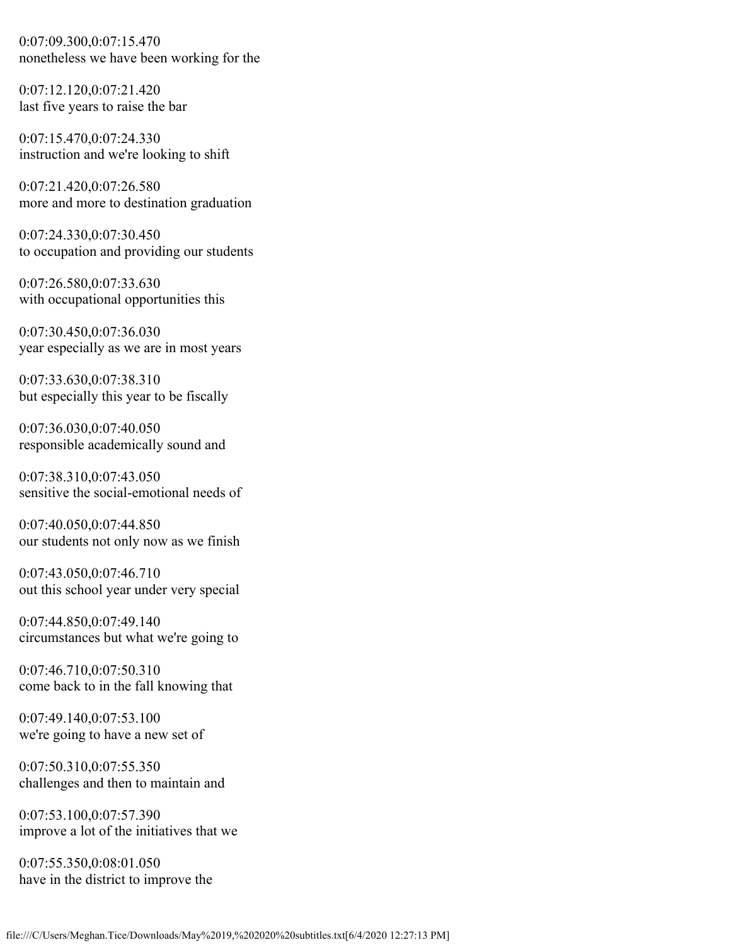0:07:09.300,0:07:15.470 nonetheless we have been working for the

0:07:12.120,0:07:21.420 last five years to raise the bar

0:07:15.470,0:07:24.330 instruction and we're looking to shift

0:07:21.420,0:07:26.580 more and more to destination graduation

0:07:24.330,0:07:30.450 to occupation and providing our students

0:07:26.580,0:07:33.630 with occupational opportunities this

0:07:30.450,0:07:36.030 year especially as we are in most years

0:07:33.630,0:07:38.310 but especially this year to be fiscally

0:07:36.030,0:07:40.050 responsible academically sound and

0:07:38.310,0:07:43.050 sensitive the social-emotional needs of

0:07:40.050,0:07:44.850 our students not only now as we finish

0:07:43.050,0:07:46.710 out this school year under very special

0:07:44.850,0:07:49.140 circumstances but what we're going to

0:07:46.710,0:07:50.310 come back to in the fall knowing that

0:07:49.140,0:07:53.100 we're going to have a new set of

0:07:50.310,0:07:55.350 challenges and then to maintain and

0:07:53.100,0:07:57.390 improve a lot of the initiatives that we

0:07:55.350,0:08:01.050 have in the district to improve the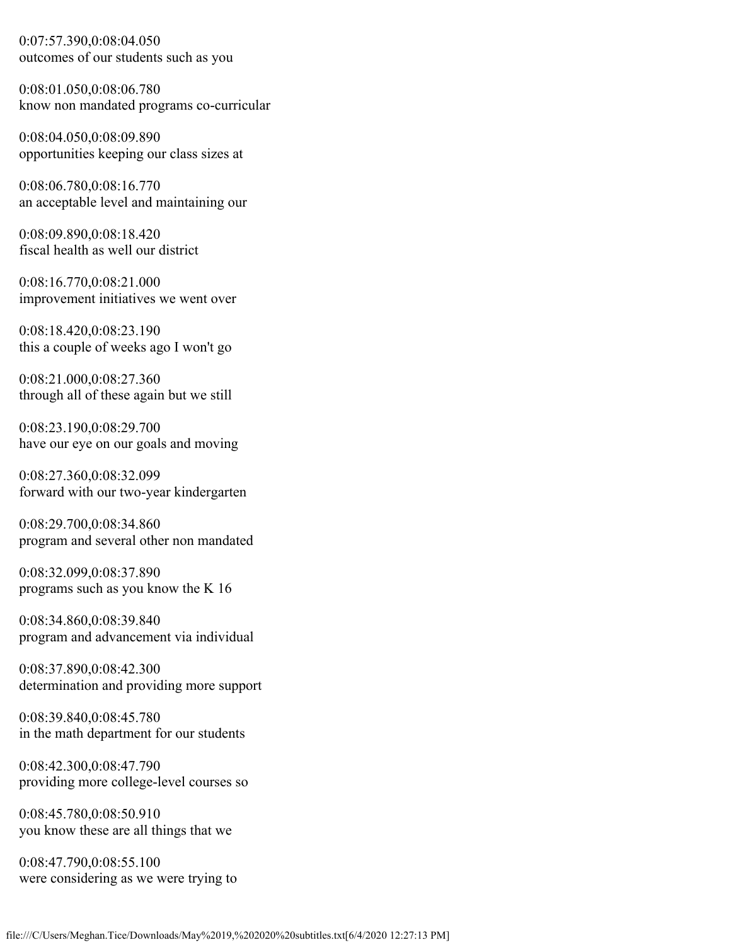0:07:57.390,0:08:04.050 outcomes of our students such as you

0:08:01.050,0:08:06.780 know non mandated programs co-curricular

0:08:04.050,0:08:09.890 opportunities keeping our class sizes at

0:08:06.780,0:08:16.770 an acceptable level and maintaining our

0:08:09.890,0:08:18.420 fiscal health as well our district

0:08:16.770,0:08:21.000 improvement initiatives we went over

0:08:18.420,0:08:23.190 this a couple of weeks ago I won't go

0:08:21.000,0:08:27.360 through all of these again but we still

0:08:23.190,0:08:29.700 have our eye on our goals and moving

0:08:27.360,0:08:32.099 forward with our two-year kindergarten

0:08:29.700,0:08:34.860 program and several other non mandated

0:08:32.099,0:08:37.890 programs such as you know the K 16

0:08:34.860,0:08:39.840 program and advancement via individual

0:08:37.890,0:08:42.300 determination and providing more support

0:08:39.840,0:08:45.780 in the math department for our students

0:08:42.300,0:08:47.790 providing more college-level courses so

0:08:45.780,0:08:50.910 you know these are all things that we

0:08:47.790,0:08:55.100 were considering as we were trying to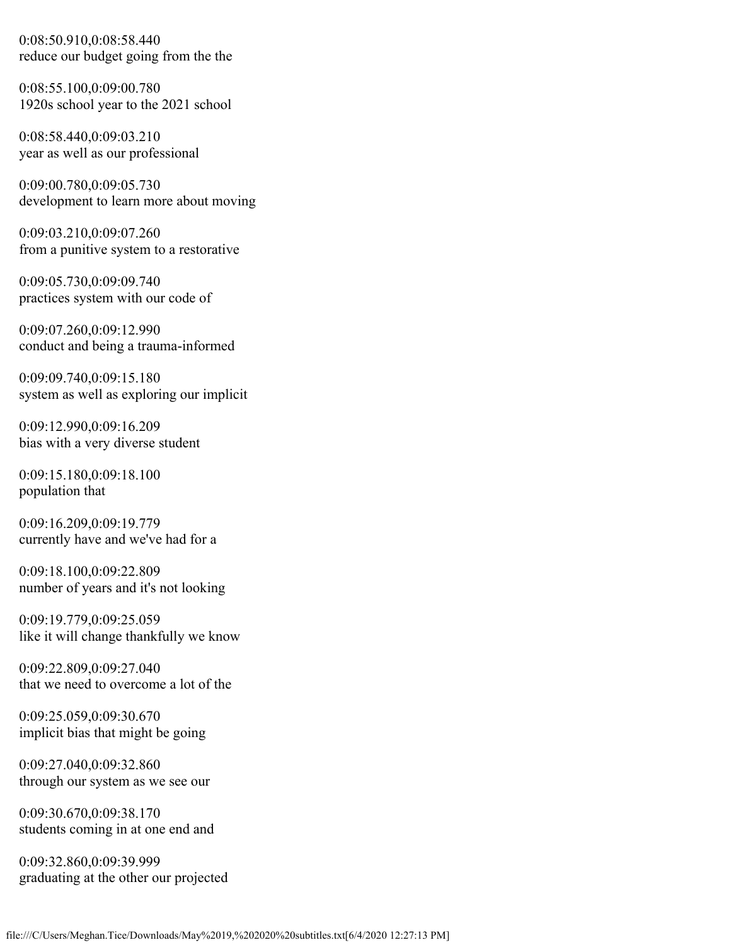0:08:50.910,0:08:58.440 reduce our budget going from the the

0:08:55.100,0:09:00.780 1920s school year to the 2021 school

0:08:58.440,0:09:03.210 year as well as our professional

0:09:00.780,0:09:05.730 development to learn more about moving

0:09:03.210,0:09:07.260 from a punitive system to a restorative

0:09:05.730,0:09:09.740 practices system with our code of

0:09:07.260,0:09:12.990 conduct and being a trauma-informed

0:09:09.740,0:09:15.180 system as well as exploring our implicit

0:09:12.990,0:09:16.209 bias with a very diverse student

0:09:15.180,0:09:18.100 population that

0:09:16.209,0:09:19.779 currently have and we've had for a

0:09:18.100,0:09:22.809 number of years and it's not looking

0:09:19.779,0:09:25.059 like it will change thankfully we know

0:09:22.809,0:09:27.040 that we need to overcome a lot of the

0:09:25.059,0:09:30.670 implicit bias that might be going

0:09:27.040,0:09:32.860 through our system as we see our

0:09:30.670,0:09:38.170 students coming in at one end and

0:09:32.860,0:09:39.999 graduating at the other our projected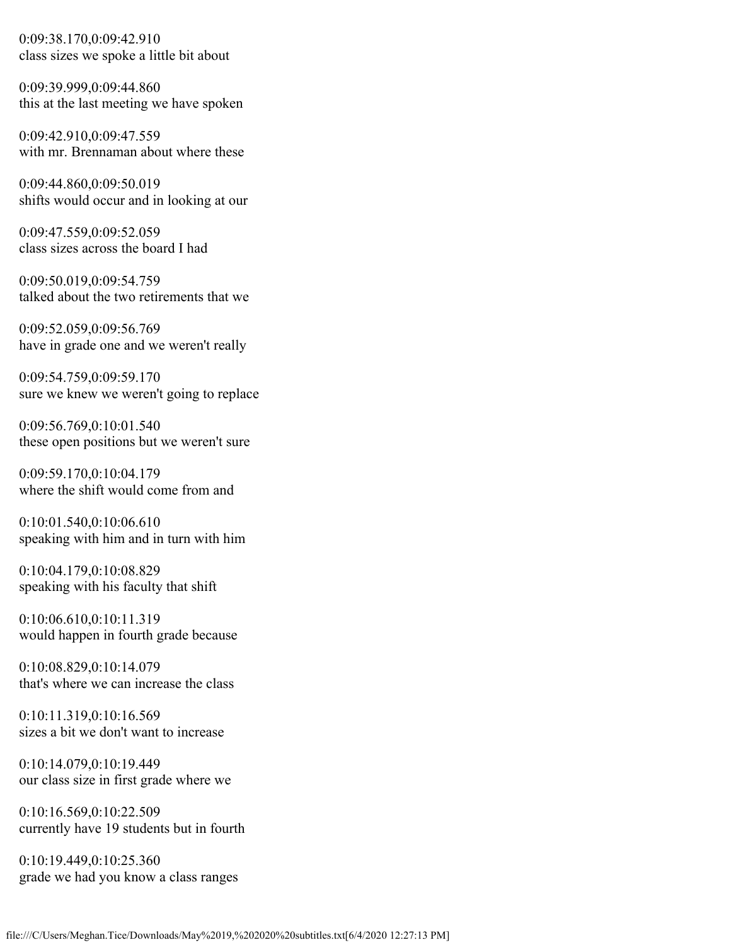0:09:38.170,0:09:42.910 class sizes we spoke a little bit about

0:09:39.999,0:09:44.860 this at the last meeting we have spoken

0:09:42.910,0:09:47.559 with mr. Brennaman about where these

0:09:44.860,0:09:50.019 shifts would occur and in looking at our

0:09:47.559,0:09:52.059 class sizes across the board I had

0:09:50.019,0:09:54.759 talked about the two retirements that we

0:09:52.059,0:09:56.769 have in grade one and we weren't really

0:09:54.759,0:09:59.170 sure we knew we weren't going to replace

0:09:56.769,0:10:01.540 these open positions but we weren't sure

0:09:59.170,0:10:04.179 where the shift would come from and

0:10:01.540,0:10:06.610 speaking with him and in turn with him

0:10:04.179,0:10:08.829 speaking with his faculty that shift

0:10:06.610,0:10:11.319 would happen in fourth grade because

0:10:08.829,0:10:14.079 that's where we can increase the class

0:10:11.319,0:10:16.569 sizes a bit we don't want to increase

0:10:14.079,0:10:19.449 our class size in first grade where we

0:10:16.569,0:10:22.509 currently have 19 students but in fourth

0:10:19.449,0:10:25.360 grade we had you know a class ranges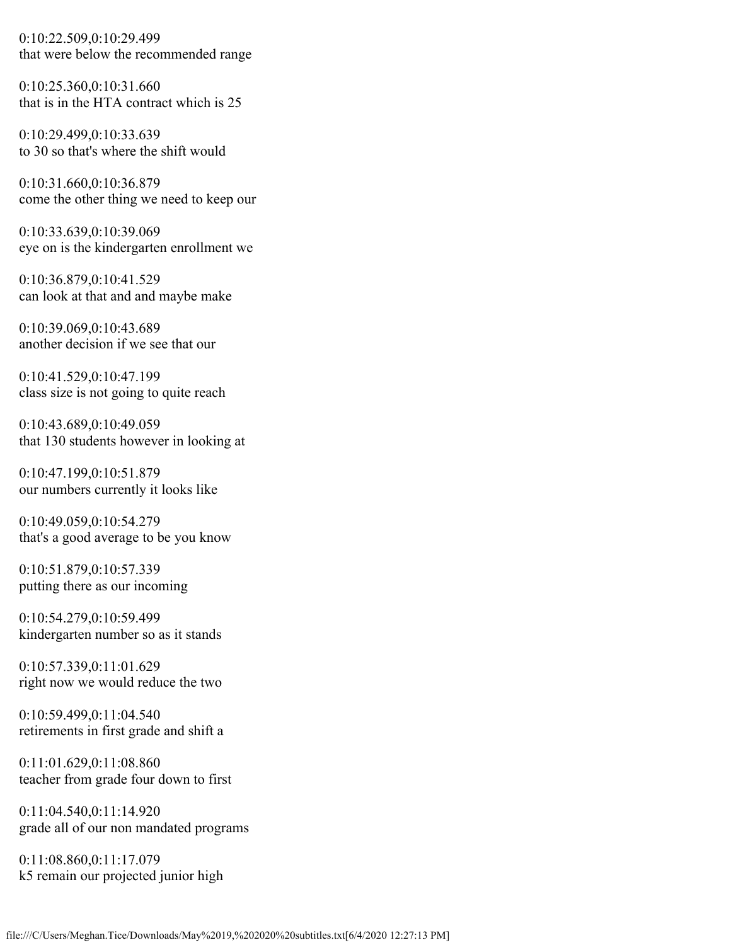0:10:22.509,0:10:29.499 that were below the recommended range

0:10:25.360,0:10:31.660 that is in the HTA contract which is 25

0:10:29.499,0:10:33.639 to 30 so that's where the shift would

0:10:31.660,0:10:36.879 come the other thing we need to keep our

0:10:33.639,0:10:39.069 eye on is the kindergarten enrollment we

0:10:36.879,0:10:41.529 can look at that and and maybe make

0:10:39.069,0:10:43.689 another decision if we see that our

0:10:41.529,0:10:47.199 class size is not going to quite reach

0:10:43.689,0:10:49.059 that 130 students however in looking at

0:10:47.199,0:10:51.879 our numbers currently it looks like

0:10:49.059,0:10:54.279 that's a good average to be you know

0:10:51.879,0:10:57.339 putting there as our incoming

0:10:54.279,0:10:59.499 kindergarten number so as it stands

0:10:57.339,0:11:01.629 right now we would reduce the two

0:10:59.499,0:11:04.540 retirements in first grade and shift a

0:11:01.629,0:11:08.860 teacher from grade four down to first

0:11:04.540,0:11:14.920 grade all of our non mandated programs

0:11:08.860,0:11:17.079 k5 remain our projected junior high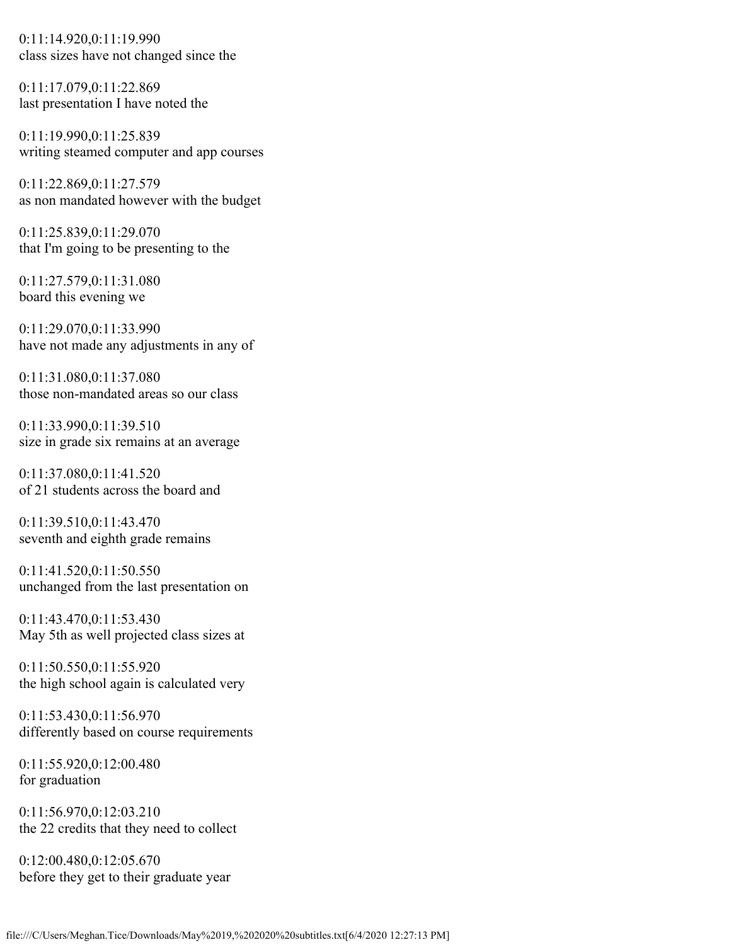0:11:14.920,0:11:19.990 class sizes have not changed since the

0:11:17.079,0:11:22.869 last presentation I have noted the

0:11:19.990,0:11:25.839 writing steamed computer and app courses

0:11:22.869,0:11:27.579 as non mandated however with the budget

0:11:25.839,0:11:29.070 that I'm going to be presenting to the

0:11:27.579,0:11:31.080 board this evening we

0:11:29.070,0:11:33.990 have not made any adjustments in any of

0:11:31.080,0:11:37.080 those non-mandated areas so our class

0:11:33.990,0:11:39.510 size in grade six remains at an average

0:11:37.080,0:11:41.520 of 21 students across the board and

0:11:39.510,0:11:43.470 seventh and eighth grade remains

0:11:41.520,0:11:50.550 unchanged from the last presentation on

0:11:43.470,0:11:53.430 May 5th as well projected class sizes at

0:11:50.550,0:11:55.920 the high school again is calculated very

0:11:53.430,0:11:56.970 differently based on course requirements

0:11:55.920,0:12:00.480 for graduation

0:11:56.970,0:12:03.210 the 22 credits that they need to collect

0:12:00.480,0:12:05.670 before they get to their graduate year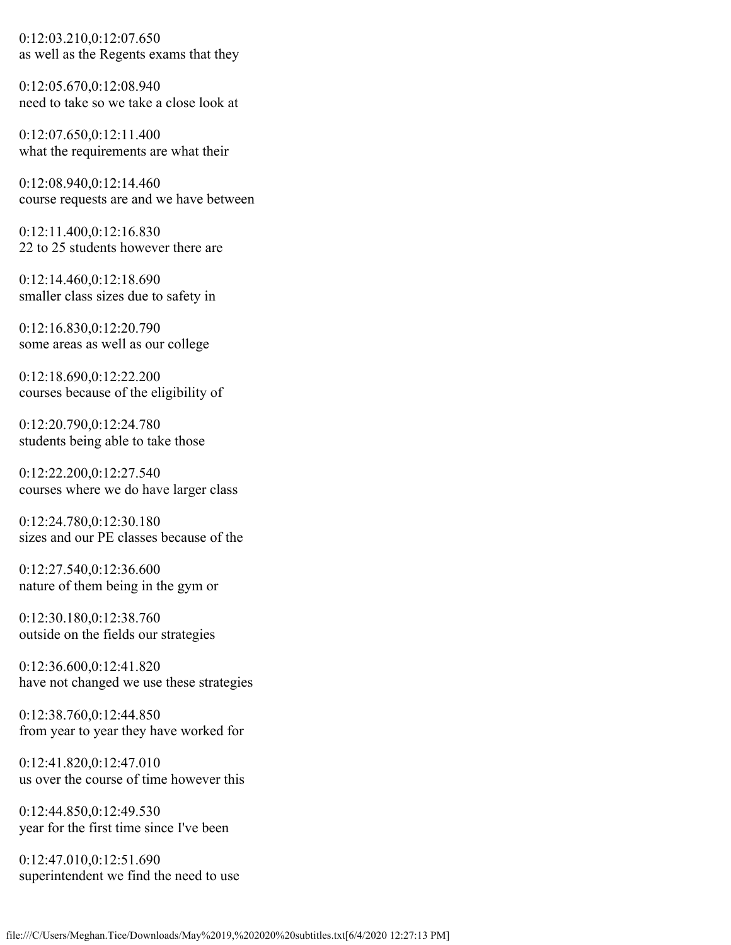0:12:03.210,0:12:07.650 as well as the Regents exams that they

0:12:05.670,0:12:08.940 need to take so we take a close look at

0:12:07.650,0:12:11.400 what the requirements are what their

0:12:08.940,0:12:14.460 course requests are and we have between

0:12:11.400,0:12:16.830 22 to 25 students however there are

0:12:14.460,0:12:18.690 smaller class sizes due to safety in

0:12:16.830,0:12:20.790 some areas as well as our college

0:12:18.690,0:12:22.200 courses because of the eligibility of

0:12:20.790,0:12:24.780 students being able to take those

0:12:22.200,0:12:27.540 courses where we do have larger class

0:12:24.780,0:12:30.180 sizes and our PE classes because of the

0:12:27.540,0:12:36.600 nature of them being in the gym or

0:12:30.180,0:12:38.760 outside on the fields our strategies

0:12:36.600,0:12:41.820 have not changed we use these strategies

0:12:38.760,0:12:44.850 from year to year they have worked for

0:12:41.820,0:12:47.010 us over the course of time however this

0:12:44.850,0:12:49.530 year for the first time since I've been

0:12:47.010,0:12:51.690 superintendent we find the need to use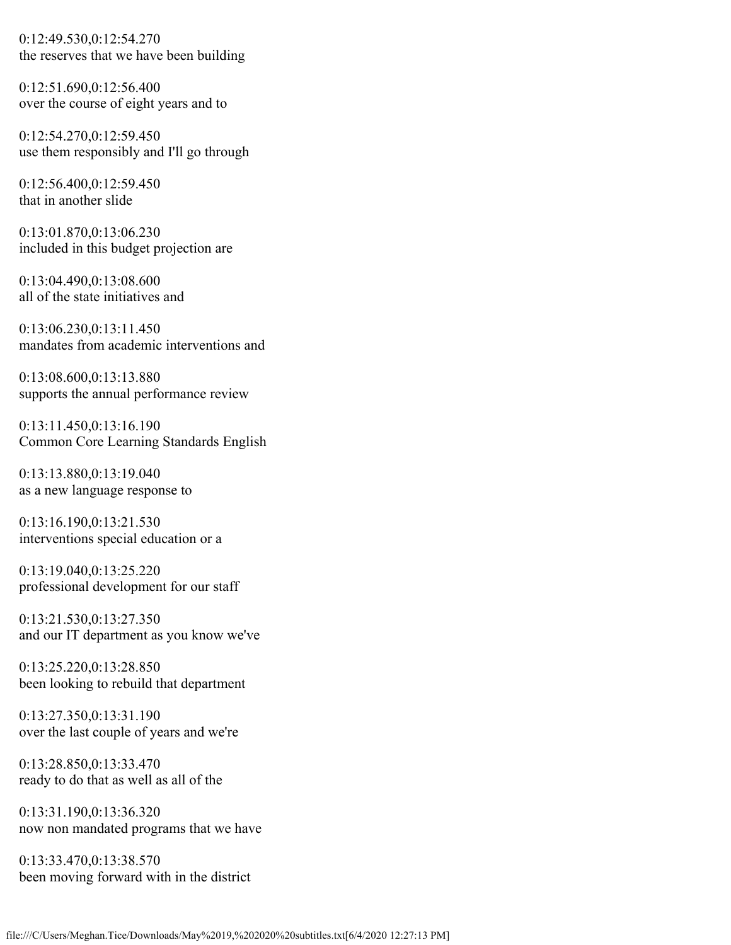0:12:49.530,0:12:54.270 the reserves that we have been building

0:12:51.690,0:12:56.400 over the course of eight years and to

0:12:54.270,0:12:59.450 use them responsibly and I'll go through

0:12:56.400,0:12:59.450 that in another slide

0:13:01.870,0:13:06.230 included in this budget projection are

0:13:04.490,0:13:08.600 all of the state initiatives and

0:13:06.230,0:13:11.450 mandates from academic interventions and

0:13:08.600,0:13:13.880 supports the annual performance review

0:13:11.450,0:13:16.190 Common Core Learning Standards English

0:13:13.880,0:13:19.040 as a new language response to

0:13:16.190,0:13:21.530 interventions special education or a

0:13:19.040,0:13:25.220 professional development for our staff

0:13:21.530,0:13:27.350 and our IT department as you know we've

0:13:25.220,0:13:28.850 been looking to rebuild that department

0:13:27.350,0:13:31.190 over the last couple of years and we're

0:13:28.850,0:13:33.470 ready to do that as well as all of the

0:13:31.190,0:13:36.320 now non mandated programs that we have

0:13:33.470,0:13:38.570 been moving forward with in the district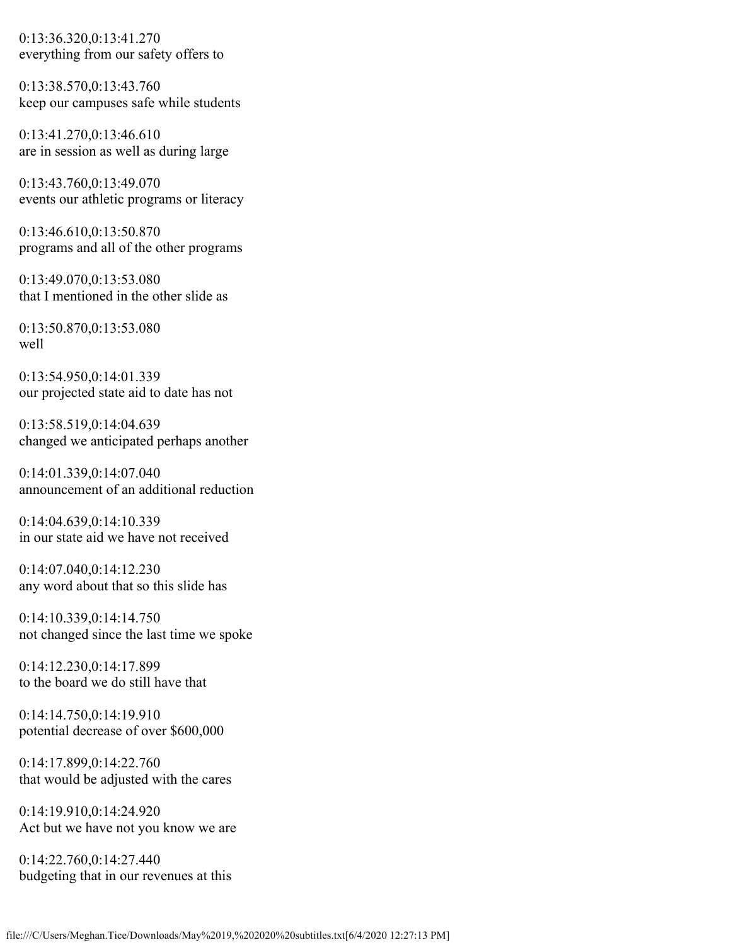0:13:36.320,0:13:41.270 everything from our safety offers to

0:13:38.570,0:13:43.760 keep our campuses safe while students

0:13:41.270,0:13:46.610 are in session as well as during large

0:13:43.760,0:13:49.070 events our athletic programs or literacy

0:13:46.610,0:13:50.870 programs and all of the other programs

0:13:49.070,0:13:53.080 that I mentioned in the other slide as

0:13:50.870,0:13:53.080 well

0:13:54.950,0:14:01.339 our projected state aid to date has not

0:13:58.519,0:14:04.639 changed we anticipated perhaps another

0:14:01.339,0:14:07.040 announcement of an additional reduction

0:14:04.639,0:14:10.339 in our state aid we have not received

0:14:07.040,0:14:12.230 any word about that so this slide has

0:14:10.339,0:14:14.750 not changed since the last time we spoke

0:14:12.230,0:14:17.899 to the board we do still have that

0:14:14.750,0:14:19.910 potential decrease of over \$600,000

0:14:17.899,0:14:22.760 that would be adjusted with the cares

0:14:19.910,0:14:24.920 Act but we have not you know we are

0:14:22.760,0:14:27.440 budgeting that in our revenues at this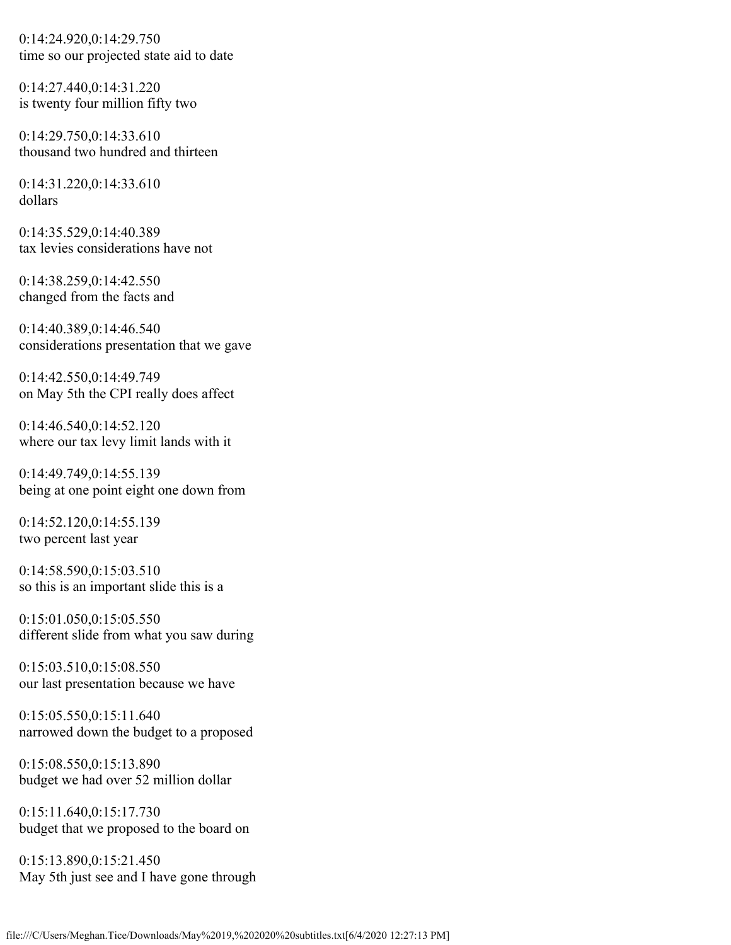0:14:24.920,0:14:29.750 time so our projected state aid to date

0:14:27.440,0:14:31.220 is twenty four million fifty two

0:14:29.750,0:14:33.610 thousand two hundred and thirteen

0:14:31.220,0:14:33.610 dollars

0:14:35.529,0:14:40.389 tax levies considerations have not

0:14:38.259,0:14:42.550 changed from the facts and

0:14:40.389,0:14:46.540 considerations presentation that we gave

0:14:42.550,0:14:49.749 on May 5th the CPI really does affect

0:14:46.540,0:14:52.120 where our tax levy limit lands with it

0:14:49.749,0:14:55.139 being at one point eight one down from

0:14:52.120,0:14:55.139 two percent last year

0:14:58.590,0:15:03.510 so this is an important slide this is a

0:15:01.050,0:15:05.550 different slide from what you saw during

0:15:03.510,0:15:08.550 our last presentation because we have

0:15:05.550,0:15:11.640 narrowed down the budget to a proposed

0:15:08.550,0:15:13.890 budget we had over 52 million dollar

0:15:11.640,0:15:17.730 budget that we proposed to the board on

0:15:13.890,0:15:21.450 May 5th just see and I have gone through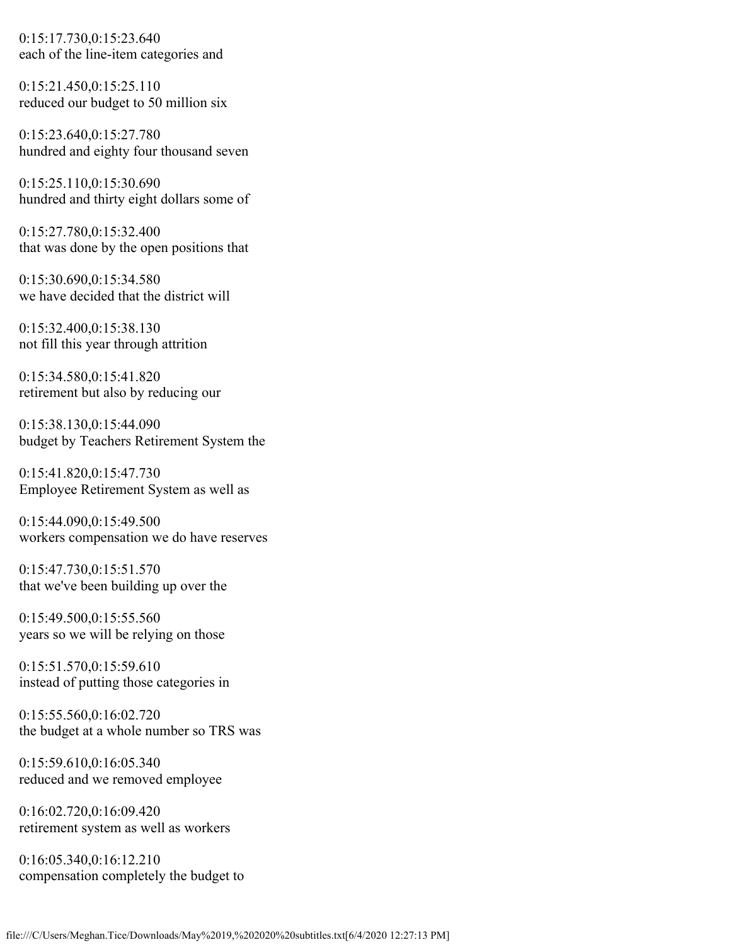0:15:17.730,0:15:23.640 each of the line-item categories and

0:15:21.450,0:15:25.110 reduced our budget to 50 million six

0:15:23.640,0:15:27.780 hundred and eighty four thousand seven

0:15:25.110,0:15:30.690 hundred and thirty eight dollars some of

0:15:27.780,0:15:32.400 that was done by the open positions that

0:15:30.690,0:15:34.580 we have decided that the district will

0:15:32.400,0:15:38.130 not fill this year through attrition

0:15:34.580,0:15:41.820 retirement but also by reducing our

0:15:38.130,0:15:44.090 budget by Teachers Retirement System the

0:15:41.820,0:15:47.730 Employee Retirement System as well as

0:15:44.090,0:15:49.500 workers compensation we do have reserves

0:15:47.730,0:15:51.570 that we've been building up over the

0:15:49.500,0:15:55.560 years so we will be relying on those

0:15:51.570,0:15:59.610 instead of putting those categories in

0:15:55.560,0:16:02.720 the budget at a whole number so TRS was

0:15:59.610,0:16:05.340 reduced and we removed employee

0:16:02.720,0:16:09.420 retirement system as well as workers

0:16:05.340,0:16:12.210 compensation completely the budget to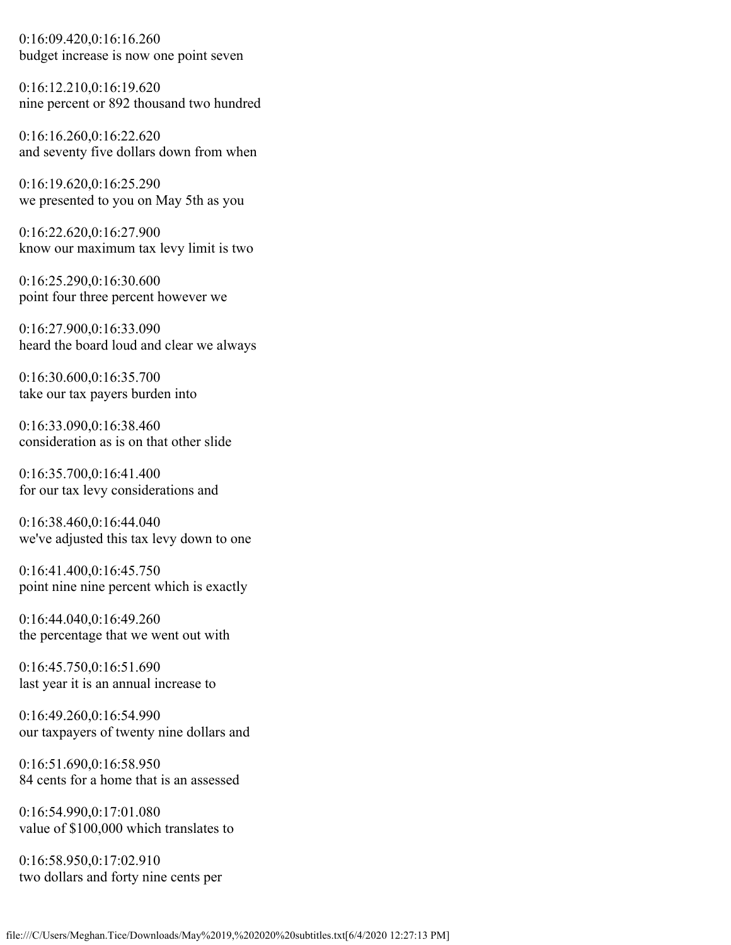0:16:09.420,0:16:16.260 budget increase is now one point seven

0:16:12.210,0:16:19.620 nine percent or 892 thousand two hundred

0:16:16.260,0:16:22.620 and seventy five dollars down from when

0:16:19.620,0:16:25.290 we presented to you on May 5th as you

0:16:22.620,0:16:27.900 know our maximum tax levy limit is two

0:16:25.290,0:16:30.600 point four three percent however we

0:16:27.900,0:16:33.090 heard the board loud and clear we always

0:16:30.600,0:16:35.700 take our tax payers burden into

0:16:33.090,0:16:38.460 consideration as is on that other slide

0:16:35.700,0:16:41.400 for our tax levy considerations and

0:16:38.460,0:16:44.040 we've adjusted this tax levy down to one

0:16:41.400,0:16:45.750 point nine nine percent which is exactly

0:16:44.040,0:16:49.260 the percentage that we went out with

0:16:45.750,0:16:51.690 last year it is an annual increase to

0:16:49.260,0:16:54.990 our taxpayers of twenty nine dollars and

0:16:51.690,0:16:58.950 84 cents for a home that is an assessed

0:16:54.990,0:17:01.080 value of \$100,000 which translates to

0:16:58.950,0:17:02.910 two dollars and forty nine cents per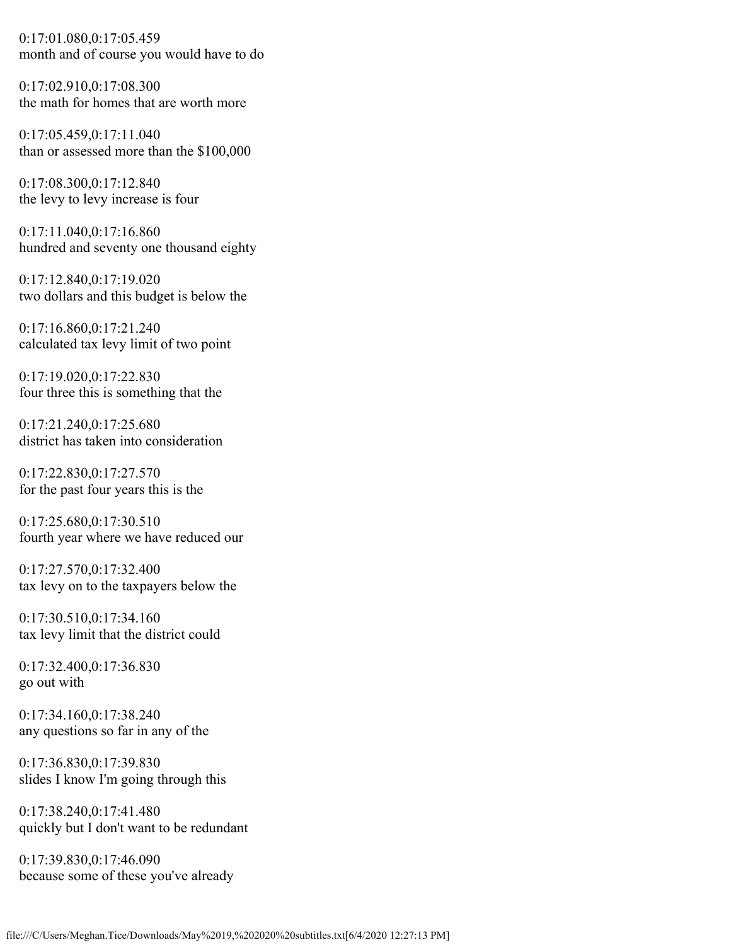0:17:01.080,0:17:05.459 month and of course you would have to do

0:17:02.910,0:17:08.300 the math for homes that are worth more

0:17:05.459,0:17:11.040 than or assessed more than the \$100,000

0:17:08.300,0:17:12.840 the levy to levy increase is four

0:17:11.040,0:17:16.860 hundred and seventy one thousand eighty

0:17:12.840,0:17:19.020 two dollars and this budget is below the

0:17:16.860,0:17:21.240 calculated tax levy limit of two point

0:17:19.020,0:17:22.830 four three this is something that the

0:17:21.240,0:17:25.680 district has taken into consideration

0:17:22.830,0:17:27.570 for the past four years this is the

0:17:25.680,0:17:30.510 fourth year where we have reduced our

0:17:27.570,0:17:32.400 tax levy on to the taxpayers below the

0:17:30.510,0:17:34.160 tax levy limit that the district could

0:17:32.400,0:17:36.830 go out with

0:17:34.160,0:17:38.240 any questions so far in any of the

0:17:36.830,0:17:39.830 slides I know I'm going through this

0:17:38.240,0:17:41.480 quickly but I don't want to be redundant

0:17:39.830,0:17:46.090 because some of these you've already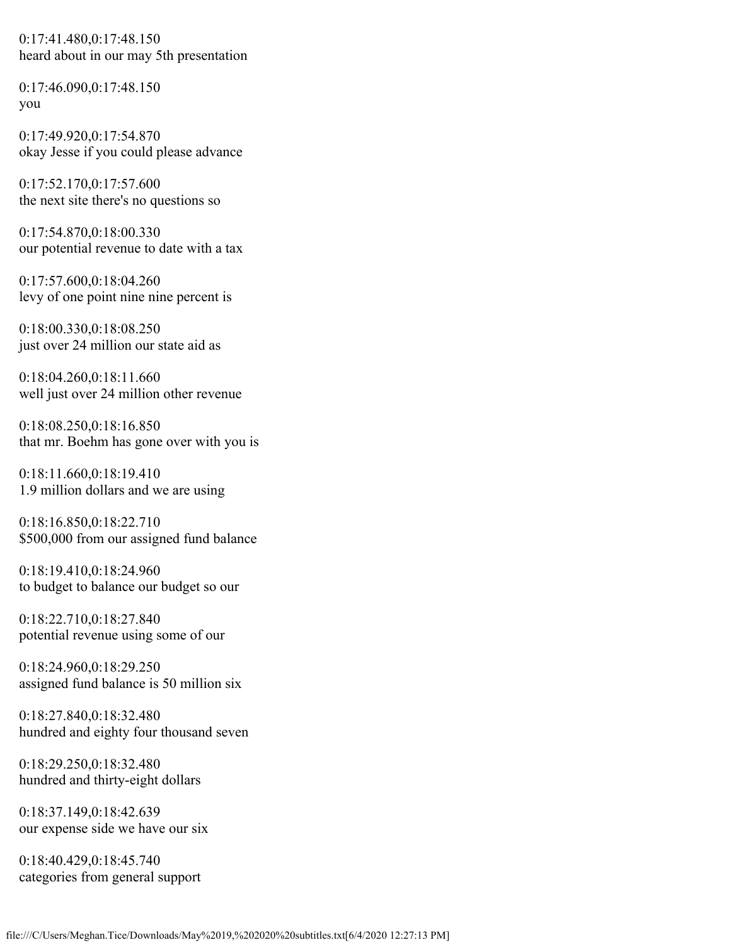0:17:41.480,0:17:48.150 heard about in our may 5th presentation

0:17:46.090,0:17:48.150 you

0:17:49.920,0:17:54.870 okay Jesse if you could please advance

0:17:52.170,0:17:57.600 the next site there's no questions so

0:17:54.870,0:18:00.330 our potential revenue to date with a tax

0:17:57.600,0:18:04.260 levy of one point nine nine percent is

0:18:00.330,0:18:08.250 just over 24 million our state aid as

0:18:04.260,0:18:11.660 well just over 24 million other revenue

0:18:08.250,0:18:16.850 that mr. Boehm has gone over with you is

0:18:11.660,0:18:19.410 1.9 million dollars and we are using

0:18:16.850,0:18:22.710 \$500,000 from our assigned fund balance

0:18:19.410,0:18:24.960 to budget to balance our budget so our

0:18:22.710,0:18:27.840 potential revenue using some of our

0:18:24.960,0:18:29.250 assigned fund balance is 50 million six

0:18:27.840,0:18:32.480 hundred and eighty four thousand seven

0:18:29.250,0:18:32.480 hundred and thirty-eight dollars

0:18:37.149,0:18:42.639 our expense side we have our six

0:18:40.429,0:18:45.740 categories from general support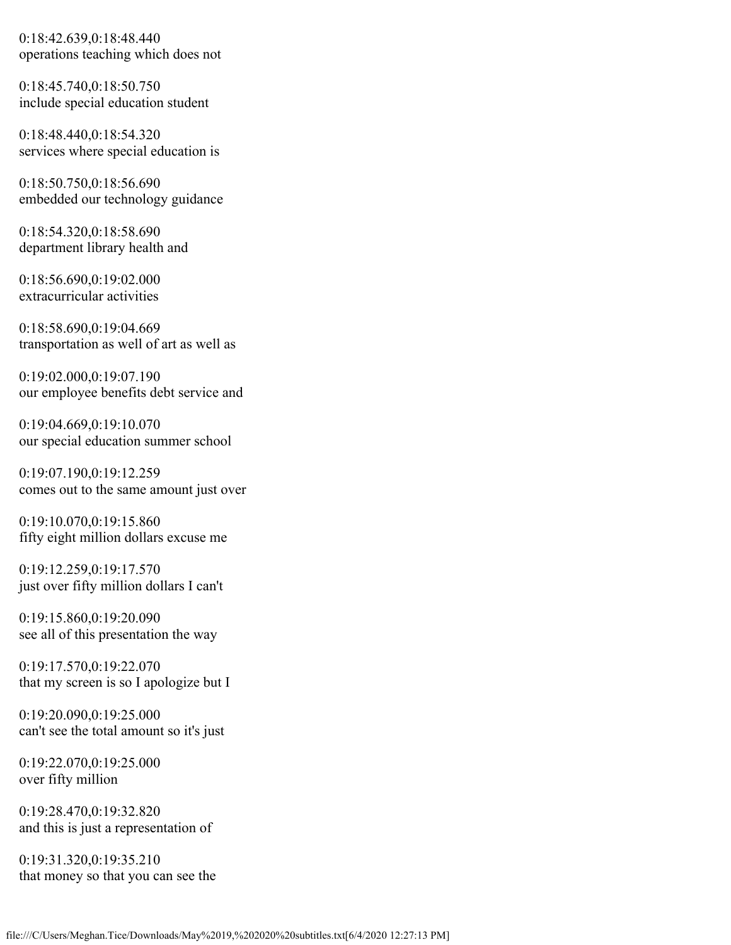0:18:42.639,0:18:48.440 operations teaching which does not

0:18:45.740,0:18:50.750 include special education student

0:18:48.440,0:18:54.320 services where special education is

0:18:50.750,0:18:56.690 embedded our technology guidance

0:18:54.320,0:18:58.690 department library health and

0:18:56.690,0:19:02.000 extracurricular activities

0:18:58.690,0:19:04.669 transportation as well of art as well as

0:19:02.000,0:19:07.190 our employee benefits debt service and

0:19:04.669,0:19:10.070 our special education summer school

0:19:07.190,0:19:12.259 comes out to the same amount just over

0:19:10.070,0:19:15.860 fifty eight million dollars excuse me

0:19:12.259,0:19:17.570 just over fifty million dollars I can't

0:19:15.860,0:19:20.090 see all of this presentation the way

0:19:17.570,0:19:22.070 that my screen is so I apologize but I

0:19:20.090,0:19:25.000 can't see the total amount so it's just

0:19:22.070,0:19:25.000 over fifty million

0:19:28.470,0:19:32.820 and this is just a representation of

0:19:31.320,0:19:35.210 that money so that you can see the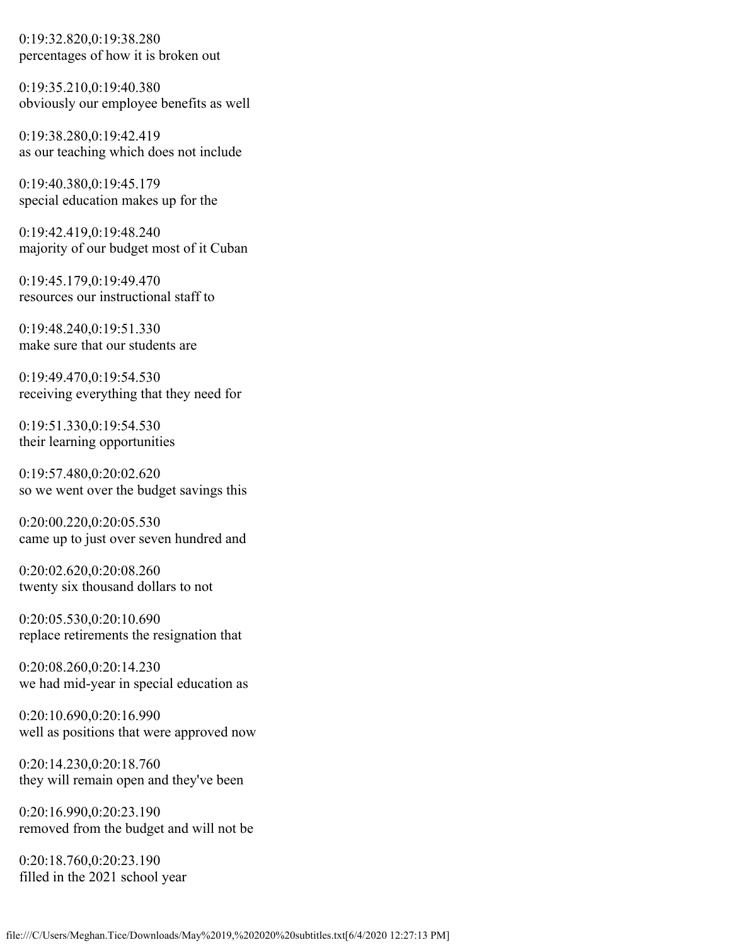0:19:32.820,0:19:38.280 percentages of how it is broken out

0:19:35.210,0:19:40.380 obviously our employee benefits as well

0:19:38.280,0:19:42.419 as our teaching which does not include

0:19:40.380,0:19:45.179 special education makes up for the

0:19:42.419,0:19:48.240 majority of our budget most of it Cuban

0:19:45.179,0:19:49.470 resources our instructional staff to

0:19:48.240,0:19:51.330 make sure that our students are

0:19:49.470,0:19:54.530 receiving everything that they need for

0:19:51.330,0:19:54.530 their learning opportunities

0:19:57.480,0:20:02.620 so we went over the budget savings this

0:20:00.220,0:20:05.530 came up to just over seven hundred and

0:20:02.620,0:20:08.260 twenty six thousand dollars to not

0:20:05.530,0:20:10.690 replace retirements the resignation that

0:20:08.260,0:20:14.230 we had mid-year in special education as

0:20:10.690,0:20:16.990 well as positions that were approved now

0:20:14.230,0:20:18.760 they will remain open and they've been

0:20:16.990,0:20:23.190 removed from the budget and will not be

0:20:18.760,0:20:23.190 filled in the 2021 school year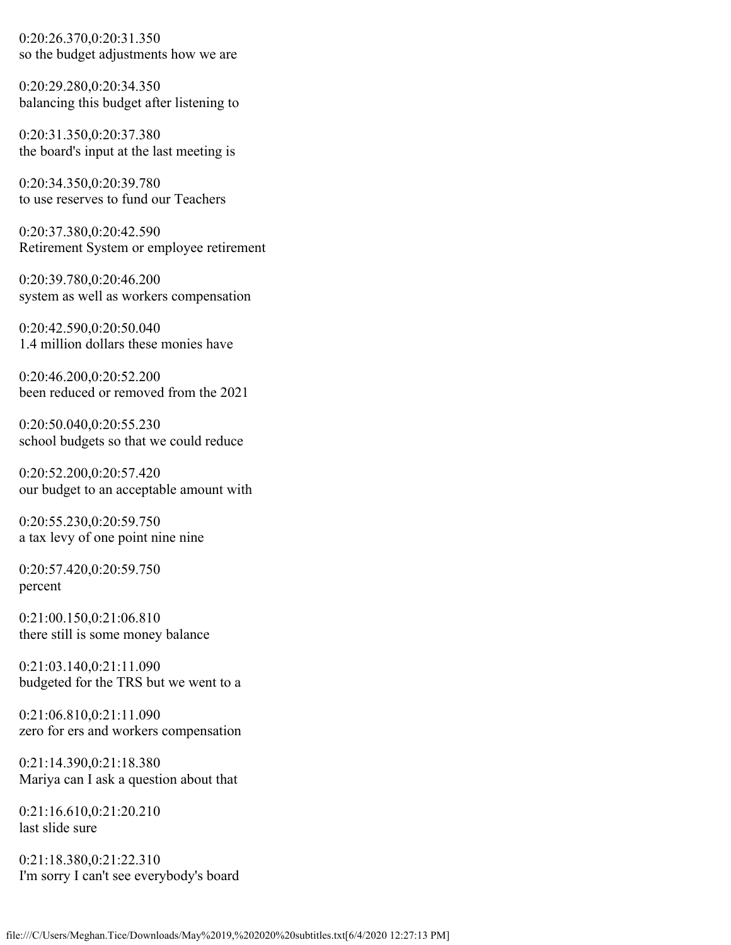0:20:26.370,0:20:31.350 so the budget adjustments how we are

0:20:29.280,0:20:34.350 balancing this budget after listening to

0:20:31.350,0:20:37.380 the board's input at the last meeting is

0:20:34.350,0:20:39.780 to use reserves to fund our Teachers

0:20:37.380,0:20:42.590 Retirement System or employee retirement

0:20:39.780,0:20:46.200 system as well as workers compensation

0:20:42.590,0:20:50.040 1.4 million dollars these monies have

0:20:46.200,0:20:52.200 been reduced or removed from the 2021

0:20:50.040,0:20:55.230 school budgets so that we could reduce

0:20:52.200,0:20:57.420 our budget to an acceptable amount with

0:20:55.230,0:20:59.750 a tax levy of one point nine nine

0:20:57.420,0:20:59.750 percent

0:21:00.150,0:21:06.810 there still is some money balance

0:21:03.140,0:21:11.090 budgeted for the TRS but we went to a

0:21:06.810,0:21:11.090 zero for ers and workers compensation

0:21:14.390,0:21:18.380 Mariya can I ask a question about that

0:21:16.610,0:21:20.210 last slide sure

0:21:18.380,0:21:22.310 I'm sorry I can't see everybody's board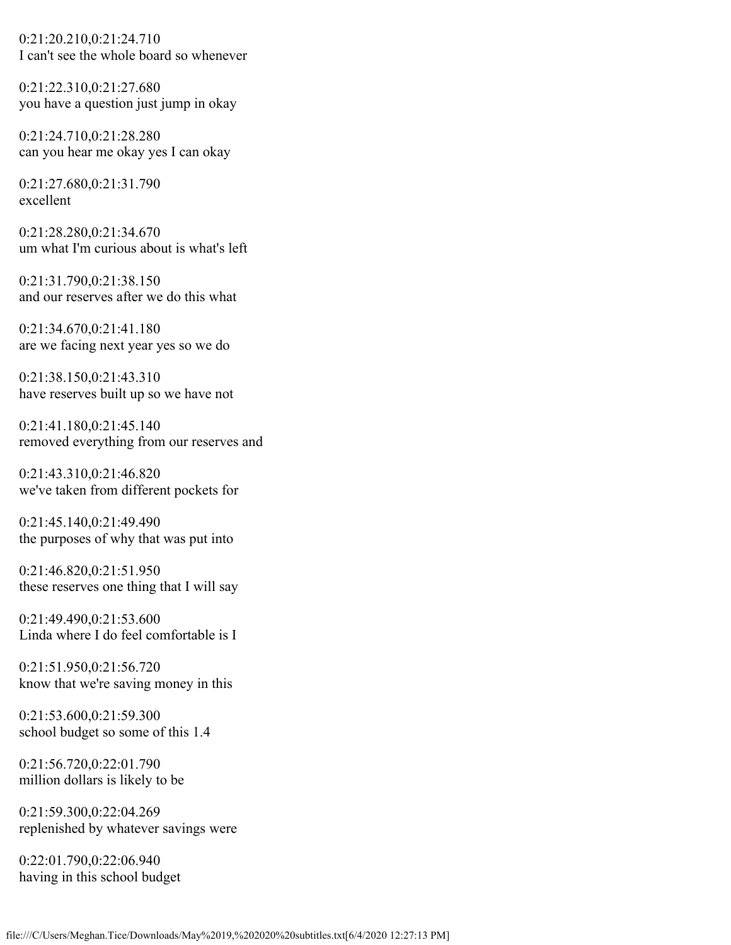0:21:20.210,0:21:24.710 I can't see the whole board so whenever

0:21:22.310,0:21:27.680 you have a question just jump in okay

0:21:24.710,0:21:28.280 can you hear me okay yes I can okay

0:21:27.680,0:21:31.790 excellent

0:21:28.280,0:21:34.670 um what I'm curious about is what's left

0:21:31.790,0:21:38.150 and our reserves after we do this what

0:21:34.670,0:21:41.180 are we facing next year yes so we do

0:21:38.150,0:21:43.310 have reserves built up so we have not

0:21:41.180,0:21:45.140 removed everything from our reserves and

0:21:43.310,0:21:46.820 we've taken from different pockets for

0:21:45.140,0:21:49.490 the purposes of why that was put into

0:21:46.820,0:21:51.950 these reserves one thing that I will say

0:21:49.490,0:21:53.600 Linda where I do feel comfortable is I

0:21:51.950,0:21:56.720 know that we're saving money in this

0:21:53.600,0:21:59.300 school budget so some of this 1.4

0:21:56.720,0:22:01.790 million dollars is likely to be

0:21:59.300,0:22:04.269 replenished by whatever savings were

0:22:01.790,0:22:06.940 having in this school budget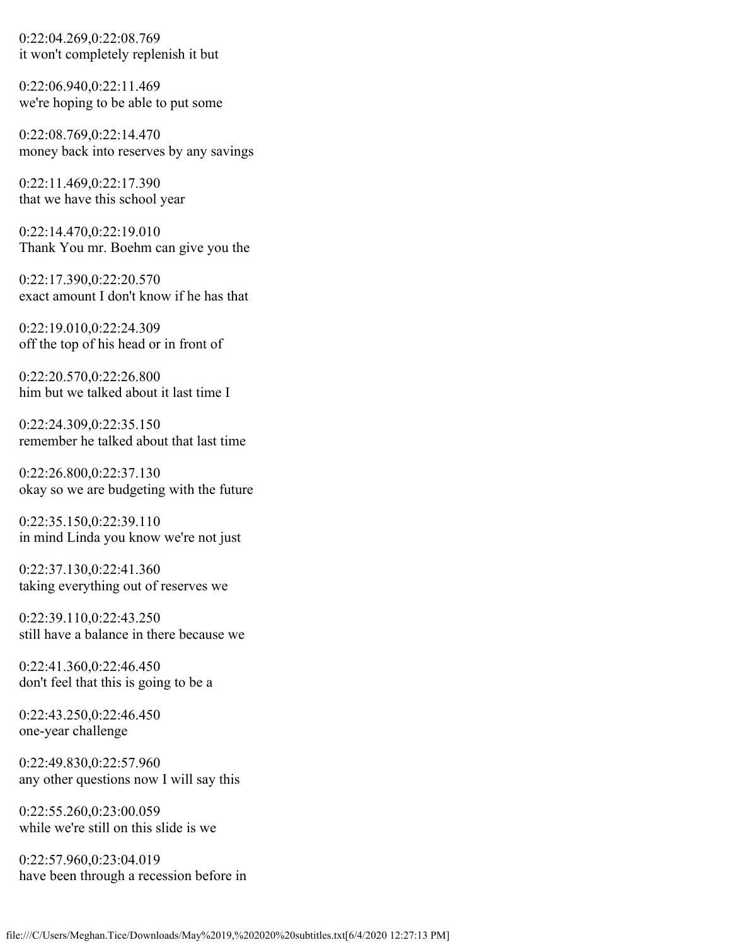0:22:04.269,0:22:08.769 it won't completely replenish it but

0:22:06.940,0:22:11.469 we're hoping to be able to put some

0:22:08.769,0:22:14.470 money back into reserves by any savings

0:22:11.469,0:22:17.390 that we have this school year

0:22:14.470,0:22:19.010 Thank You mr. Boehm can give you the

0:22:17.390,0:22:20.570 exact amount I don't know if he has that

0:22:19.010,0:22:24.309 off the top of his head or in front of

0:22:20.570,0:22:26.800 him but we talked about it last time I

0:22:24.309,0:22:35.150 remember he talked about that last time

0:22:26.800,0:22:37.130 okay so we are budgeting with the future

0:22:35.150,0:22:39.110 in mind Linda you know we're not just

0:22:37.130,0:22:41.360 taking everything out of reserves we

0:22:39.110,0:22:43.250 still have a balance in there because we

0:22:41.360,0:22:46.450 don't feel that this is going to be a

0:22:43.250,0:22:46.450 one-year challenge

0:22:49.830,0:22:57.960 any other questions now I will say this

0:22:55.260,0:23:00.059 while we're still on this slide is we

0:22:57.960,0:23:04.019 have been through a recession before in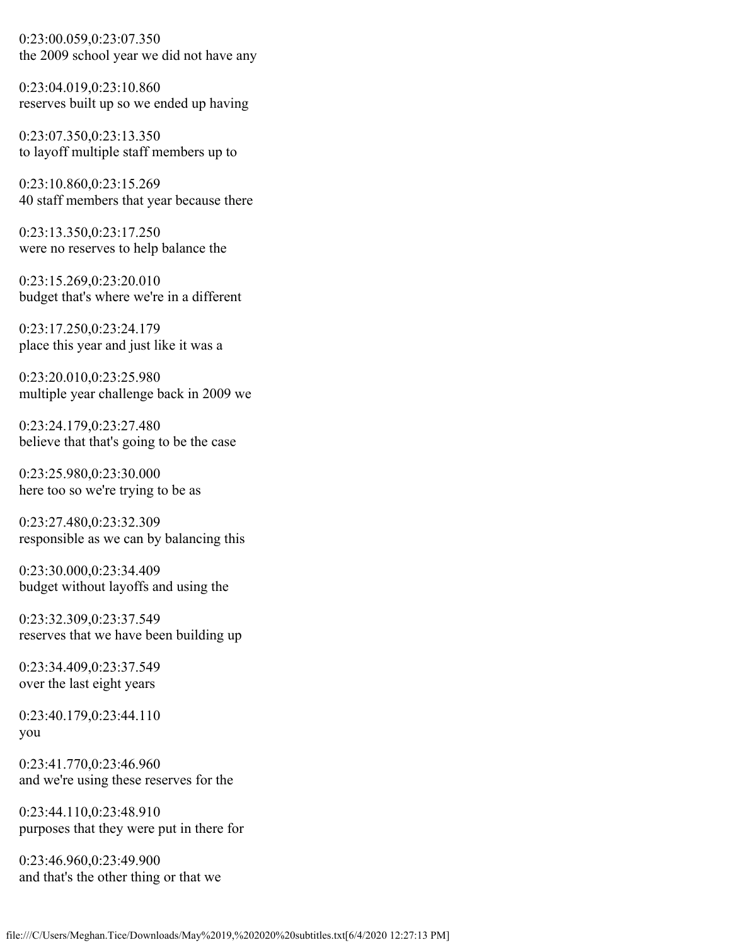0:23:00.059,0:23:07.350 the 2009 school year we did not have any

0:23:04.019,0:23:10.860 reserves built up so we ended up having

0:23:07.350,0:23:13.350 to layoff multiple staff members up to

0:23:10.860,0:23:15.269 40 staff members that year because there

0:23:13.350,0:23:17.250 were no reserves to help balance the

0:23:15.269,0:23:20.010 budget that's where we're in a different

0:23:17.250,0:23:24.179 place this year and just like it was a

0:23:20.010,0:23:25.980 multiple year challenge back in 2009 we

0:23:24.179,0:23:27.480 believe that that's going to be the case

0:23:25.980,0:23:30.000 here too so we're trying to be as

0:23:27.480,0:23:32.309 responsible as we can by balancing this

0:23:30.000,0:23:34.409 budget without layoffs and using the

0:23:32.309,0:23:37.549 reserves that we have been building up

0:23:34.409,0:23:37.549 over the last eight years

0:23:40.179,0:23:44.110 you

0:23:41.770,0:23:46.960 and we're using these reserves for the

0:23:44.110,0:23:48.910 purposes that they were put in there for

0:23:46.960,0:23:49.900 and that's the other thing or that we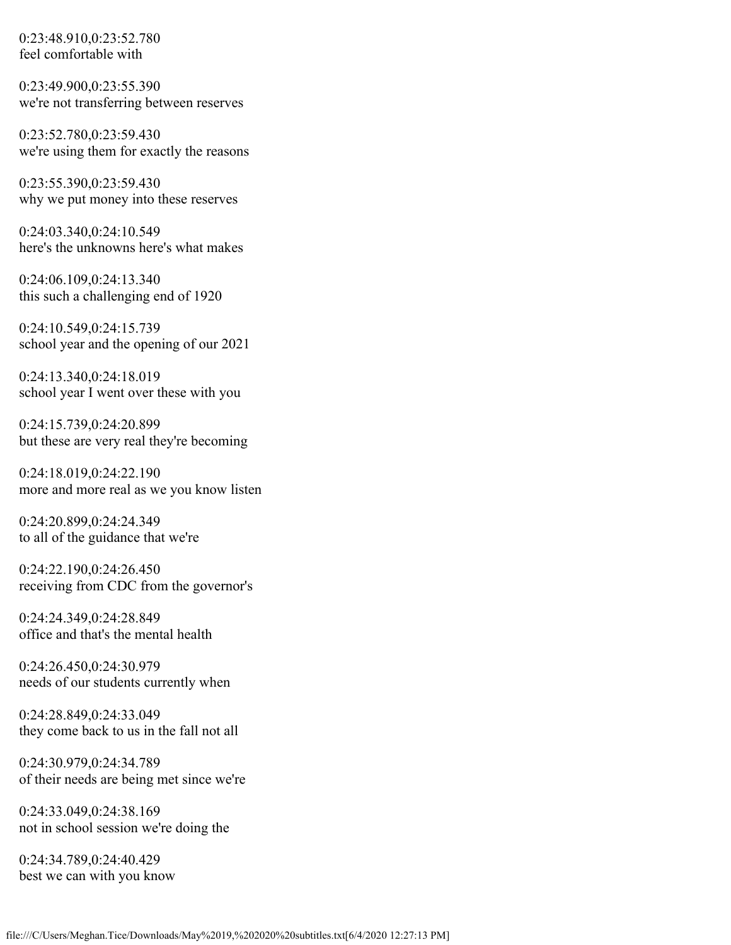0:23:48.910,0:23:52.780 feel comfortable with

0:23:49.900,0:23:55.390 we're not transferring between reserves

0:23:52.780,0:23:59.430 we're using them for exactly the reasons

0:23:55.390,0:23:59.430 why we put money into these reserves

0:24:03.340,0:24:10.549 here's the unknowns here's what makes

0:24:06.109,0:24:13.340 this such a challenging end of 1920

0:24:10.549,0:24:15.739 school year and the opening of our 2021

0:24:13.340,0:24:18.019 school year I went over these with you

0:24:15.739,0:24:20.899 but these are very real they're becoming

0:24:18.019,0:24:22.190 more and more real as we you know listen

0:24:20.899,0:24:24.349 to all of the guidance that we're

0:24:22.190,0:24:26.450 receiving from CDC from the governor's

0:24:24.349,0:24:28.849 office and that's the mental health

0:24:26.450,0:24:30.979 needs of our students currently when

0:24:28.849,0:24:33.049 they come back to us in the fall not all

0:24:30.979,0:24:34.789 of their needs are being met since we're

0:24:33.049,0:24:38.169 not in school session we're doing the

0:24:34.789,0:24:40.429 best we can with you know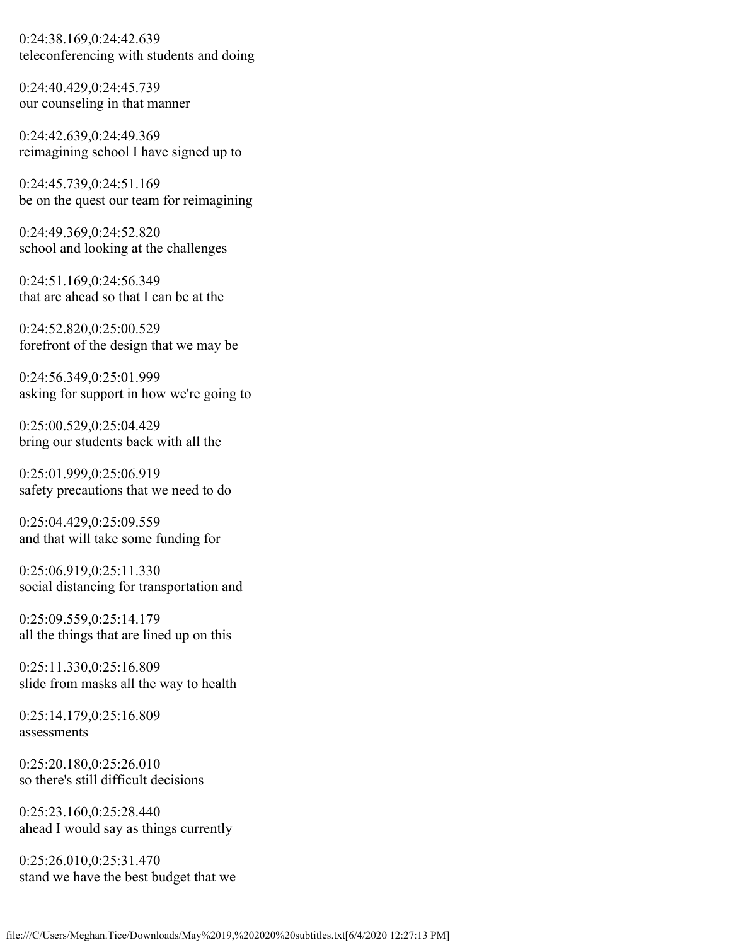0:24:38.169,0:24:42.639 teleconferencing with students and doing

0:24:40.429,0:24:45.739 our counseling in that manner

0:24:42.639,0:24:49.369 reimagining school I have signed up to

0:24:45.739,0:24:51.169 be on the quest our team for reimagining

0:24:49.369,0:24:52.820 school and looking at the challenges

0:24:51.169,0:24:56.349 that are ahead so that I can be at the

0:24:52.820,0:25:00.529 forefront of the design that we may be

0:24:56.349,0:25:01.999 asking for support in how we're going to

0:25:00.529,0:25:04.429 bring our students back with all the

0:25:01.999,0:25:06.919 safety precautions that we need to do

0:25:04.429,0:25:09.559 and that will take some funding for

0:25:06.919,0:25:11.330 social distancing for transportation and

0:25:09.559,0:25:14.179 all the things that are lined up on this

0:25:11.330,0:25:16.809 slide from masks all the way to health

0:25:14.179,0:25:16.809 assessments

0:25:20.180,0:25:26.010 so there's still difficult decisions

0:25:23.160,0:25:28.440 ahead I would say as things currently

0:25:26.010,0:25:31.470 stand we have the best budget that we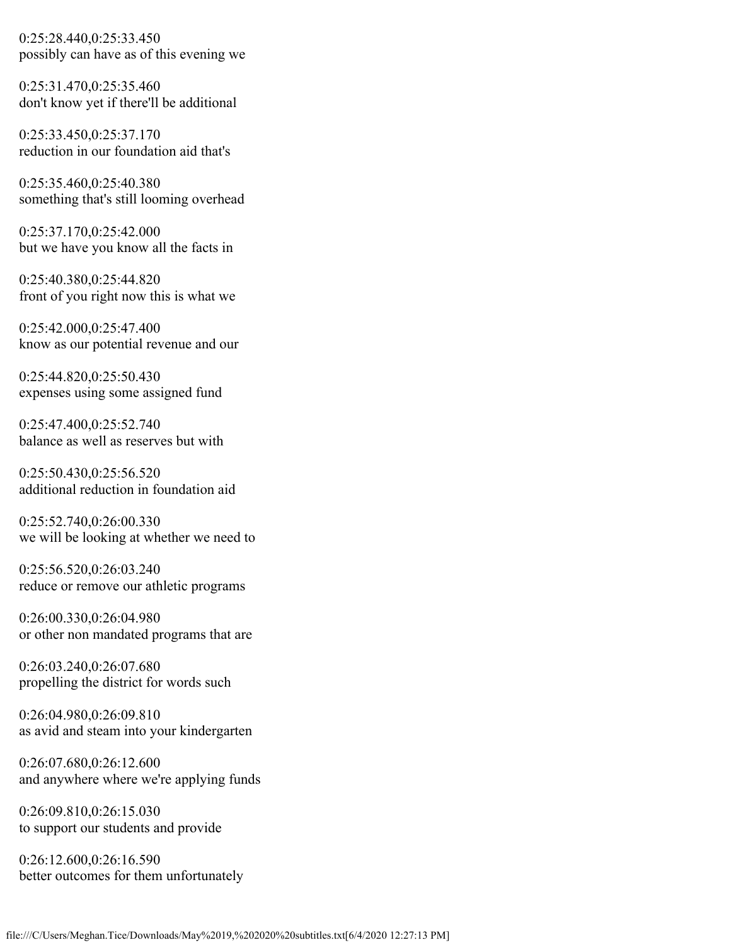0:25:28.440,0:25:33.450 possibly can have as of this evening we

0:25:31.470,0:25:35.460 don't know yet if there'll be additional

0:25:33.450,0:25:37.170 reduction in our foundation aid that's

0:25:35.460,0:25:40.380 something that's still looming overhead

0:25:37.170,0:25:42.000 but we have you know all the facts in

0:25:40.380,0:25:44.820 front of you right now this is what we

0:25:42.000,0:25:47.400 know as our potential revenue and our

0:25:44.820,0:25:50.430 expenses using some assigned fund

0:25:47.400,0:25:52.740 balance as well as reserves but with

0:25:50.430,0:25:56.520 additional reduction in foundation aid

0:25:52.740,0:26:00.330 we will be looking at whether we need to

0:25:56.520,0:26:03.240 reduce or remove our athletic programs

0:26:00.330,0:26:04.980 or other non mandated programs that are

0:26:03.240,0:26:07.680 propelling the district for words such

0:26:04.980,0:26:09.810 as avid and steam into your kindergarten

0:26:07.680,0:26:12.600 and anywhere where we're applying funds

0:26:09.810,0:26:15.030 to support our students and provide

0:26:12.600,0:26:16.590 better outcomes for them unfortunately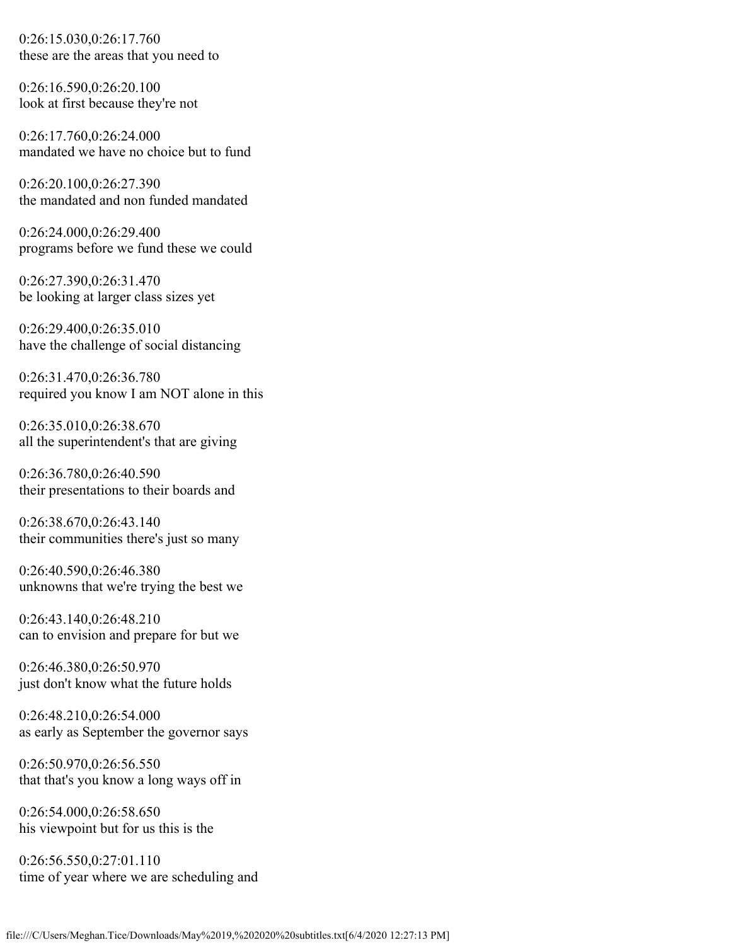0:26:15.030,0:26:17.760 these are the areas that you need to

0:26:16.590,0:26:20.100 look at first because they're not

0:26:17.760,0:26:24.000 mandated we have no choice but to fund

0:26:20.100,0:26:27.390 the mandated and non funded mandated

0:26:24.000,0:26:29.400 programs before we fund these we could

0:26:27.390,0:26:31.470 be looking at larger class sizes yet

0:26:29.400,0:26:35.010 have the challenge of social distancing

0:26:31.470,0:26:36.780 required you know I am NOT alone in this

0:26:35.010,0:26:38.670 all the superintendent's that are giving

0:26:36.780,0:26:40.590 their presentations to their boards and

0:26:38.670,0:26:43.140 their communities there's just so many

0:26:40.590,0:26:46.380 unknowns that we're trying the best we

0:26:43.140,0:26:48.210 can to envision and prepare for but we

0:26:46.380,0:26:50.970 just don't know what the future holds

0:26:48.210,0:26:54.000 as early as September the governor says

0:26:50.970,0:26:56.550 that that's you know a long ways off in

0:26:54.000,0:26:58.650 his viewpoint but for us this is the

0:26:56.550,0:27:01.110 time of year where we are scheduling and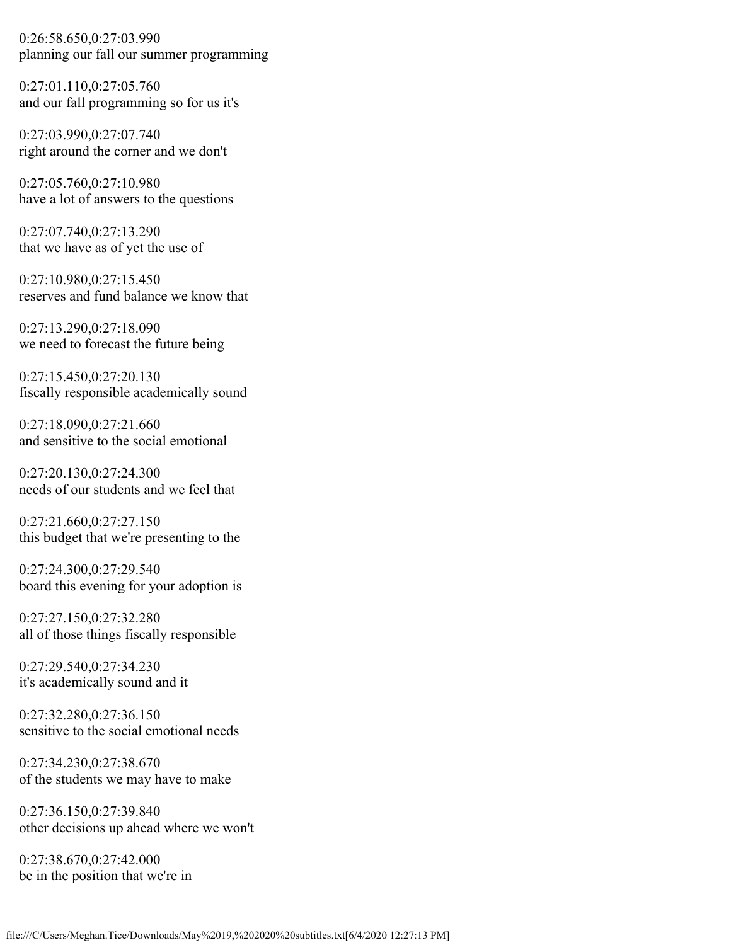0:26:58.650,0:27:03.990 planning our fall our summer programming

0:27:01.110,0:27:05.760 and our fall programming so for us it's

0:27:03.990,0:27:07.740 right around the corner and we don't

0:27:05.760,0:27:10.980 have a lot of answers to the questions

0:27:07.740,0:27:13.290 that we have as of yet the use of

0:27:10.980,0:27:15.450 reserves and fund balance we know that

0:27:13.290,0:27:18.090 we need to forecast the future being

0:27:15.450,0:27:20.130 fiscally responsible academically sound

0:27:18.090,0:27:21.660 and sensitive to the social emotional

0:27:20.130,0:27:24.300 needs of our students and we feel that

0:27:21.660,0:27:27.150 this budget that we're presenting to the

0:27:24.300,0:27:29.540 board this evening for your adoption is

0:27:27.150,0:27:32.280 all of those things fiscally responsible

0:27:29.540,0:27:34.230 it's academically sound and it

0:27:32.280,0:27:36.150 sensitive to the social emotional needs

0:27:34.230,0:27:38.670 of the students we may have to make

0:27:36.150,0:27:39.840 other decisions up ahead where we won't

0:27:38.670,0:27:42.000 be in the position that we're in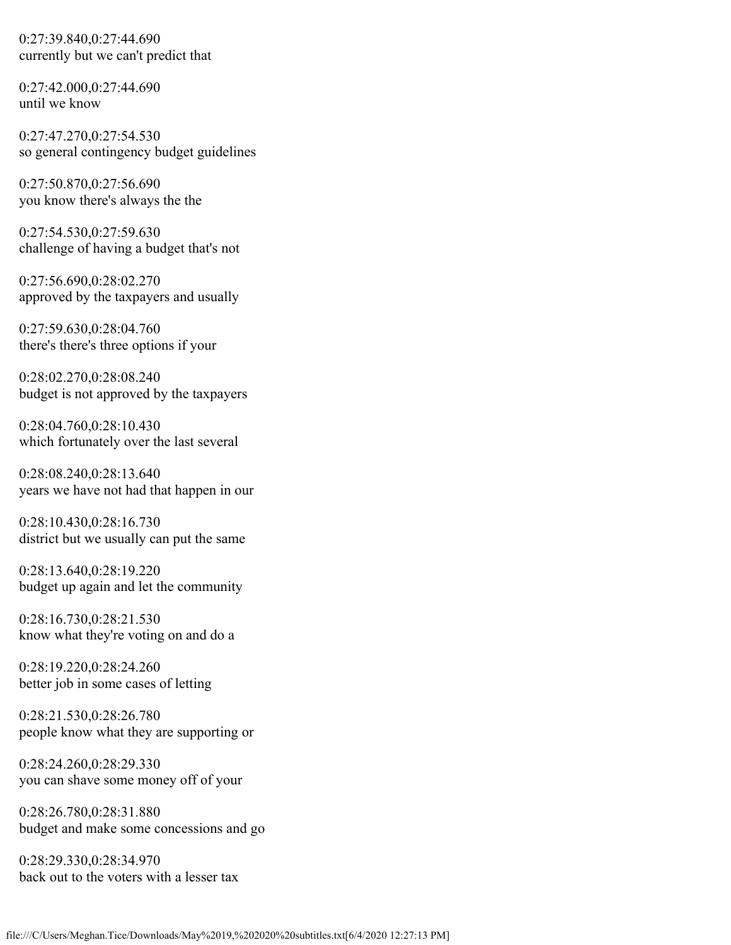0:27:39.840,0:27:44.690 currently but we can't predict that

0:27:42.000,0:27:44.690 until we know

0:27:47.270,0:27:54.530 so general contingency budget guidelines

0:27:50.870,0:27:56.690 you know there's always the the

0:27:54.530,0:27:59.630 challenge of having a budget that's not

0:27:56.690,0:28:02.270 approved by the taxpayers and usually

0:27:59.630,0:28:04.760 there's there's three options if your

0:28:02.270,0:28:08.240 budget is not approved by the taxpayers

0:28:04.760,0:28:10.430 which fortunately over the last several

0:28:08.240,0:28:13.640 years we have not had that happen in our

0:28:10.430,0:28:16.730 district but we usually can put the same

0:28:13.640,0:28:19.220 budget up again and let the community

0:28:16.730,0:28:21.530 know what they're voting on and do a

0:28:19.220,0:28:24.260 better job in some cases of letting

0:28:21.530,0:28:26.780 people know what they are supporting or

0:28:24.260,0:28:29.330 you can shave some money off of your

0:28:26.780,0:28:31.880 budget and make some concessions and go

0:28:29.330,0:28:34.970 back out to the voters with a lesser tax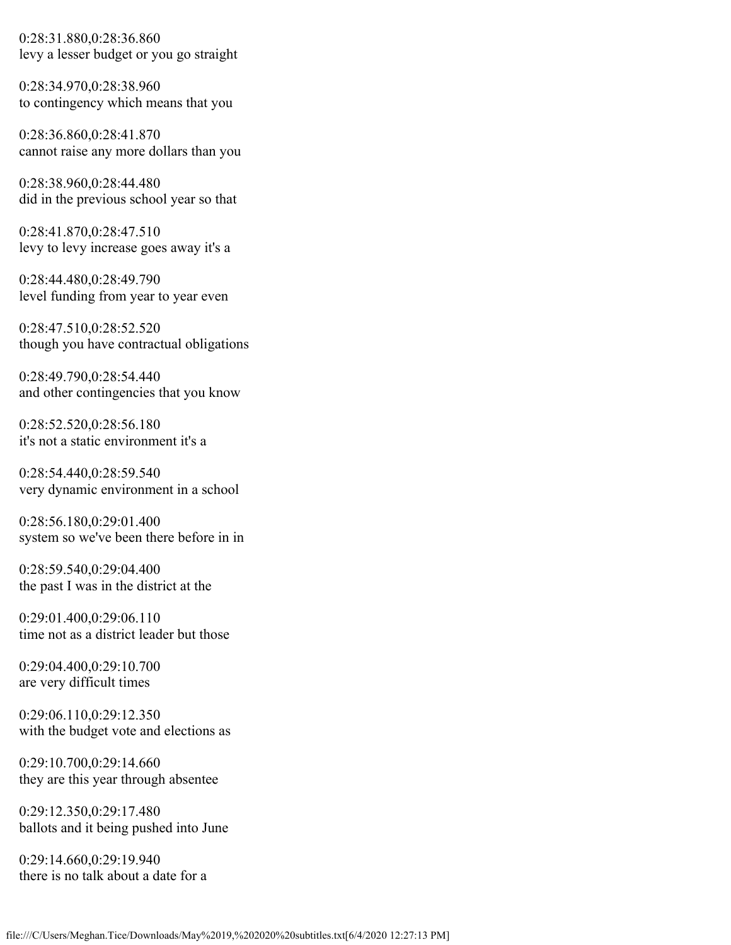0:28:31.880,0:28:36.860 levy a lesser budget or you go straight

0:28:34.970,0:28:38.960 to contingency which means that you

0:28:36.860,0:28:41.870 cannot raise any more dollars than you

0:28:38.960,0:28:44.480 did in the previous school year so that

0:28:41.870,0:28:47.510 levy to levy increase goes away it's a

0:28:44.480,0:28:49.790 level funding from year to year even

0:28:47.510,0:28:52.520 though you have contractual obligations

0:28:49.790,0:28:54.440 and other contingencies that you know

0:28:52.520,0:28:56.180 it's not a static environment it's a

0:28:54.440,0:28:59.540 very dynamic environment in a school

0:28:56.180,0:29:01.400 system so we've been there before in in

0:28:59.540,0:29:04.400 the past I was in the district at the

0:29:01.400,0:29:06.110 time not as a district leader but those

0:29:04.400,0:29:10.700 are very difficult times

0:29:06.110,0:29:12.350 with the budget vote and elections as

0:29:10.700,0:29:14.660 they are this year through absentee

0:29:12.350,0:29:17.480 ballots and it being pushed into June

0:29:14.660,0:29:19.940 there is no talk about a date for a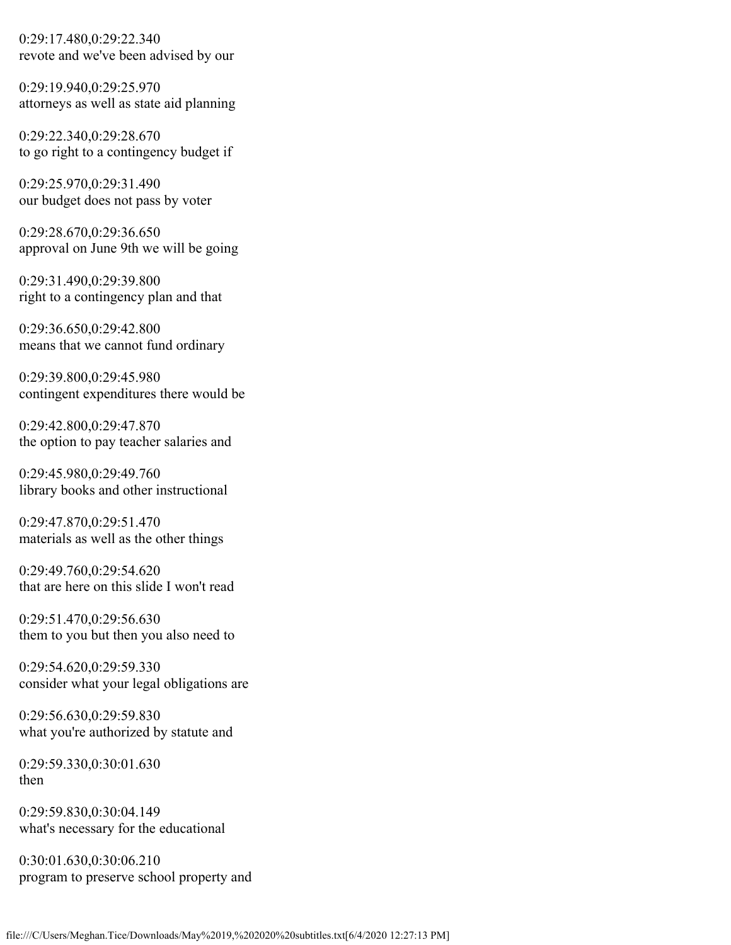0:29:17.480,0:29:22.340 revote and we've been advised by our

0:29:19.940,0:29:25.970 attorneys as well as state aid planning

0:29:22.340,0:29:28.670 to go right to a contingency budget if

0:29:25.970,0:29:31.490 our budget does not pass by voter

0:29:28.670,0:29:36.650 approval on June 9th we will be going

0:29:31.490,0:29:39.800 right to a contingency plan and that

0:29:36.650,0:29:42.800 means that we cannot fund ordinary

0:29:39.800,0:29:45.980 contingent expenditures there would be

0:29:42.800,0:29:47.870 the option to pay teacher salaries and

0:29:45.980,0:29:49.760 library books and other instructional

0:29:47.870,0:29:51.470 materials as well as the other things

0:29:49.760,0:29:54.620 that are here on this slide I won't read

0:29:51.470,0:29:56.630 them to you but then you also need to

0:29:54.620,0:29:59.330 consider what your legal obligations are

0:29:56.630,0:29:59.830 what you're authorized by statute and

0:29:59.330,0:30:01.630 then

0:29:59.830,0:30:04.149 what's necessary for the educational

0:30:01.630,0:30:06.210 program to preserve school property and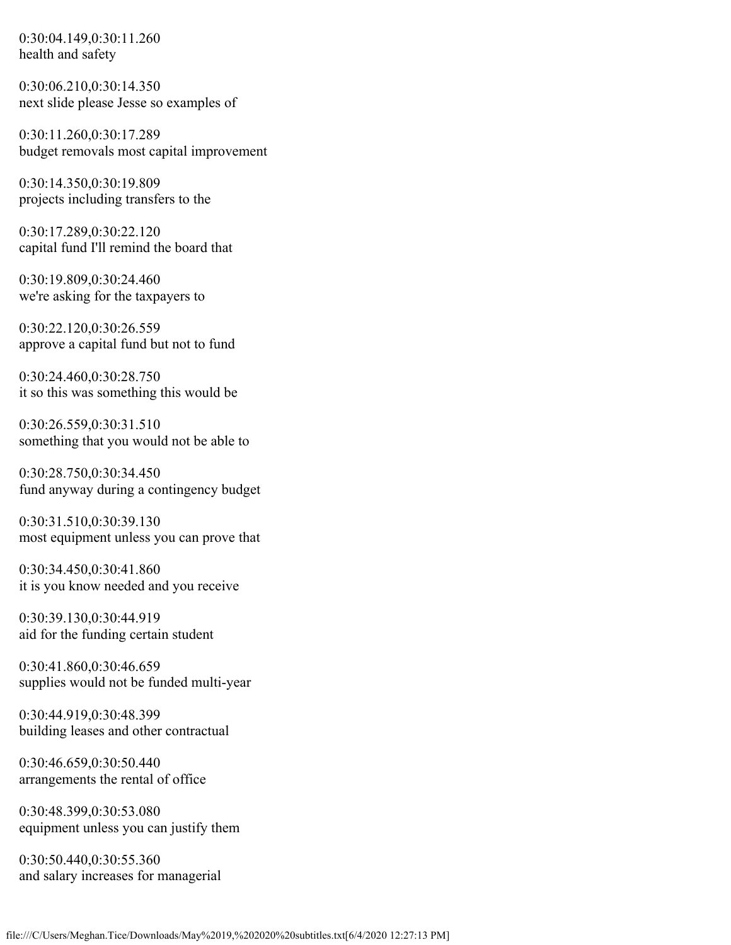0:30:04.149,0:30:11.260 health and safety

0:30:06.210,0:30:14.350 next slide please Jesse so examples of

0:30:11.260,0:30:17.289 budget removals most capital improvement

0:30:14.350,0:30:19.809 projects including transfers to the

0:30:17.289,0:30:22.120 capital fund I'll remind the board that

0:30:19.809,0:30:24.460 we're asking for the taxpayers to

0:30:22.120,0:30:26.559 approve a capital fund but not to fund

0:30:24.460,0:30:28.750 it so this was something this would be

0:30:26.559,0:30:31.510 something that you would not be able to

0:30:28.750,0:30:34.450 fund anyway during a contingency budget

0:30:31.510,0:30:39.130 most equipment unless you can prove that

0:30:34.450,0:30:41.860 it is you know needed and you receive

0:30:39.130,0:30:44.919 aid for the funding certain student

0:30:41.860,0:30:46.659 supplies would not be funded multi-year

0:30:44.919,0:30:48.399 building leases and other contractual

0:30:46.659,0:30:50.440 arrangements the rental of office

0:30:48.399,0:30:53.080 equipment unless you can justify them

0:30:50.440,0:30:55.360 and salary increases for managerial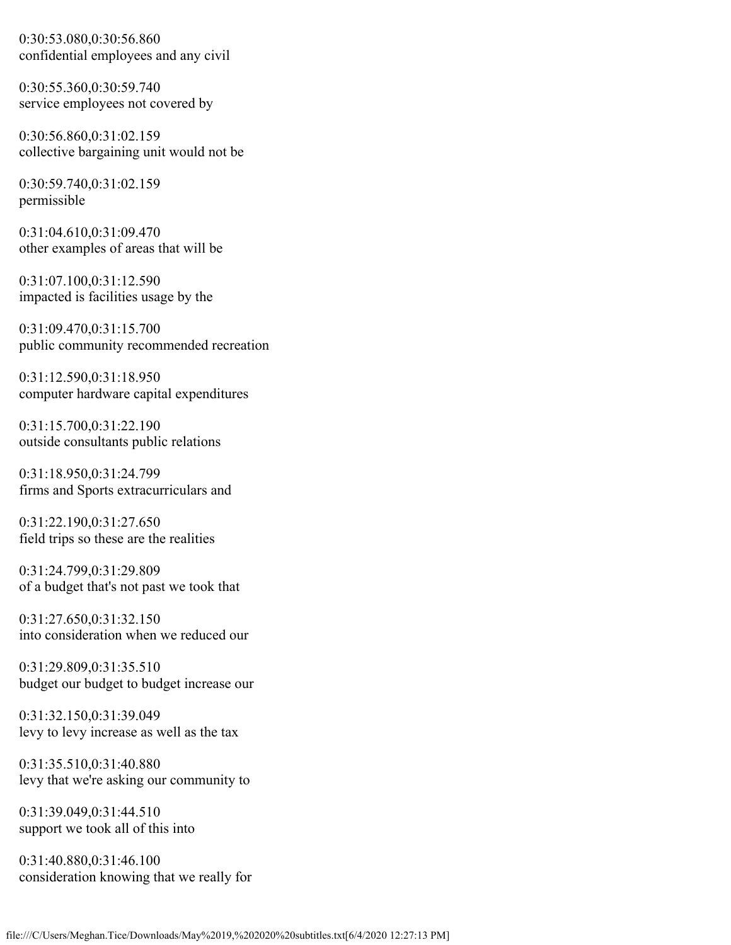0:30:53.080,0:30:56.860 confidential employees and any civil

0:30:55.360,0:30:59.740 service employees not covered by

0:30:56.860,0:31:02.159 collective bargaining unit would not be

0:30:59.740,0:31:02.159 permissible

0:31:04.610,0:31:09.470 other examples of areas that will be

0:31:07.100,0:31:12.590 impacted is facilities usage by the

0:31:09.470,0:31:15.700 public community recommended recreation

0:31:12.590,0:31:18.950 computer hardware capital expenditures

0:31:15.700,0:31:22.190 outside consultants public relations

0:31:18.950,0:31:24.799 firms and Sports extracurriculars and

0:31:22.190,0:31:27.650 field trips so these are the realities

0:31:24.799,0:31:29.809 of a budget that's not past we took that

0:31:27.650,0:31:32.150 into consideration when we reduced our

0:31:29.809,0:31:35.510 budget our budget to budget increase our

0:31:32.150,0:31:39.049 levy to levy increase as well as the tax

0:31:35.510,0:31:40.880 levy that we're asking our community to

0:31:39.049,0:31:44.510 support we took all of this into

0:31:40.880,0:31:46.100 consideration knowing that we really for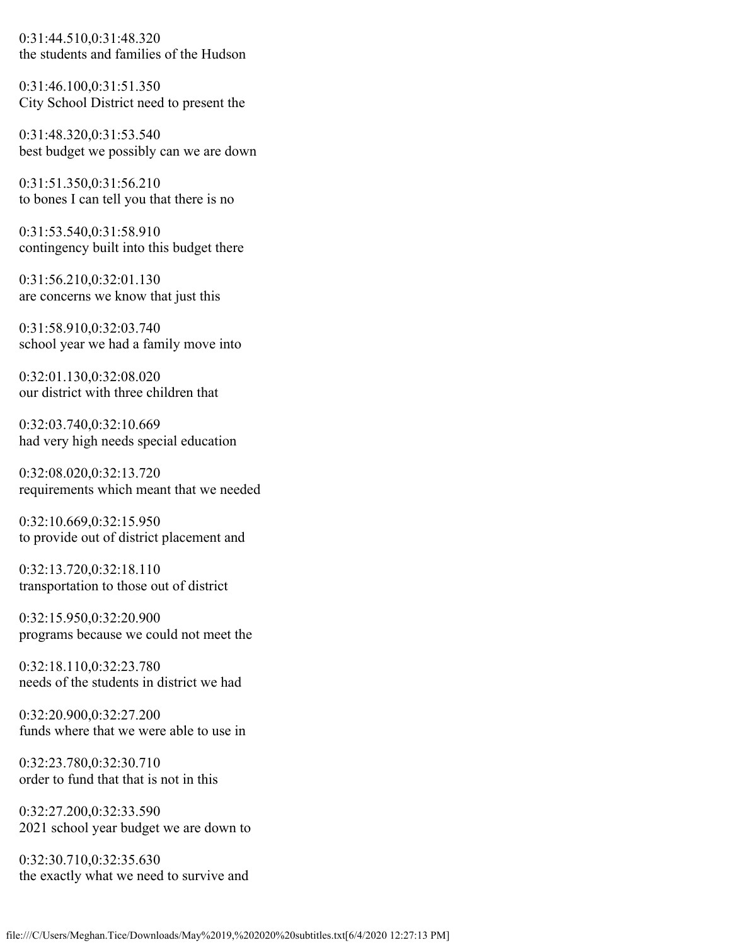0:31:44.510,0:31:48.320 the students and families of the Hudson

0:31:46.100,0:31:51.350 City School District need to present the

0:31:48.320,0:31:53.540 best budget we possibly can we are down

0:31:51.350,0:31:56.210 to bones I can tell you that there is no

0:31:53.540,0:31:58.910 contingency built into this budget there

0:31:56.210,0:32:01.130 are concerns we know that just this

0:31:58.910,0:32:03.740 school year we had a family move into

0:32:01.130,0:32:08.020 our district with three children that

0:32:03.740,0:32:10.669 had very high needs special education

0:32:08.020,0:32:13.720 requirements which meant that we needed

0:32:10.669,0:32:15.950 to provide out of district placement and

0:32:13.720,0:32:18.110 transportation to those out of district

0:32:15.950,0:32:20.900 programs because we could not meet the

0:32:18.110,0:32:23.780 needs of the students in district we had

0:32:20.900,0:32:27.200 funds where that we were able to use in

0:32:23.780,0:32:30.710 order to fund that that is not in this

0:32:27.200,0:32:33.590 2021 school year budget we are down to

0:32:30.710,0:32:35.630 the exactly what we need to survive and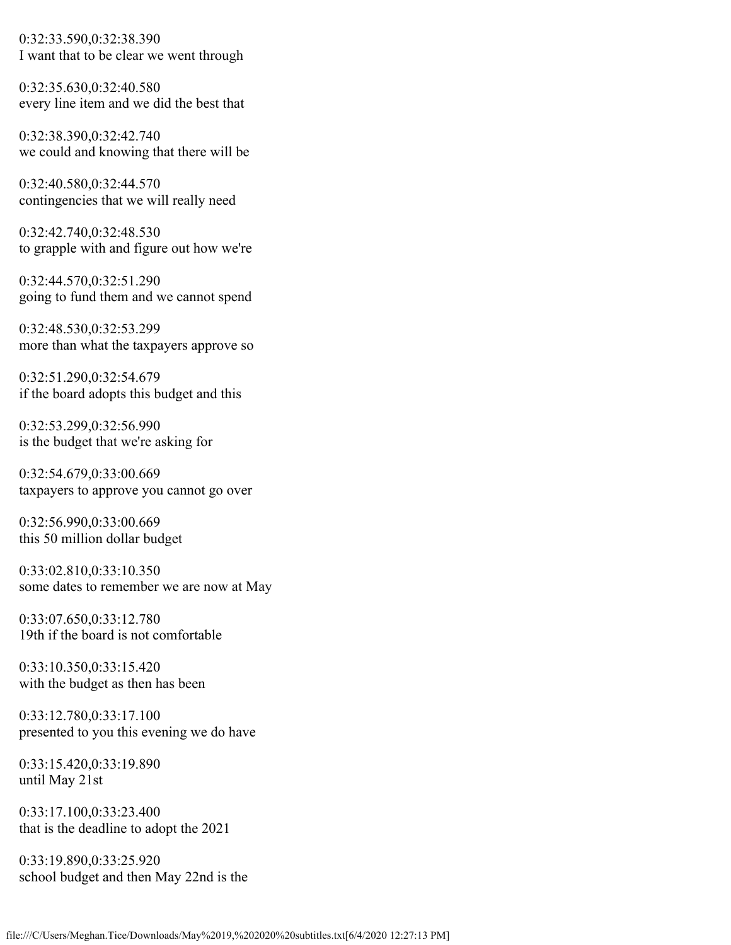0:32:33.590,0:32:38.390 I want that to be clear we went through

0:32:35.630,0:32:40.580 every line item and we did the best that

0:32:38.390,0:32:42.740 we could and knowing that there will be

0:32:40.580,0:32:44.570 contingencies that we will really need

0:32:42.740,0:32:48.530 to grapple with and figure out how we're

0:32:44.570,0:32:51.290 going to fund them and we cannot spend

0:32:48.530,0:32:53.299 more than what the taxpayers approve so

0:32:51.290,0:32:54.679 if the board adopts this budget and this

0:32:53.299,0:32:56.990 is the budget that we're asking for

0:32:54.679,0:33:00.669 taxpayers to approve you cannot go over

0:32:56.990,0:33:00.669 this 50 million dollar budget

0:33:02.810,0:33:10.350 some dates to remember we are now at May

0:33:07.650,0:33:12.780 19th if the board is not comfortable

0:33:10.350,0:33:15.420 with the budget as then has been

0:33:12.780,0:33:17.100 presented to you this evening we do have

0:33:15.420,0:33:19.890 until May 21st

0:33:17.100,0:33:23.400 that is the deadline to adopt the 2021

0:33:19.890,0:33:25.920 school budget and then May 22nd is the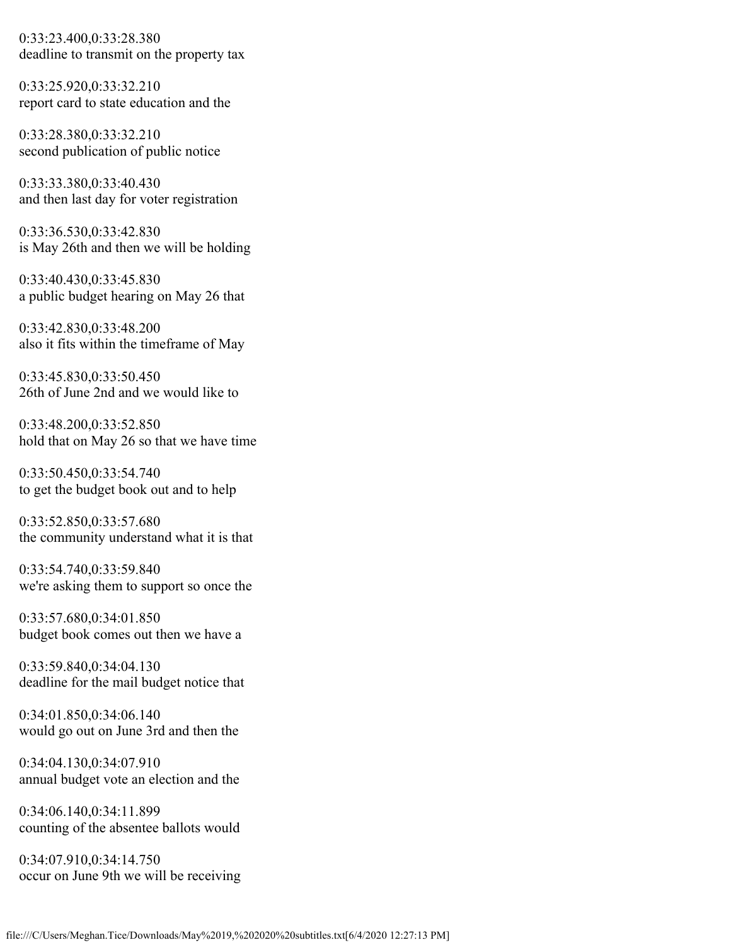0:33:23.400,0:33:28.380 deadline to transmit on the property tax

0:33:25.920,0:33:32.210 report card to state education and the

0:33:28.380,0:33:32.210 second publication of public notice

0:33:33.380,0:33:40.430 and then last day for voter registration

0:33:36.530,0:33:42.830 is May 26th and then we will be holding

0:33:40.430,0:33:45.830 a public budget hearing on May 26 that

0:33:42.830,0:33:48.200 also it fits within the timeframe of May

0:33:45.830,0:33:50.450 26th of June 2nd and we would like to

0:33:48.200,0:33:52.850 hold that on May 26 so that we have time

0:33:50.450,0:33:54.740 to get the budget book out and to help

0:33:52.850,0:33:57.680 the community understand what it is that

0:33:54.740,0:33:59.840 we're asking them to support so once the

0:33:57.680,0:34:01.850 budget book comes out then we have a

0:33:59.840,0:34:04.130 deadline for the mail budget notice that

0:34:01.850,0:34:06.140 would go out on June 3rd and then the

0:34:04.130,0:34:07.910 annual budget vote an election and the

0:34:06.140,0:34:11.899 counting of the absentee ballots would

0:34:07.910,0:34:14.750 occur on June 9th we will be receiving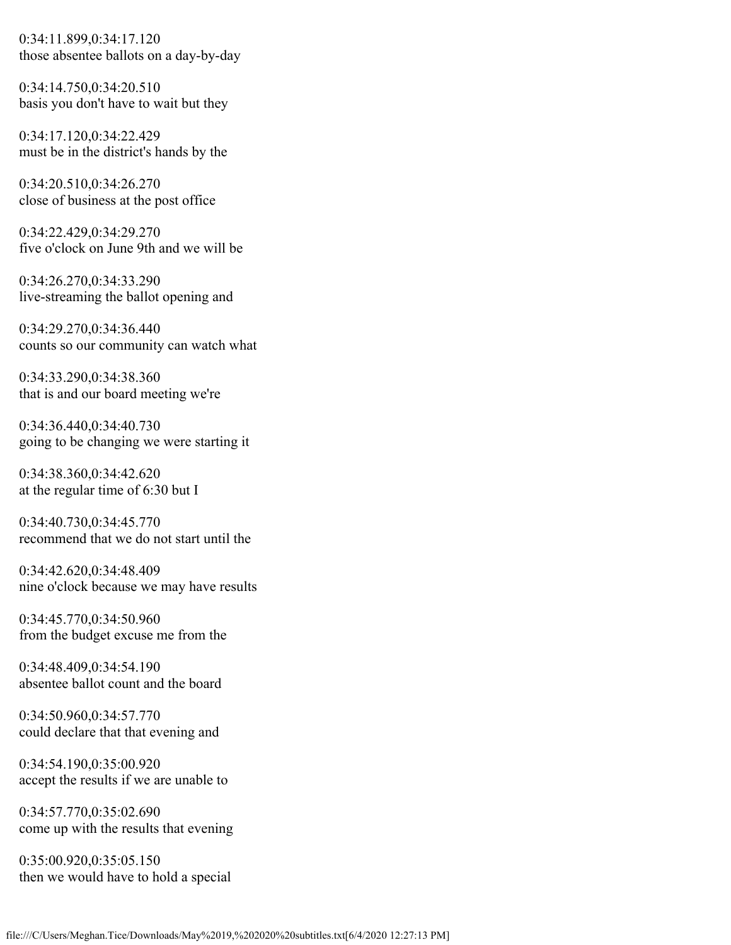0:34:11.899,0:34:17.120 those absentee ballots on a day-by-day

0:34:14.750,0:34:20.510 basis you don't have to wait but they

0:34:17.120,0:34:22.429 must be in the district's hands by the

0:34:20.510,0:34:26.270 close of business at the post office

0:34:22.429,0:34:29.270 five o'clock on June 9th and we will be

0:34:26.270,0:34:33.290 live-streaming the ballot opening and

0:34:29.270,0:34:36.440 counts so our community can watch what

0:34:33.290,0:34:38.360 that is and our board meeting we're

0:34:36.440,0:34:40.730 going to be changing we were starting it

0:34:38.360,0:34:42.620 at the regular time of 6:30 but I

0:34:40.730,0:34:45.770 recommend that we do not start until the

0:34:42.620,0:34:48.409 nine o'clock because we may have results

0:34:45.770,0:34:50.960 from the budget excuse me from the

0:34:48.409,0:34:54.190 absentee ballot count and the board

0:34:50.960,0:34:57.770 could declare that that evening and

0:34:54.190,0:35:00.920 accept the results if we are unable to

0:34:57.770,0:35:02.690 come up with the results that evening

0:35:00.920,0:35:05.150 then we would have to hold a special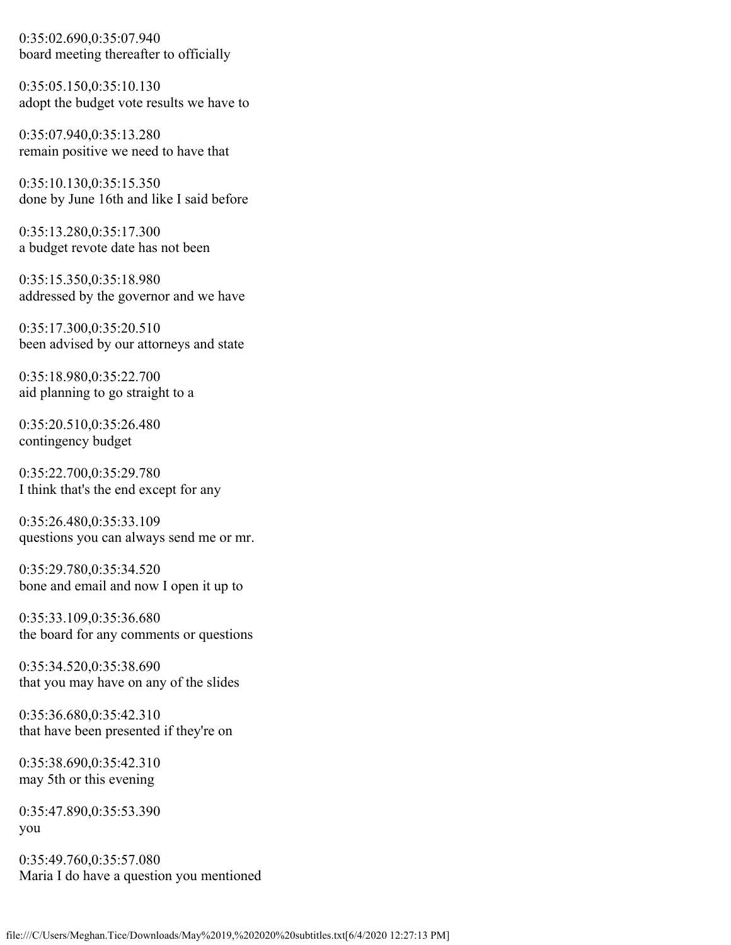0:35:02.690,0:35:07.940 board meeting thereafter to officially

0:35:05.150,0:35:10.130 adopt the budget vote results we have to

0:35:07.940,0:35:13.280 remain positive we need to have that

0:35:10.130,0:35:15.350 done by June 16th and like I said before

0:35:13.280,0:35:17.300 a budget revote date has not been

0:35:15.350,0:35:18.980 addressed by the governor and we have

0:35:17.300,0:35:20.510 been advised by our attorneys and state

0:35:18.980,0:35:22.700 aid planning to go straight to a

0:35:20.510,0:35:26.480 contingency budget

0:35:22.700,0:35:29.780 I think that's the end except for any

0:35:26.480,0:35:33.109 questions you can always send me or mr.

0:35:29.780,0:35:34.520 bone and email and now I open it up to

0:35:33.109,0:35:36.680 the board for any comments or questions

0:35:34.520,0:35:38.690 that you may have on any of the slides

0:35:36.680,0:35:42.310 that have been presented if they're on

0:35:38.690,0:35:42.310 may 5th or this evening

0:35:47.890,0:35:53.390 you

0:35:49.760,0:35:57.080 Maria I do have a question you mentioned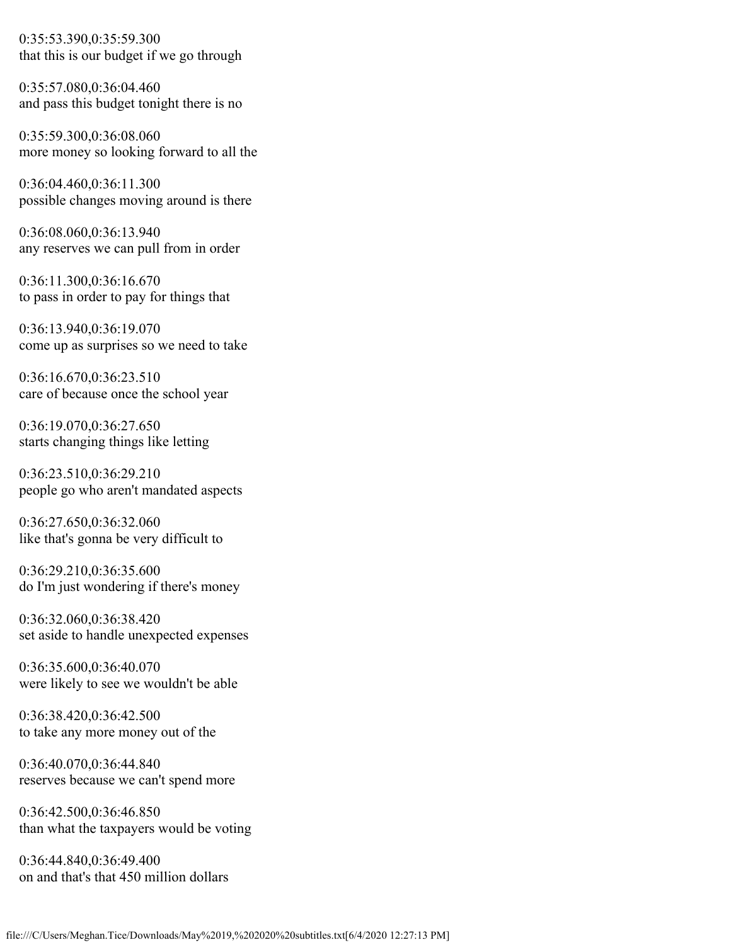0:35:53.390,0:35:59.300 that this is our budget if we go through

0:35:57.080,0:36:04.460 and pass this budget tonight there is no

0:35:59.300,0:36:08.060 more money so looking forward to all the

0:36:04.460,0:36:11.300 possible changes moving around is there

0:36:08.060,0:36:13.940 any reserves we can pull from in order

0:36:11.300,0:36:16.670 to pass in order to pay for things that

0:36:13.940,0:36:19.070 come up as surprises so we need to take

0:36:16.670,0:36:23.510 care of because once the school year

0:36:19.070,0:36:27.650 starts changing things like letting

0:36:23.510,0:36:29.210 people go who aren't mandated aspects

0:36:27.650,0:36:32.060 like that's gonna be very difficult to

0:36:29.210,0:36:35.600 do I'm just wondering if there's money

0:36:32.060,0:36:38.420 set aside to handle unexpected expenses

0:36:35.600,0:36:40.070 were likely to see we wouldn't be able

0:36:38.420,0:36:42.500 to take any more money out of the

0:36:40.070,0:36:44.840 reserves because we can't spend more

0:36:42.500,0:36:46.850 than what the taxpayers would be voting

0:36:44.840,0:36:49.400 on and that's that 450 million dollars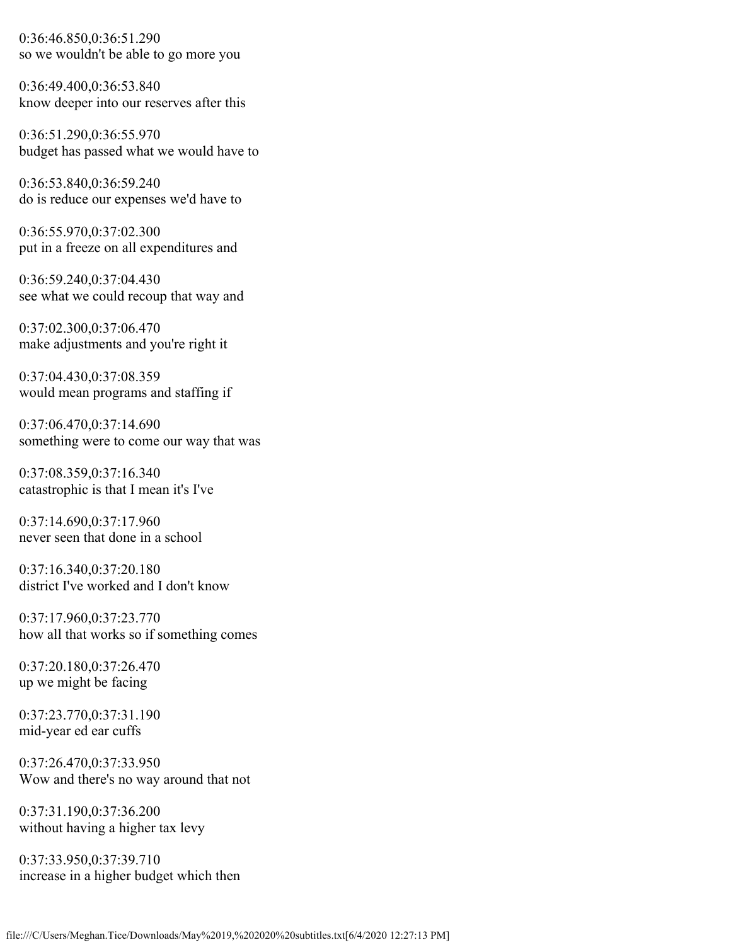0:36:46.850,0:36:51.290 so we wouldn't be able to go more you

0:36:49.400,0:36:53.840 know deeper into our reserves after this

0:36:51.290,0:36:55.970 budget has passed what we would have to

0:36:53.840,0:36:59.240 do is reduce our expenses we'd have to

0:36:55.970,0:37:02.300 put in a freeze on all expenditures and

0:36:59.240,0:37:04.430 see what we could recoup that way and

0:37:02.300,0:37:06.470 make adjustments and you're right it

0:37:04.430,0:37:08.359 would mean programs and staffing if

0:37:06.470,0:37:14.690 something were to come our way that was

0:37:08.359,0:37:16.340 catastrophic is that I mean it's I've

0:37:14.690,0:37:17.960 never seen that done in a school

0:37:16.340,0:37:20.180 district I've worked and I don't know

0:37:17.960,0:37:23.770 how all that works so if something comes

0:37:20.180,0:37:26.470 up we might be facing

0:37:23.770,0:37:31.190 mid-year ed ear cuffs

0:37:26.470,0:37:33.950 Wow and there's no way around that not

0:37:31.190,0:37:36.200 without having a higher tax levy

0:37:33.950,0:37:39.710 increase in a higher budget which then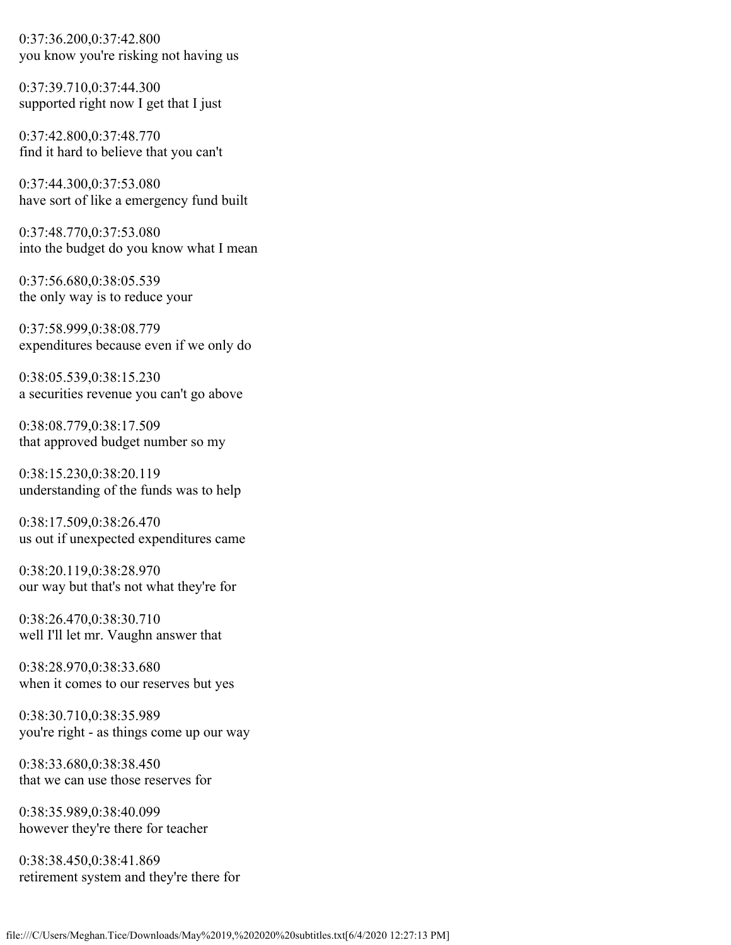0:37:36.200,0:37:42.800 you know you're risking not having us

0:37:39.710,0:37:44.300 supported right now I get that I just

0:37:42.800,0:37:48.770 find it hard to believe that you can't

0:37:44.300,0:37:53.080 have sort of like a emergency fund built

0:37:48.770,0:37:53.080 into the budget do you know what I mean

0:37:56.680,0:38:05.539 the only way is to reduce your

0:37:58.999,0:38:08.779 expenditures because even if we only do

0:38:05.539,0:38:15.230 a securities revenue you can't go above

0:38:08.779,0:38:17.509 that approved budget number so my

0:38:15.230,0:38:20.119 understanding of the funds was to help

0:38:17.509,0:38:26.470 us out if unexpected expenditures came

0:38:20.119,0:38:28.970 our way but that's not what they're for

0:38:26.470,0:38:30.710 well I'll let mr. Vaughn answer that

0:38:28.970,0:38:33.680 when it comes to our reserves but yes

0:38:30.710,0:38:35.989 you're right - as things come up our way

0:38:33.680,0:38:38.450 that we can use those reserves for

0:38:35.989,0:38:40.099 however they're there for teacher

0:38:38.450,0:38:41.869 retirement system and they're there for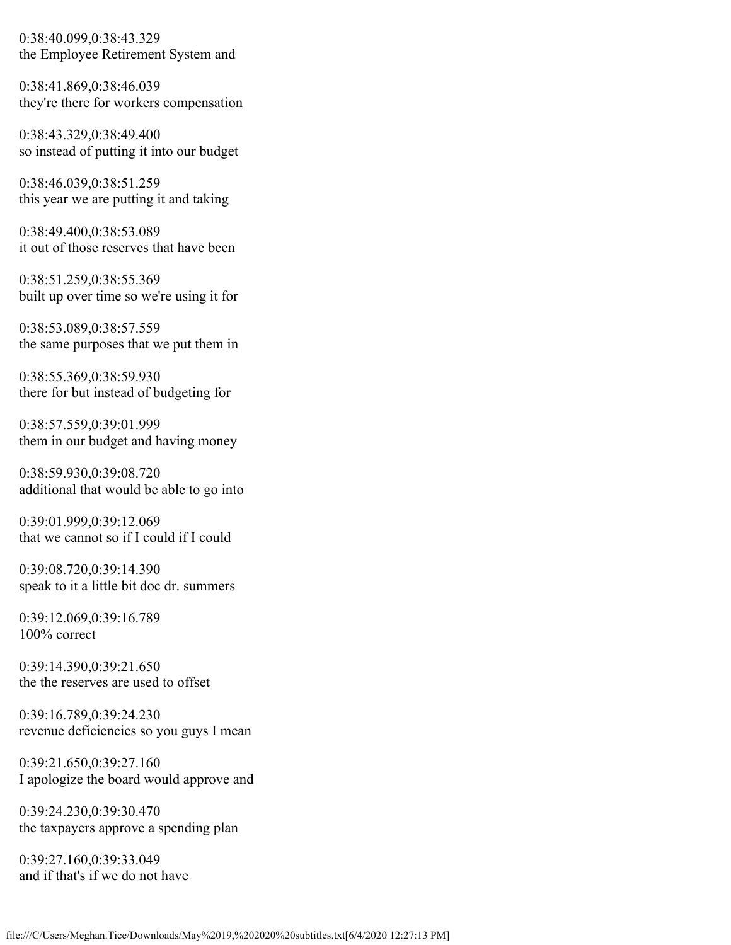0:38:40.099,0:38:43.329 the Employee Retirement System and

0:38:41.869,0:38:46.039 they're there for workers compensation

0:38:43.329,0:38:49.400 so instead of putting it into our budget

0:38:46.039,0:38:51.259 this year we are putting it and taking

0:38:49.400,0:38:53.089 it out of those reserves that have been

0:38:51.259,0:38:55.369 built up over time so we're using it for

0:38:53.089,0:38:57.559 the same purposes that we put them in

0:38:55.369,0:38:59.930 there for but instead of budgeting for

0:38:57.559,0:39:01.999 them in our budget and having money

0:38:59.930,0:39:08.720 additional that would be able to go into

0:39:01.999,0:39:12.069 that we cannot so if I could if I could

0:39:08.720,0:39:14.390 speak to it a little bit doc dr. summers

0:39:12.069,0:39:16.789 100% correct

0:39:14.390,0:39:21.650 the the reserves are used to offset

0:39:16.789,0:39:24.230 revenue deficiencies so you guys I mean

0:39:21.650,0:39:27.160 I apologize the board would approve and

0:39:24.230,0:39:30.470 the taxpayers approve a spending plan

0:39:27.160,0:39:33.049 and if that's if we do not have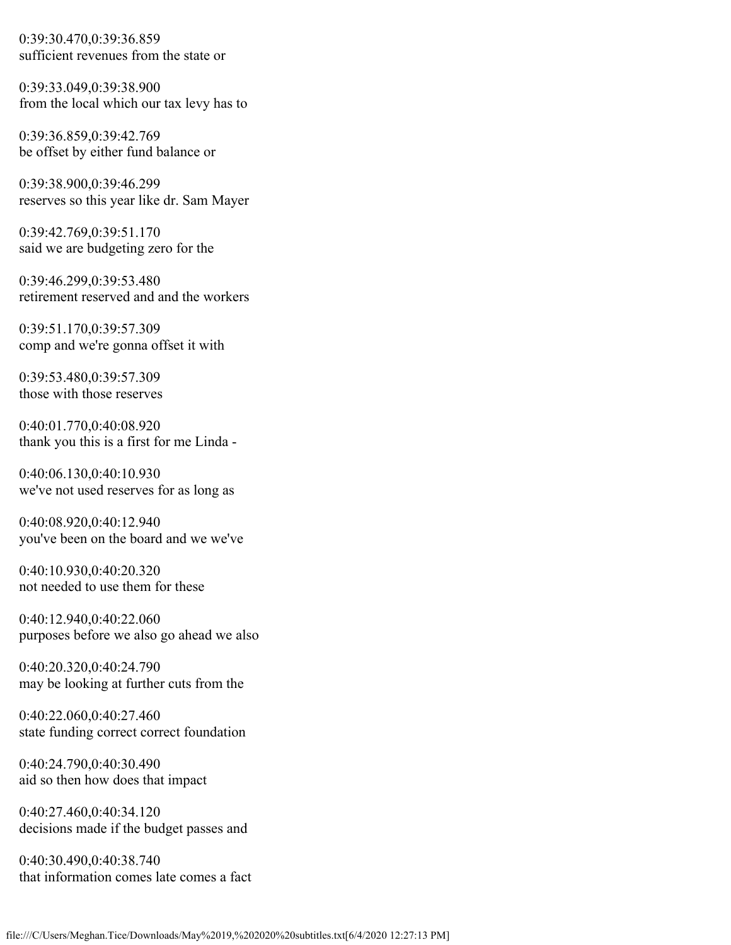0:39:30.470,0:39:36.859 sufficient revenues from the state or

0:39:33.049,0:39:38.900 from the local which our tax levy has to

0:39:36.859,0:39:42.769 be offset by either fund balance or

0:39:38.900,0:39:46.299 reserves so this year like dr. Sam Mayer

0:39:42.769,0:39:51.170 said we are budgeting zero for the

0:39:46.299,0:39:53.480 retirement reserved and and the workers

0:39:51.170,0:39:57.309 comp and we're gonna offset it with

0:39:53.480,0:39:57.309 those with those reserves

0:40:01.770,0:40:08.920 thank you this is a first for me Linda -

0:40:06.130,0:40:10.930 we've not used reserves for as long as

0:40:08.920,0:40:12.940 you've been on the board and we we've

0:40:10.930,0:40:20.320 not needed to use them for these

0:40:12.940,0:40:22.060 purposes before we also go ahead we also

0:40:20.320,0:40:24.790 may be looking at further cuts from the

0:40:22.060,0:40:27.460 state funding correct correct foundation

0:40:24.790,0:40:30.490 aid so then how does that impact

0:40:27.460,0:40:34.120 decisions made if the budget passes and

0:40:30.490,0:40:38.740 that information comes late comes a fact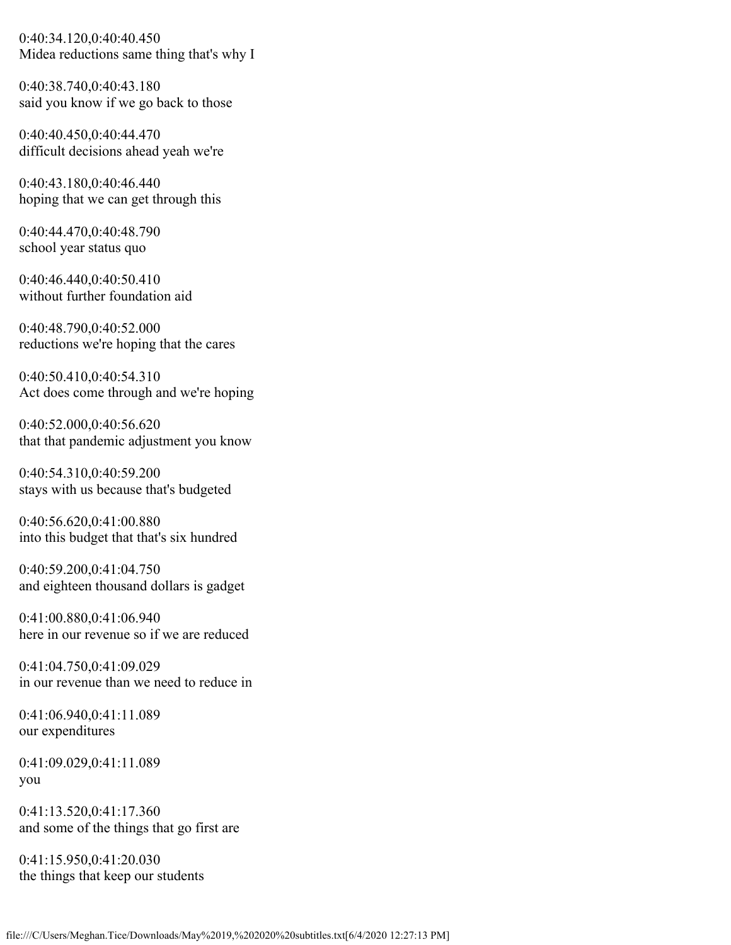0:40:34.120,0:40:40.450 Midea reductions same thing that's why I

0:40:38.740,0:40:43.180 said you know if we go back to those

0:40:40.450,0:40:44.470 difficult decisions ahead yeah we're

0:40:43.180,0:40:46.440 hoping that we can get through this

0:40:44.470,0:40:48.790 school year status quo

0:40:46.440,0:40:50.410 without further foundation aid

0:40:48.790,0:40:52.000 reductions we're hoping that the cares

0:40:50.410,0:40:54.310 Act does come through and we're hoping

0:40:52.000,0:40:56.620 that that pandemic adjustment you know

0:40:54.310,0:40:59.200 stays with us because that's budgeted

0:40:56.620,0:41:00.880 into this budget that that's six hundred

0:40:59.200,0:41:04.750 and eighteen thousand dollars is gadget

0:41:00.880,0:41:06.940 here in our revenue so if we are reduced

0:41:04.750,0:41:09.029 in our revenue than we need to reduce in

0:41:06.940,0:41:11.089 our expenditures

0:41:09.029,0:41:11.089 you

0:41:13.520,0:41:17.360 and some of the things that go first are

0:41:15.950,0:41:20.030 the things that keep our students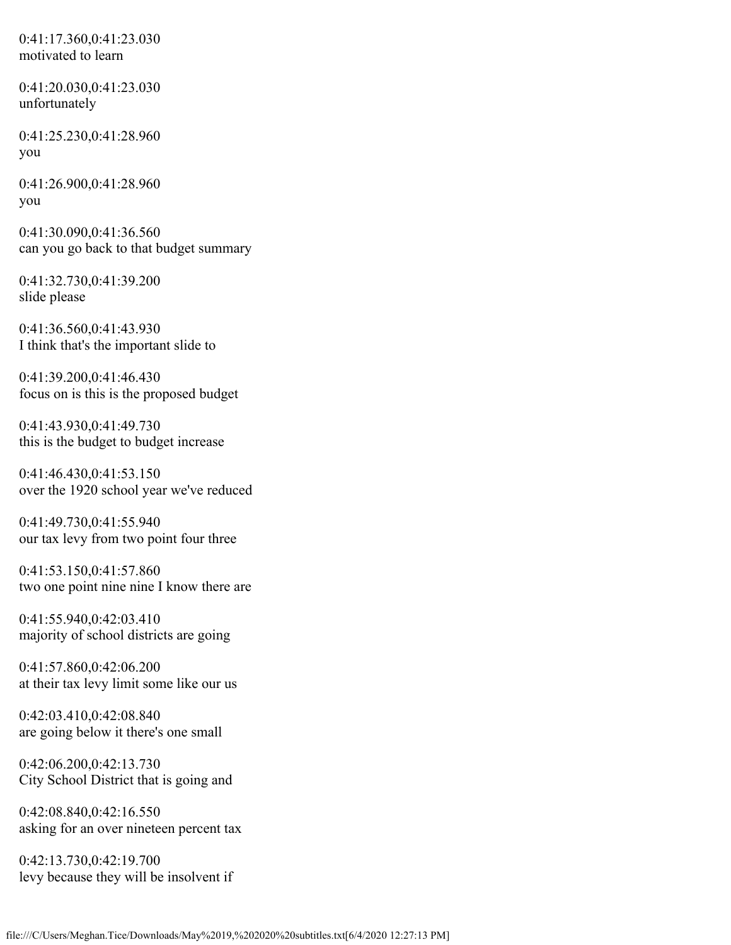0:41:17.360,0:41:23.030 motivated to learn

0:41:20.030,0:41:23.030 unfortunately

0:41:25.230,0:41:28.960 you

0:41:26.900,0:41:28.960 you

0:41:30.090,0:41:36.560 can you go back to that budget summary

0:41:32.730,0:41:39.200 slide please

0:41:36.560,0:41:43.930 I think that's the important slide to

0:41:39.200,0:41:46.430 focus on is this is the proposed budget

0:41:43.930,0:41:49.730 this is the budget to budget increase

0:41:46.430,0:41:53.150 over the 1920 school year we've reduced

0:41:49.730,0:41:55.940 our tax levy from two point four three

0:41:53.150,0:41:57.860 two one point nine nine I know there are

0:41:55.940,0:42:03.410 majority of school districts are going

0:41:57.860,0:42:06.200 at their tax levy limit some like our us

0:42:03.410,0:42:08.840 are going below it there's one small

0:42:06.200,0:42:13.730 City School District that is going and

0:42:08.840,0:42:16.550 asking for an over nineteen percent tax

0:42:13.730,0:42:19.700 levy because they will be insolvent if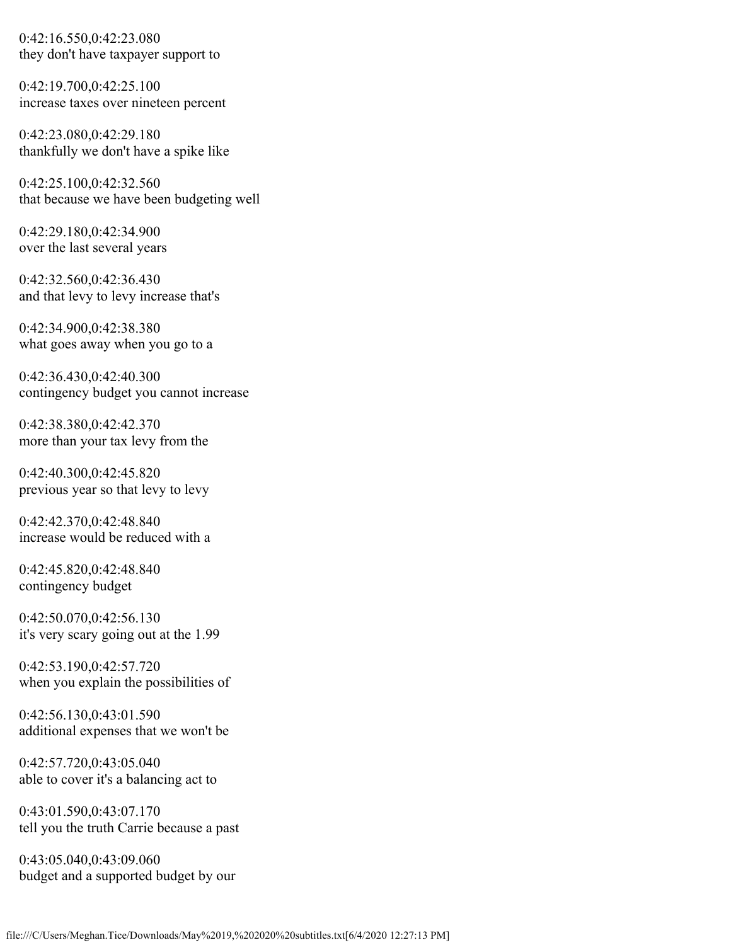0:42:16.550,0:42:23.080 they don't have taxpayer support to

0:42:19.700,0:42:25.100 increase taxes over nineteen percent

0:42:23.080,0:42:29.180 thankfully we don't have a spike like

0:42:25.100,0:42:32.560 that because we have been budgeting well

0:42:29.180,0:42:34.900 over the last several years

0:42:32.560,0:42:36.430 and that levy to levy increase that's

0:42:34.900,0:42:38.380 what goes away when you go to a

0:42:36.430,0:42:40.300 contingency budget you cannot increase

0:42:38.380,0:42:42.370 more than your tax levy from the

0:42:40.300,0:42:45.820 previous year so that levy to levy

0:42:42.370,0:42:48.840 increase would be reduced with a

0:42:45.820,0:42:48.840 contingency budget

0:42:50.070,0:42:56.130 it's very scary going out at the 1.99

0:42:53.190,0:42:57.720 when you explain the possibilities of

0:42:56.130,0:43:01.590 additional expenses that we won't be

0:42:57.720,0:43:05.040 able to cover it's a balancing act to

0:43:01.590,0:43:07.170 tell you the truth Carrie because a past

0:43:05.040,0:43:09.060 budget and a supported budget by our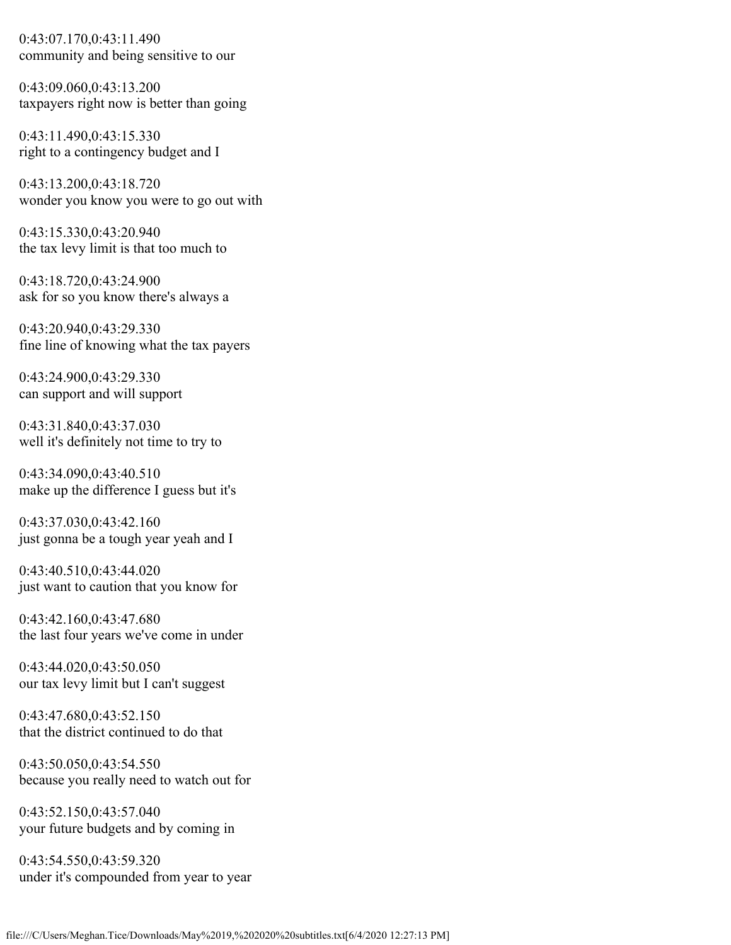0:43:07.170,0:43:11.490 community and being sensitive to our

0:43:09.060,0:43:13.200 taxpayers right now is better than going

0:43:11.490,0:43:15.330 right to a contingency budget and I

0:43:13.200,0:43:18.720 wonder you know you were to go out with

0:43:15.330,0:43:20.940 the tax levy limit is that too much to

0:43:18.720,0:43:24.900 ask for so you know there's always a

0:43:20.940,0:43:29.330 fine line of knowing what the tax payers

0:43:24.900,0:43:29.330 can support and will support

0:43:31.840,0:43:37.030 well it's definitely not time to try to

0:43:34.090,0:43:40.510 make up the difference I guess but it's

0:43:37.030,0:43:42.160 just gonna be a tough year yeah and I

0:43:40.510,0:43:44.020 just want to caution that you know for

0:43:42.160,0:43:47.680 the last four years we've come in under

0:43:44.020,0:43:50.050 our tax levy limit but I can't suggest

0:43:47.680,0:43:52.150 that the district continued to do that

0:43:50.050,0:43:54.550 because you really need to watch out for

0:43:52.150,0:43:57.040 your future budgets and by coming in

0:43:54.550,0:43:59.320 under it's compounded from year to year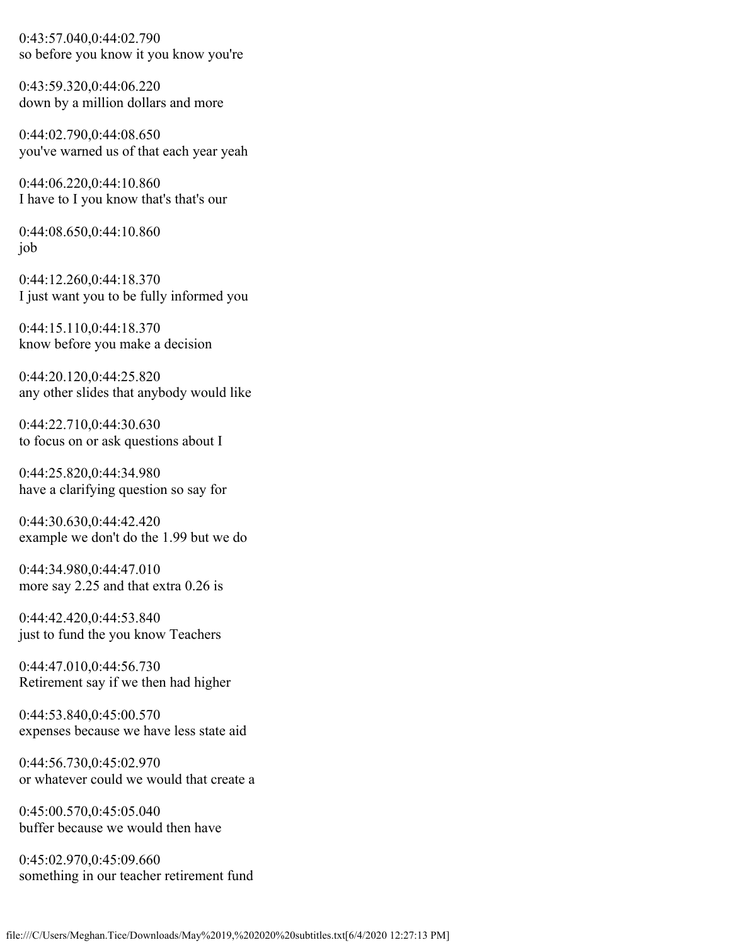0:43:57.040,0:44:02.790 so before you know it you know you're

0:43:59.320,0:44:06.220 down by a million dollars and more

0:44:02.790,0:44:08.650 you've warned us of that each year yeah

0:44:06.220,0:44:10.860 I have to I you know that's that's our

0:44:08.650,0:44:10.860 job

0:44:12.260,0:44:18.370 I just want you to be fully informed you

0:44:15.110,0:44:18.370 know before you make a decision

0:44:20.120,0:44:25.820 any other slides that anybody would like

0:44:22.710,0:44:30.630 to focus on or ask questions about I

0:44:25.820,0:44:34.980 have a clarifying question so say for

0:44:30.630,0:44:42.420 example we don't do the 1.99 but we do

0:44:34.980,0:44:47.010 more say 2.25 and that extra 0.26 is

0:44:42.420,0:44:53.840 just to fund the you know Teachers

0:44:47.010,0:44:56.730 Retirement say if we then had higher

0:44:53.840,0:45:00.570 expenses because we have less state aid

0:44:56.730,0:45:02.970 or whatever could we would that create a

0:45:00.570,0:45:05.040 buffer because we would then have

0:45:02.970,0:45:09.660 something in our teacher retirement fund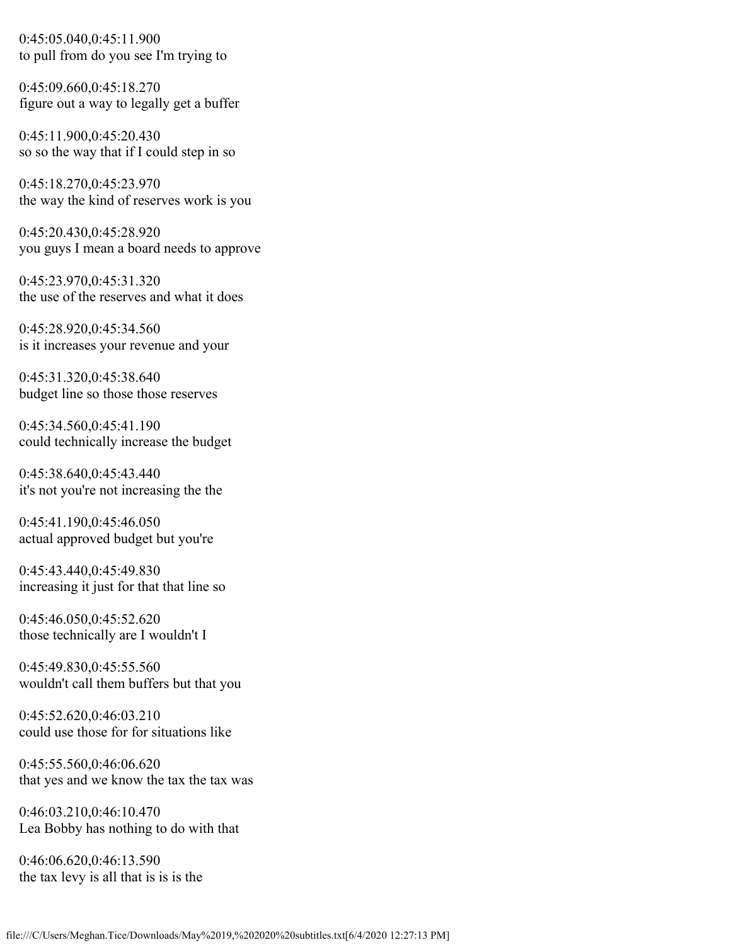0:45:05.040,0:45:11.900 to pull from do you see I'm trying to

0:45:09.660,0:45:18.270 figure out a way to legally get a buffer

0:45:11.900,0:45:20.430 so so the way that if I could step in so

0:45:18.270,0:45:23.970 the way the kind of reserves work is you

0:45:20.430,0:45:28.920 you guys I mean a board needs to approve

0:45:23.970,0:45:31.320 the use of the reserves and what it does

0:45:28.920,0:45:34.560 is it increases your revenue and your

0:45:31.320,0:45:38.640 budget line so those those reserves

0:45:34.560,0:45:41.190 could technically increase the budget

0:45:38.640,0:45:43.440 it's not you're not increasing the the

0:45:41.190,0:45:46.050 actual approved budget but you're

0:45:43.440,0:45:49.830 increasing it just for that that line so

0:45:46.050,0:45:52.620 those technically are I wouldn't I

0:45:49.830,0:45:55.560 wouldn't call them buffers but that you

0:45:52.620,0:46:03.210 could use those for for situations like

0:45:55.560,0:46:06.620 that yes and we know the tax the tax was

0:46:03.210,0:46:10.470 Lea Bobby has nothing to do with that

0:46:06.620,0:46:13.590 the tax levy is all that is is is the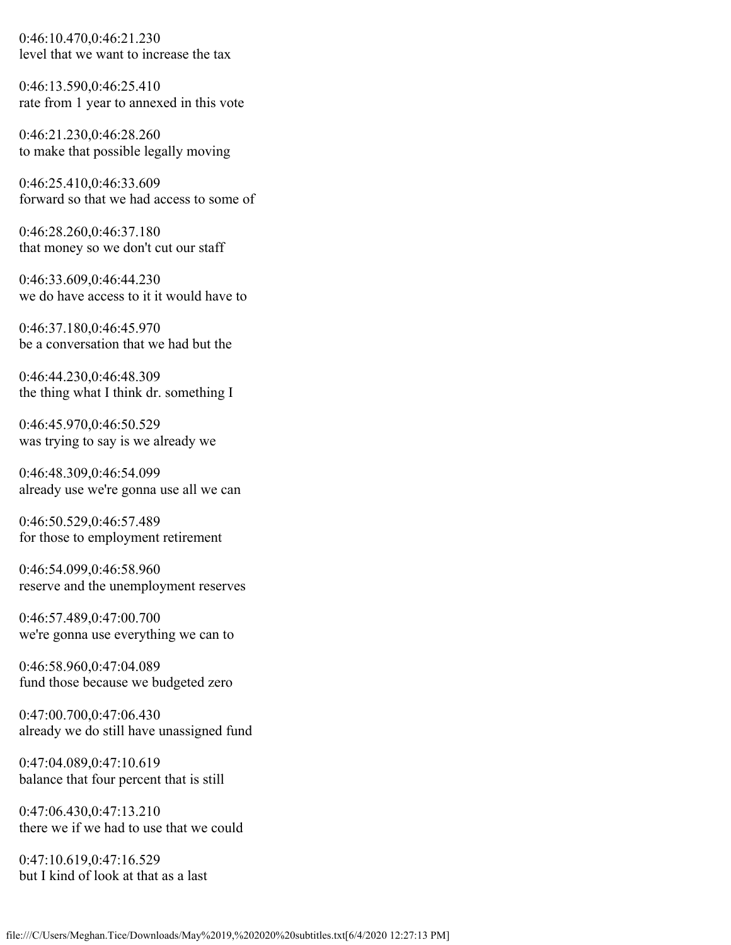0:46:10.470,0:46:21.230 level that we want to increase the tax

0:46:13.590,0:46:25.410 rate from 1 year to annexed in this vote

0:46:21.230,0:46:28.260 to make that possible legally moving

0:46:25.410,0:46:33.609 forward so that we had access to some of

0:46:28.260,0:46:37.180 that money so we don't cut our staff

0:46:33.609,0:46:44.230 we do have access to it it would have to

0:46:37.180,0:46:45.970 be a conversation that we had but the

0:46:44.230,0:46:48.309 the thing what I think dr. something I

0:46:45.970,0:46:50.529 was trying to say is we already we

0:46:48.309,0:46:54.099 already use we're gonna use all we can

0:46:50.529,0:46:57.489 for those to employment retirement

0:46:54.099,0:46:58.960 reserve and the unemployment reserves

0:46:57.489,0:47:00.700 we're gonna use everything we can to

0:46:58.960,0:47:04.089 fund those because we budgeted zero

0:47:00.700,0:47:06.430 already we do still have unassigned fund

0:47:04.089,0:47:10.619 balance that four percent that is still

0:47:06.430,0:47:13.210 there we if we had to use that we could

0:47:10.619,0:47:16.529 but I kind of look at that as a last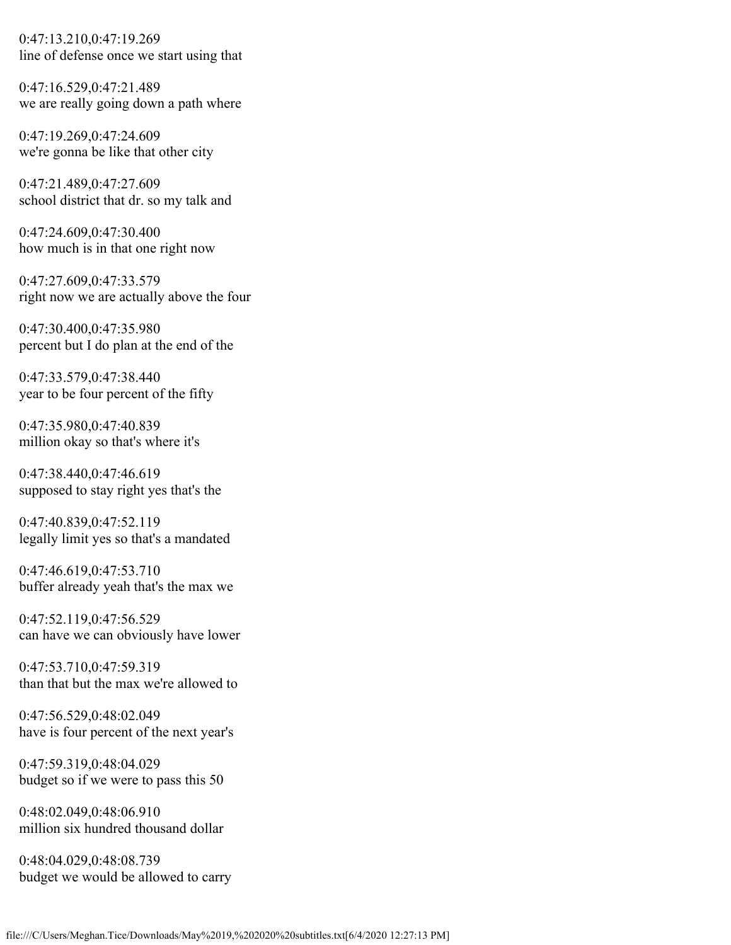0:47:13.210,0:47:19.269 line of defense once we start using that

0:47:16.529,0:47:21.489 we are really going down a path where

0:47:19.269,0:47:24.609 we're gonna be like that other city

0:47:21.489,0:47:27.609 school district that dr. so my talk and

0:47:24.609,0:47:30.400 how much is in that one right now

0:47:27.609,0:47:33.579 right now we are actually above the four

0:47:30.400,0:47:35.980 percent but I do plan at the end of the

0:47:33.579,0:47:38.440 year to be four percent of the fifty

0:47:35.980,0:47:40.839 million okay so that's where it's

0:47:38.440,0:47:46.619 supposed to stay right yes that's the

0:47:40.839,0:47:52.119 legally limit yes so that's a mandated

0:47:46.619,0:47:53.710 buffer already yeah that's the max we

0:47:52.119,0:47:56.529 can have we can obviously have lower

0:47:53.710,0:47:59.319 than that but the max we're allowed to

0:47:56.529,0:48:02.049 have is four percent of the next year's

0:47:59.319,0:48:04.029 budget so if we were to pass this 50

0:48:02.049,0:48:06.910 million six hundred thousand dollar

0:48:04.029,0:48:08.739 budget we would be allowed to carry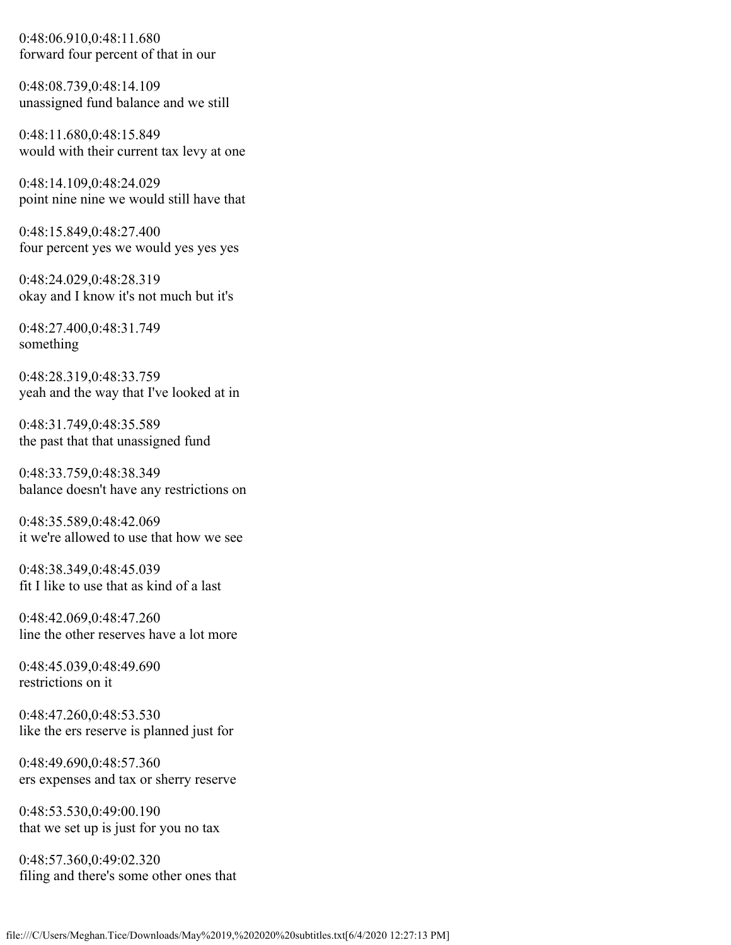0:48:06.910,0:48:11.680 forward four percent of that in our

0:48:08.739,0:48:14.109 unassigned fund balance and we still

0:48:11.680,0:48:15.849 would with their current tax levy at one

0:48:14.109,0:48:24.029 point nine nine we would still have that

0:48:15.849,0:48:27.400 four percent yes we would yes yes yes

0:48:24.029,0:48:28.319 okay and I know it's not much but it's

0:48:27.400,0:48:31.749 something

0:48:28.319,0:48:33.759 yeah and the way that I've looked at in

0:48:31.749,0:48:35.589 the past that that unassigned fund

0:48:33.759,0:48:38.349 balance doesn't have any restrictions on

0:48:35.589,0:48:42.069 it we're allowed to use that how we see

0:48:38.349,0:48:45.039 fit I like to use that as kind of a last

0:48:42.069,0:48:47.260 line the other reserves have a lot more

0:48:45.039,0:48:49.690 restrictions on it

0:48:47.260,0:48:53.530 like the ers reserve is planned just for

0:48:49.690,0:48:57.360 ers expenses and tax or sherry reserve

0:48:53.530,0:49:00.190 that we set up is just for you no tax

0:48:57.360,0:49:02.320 filing and there's some other ones that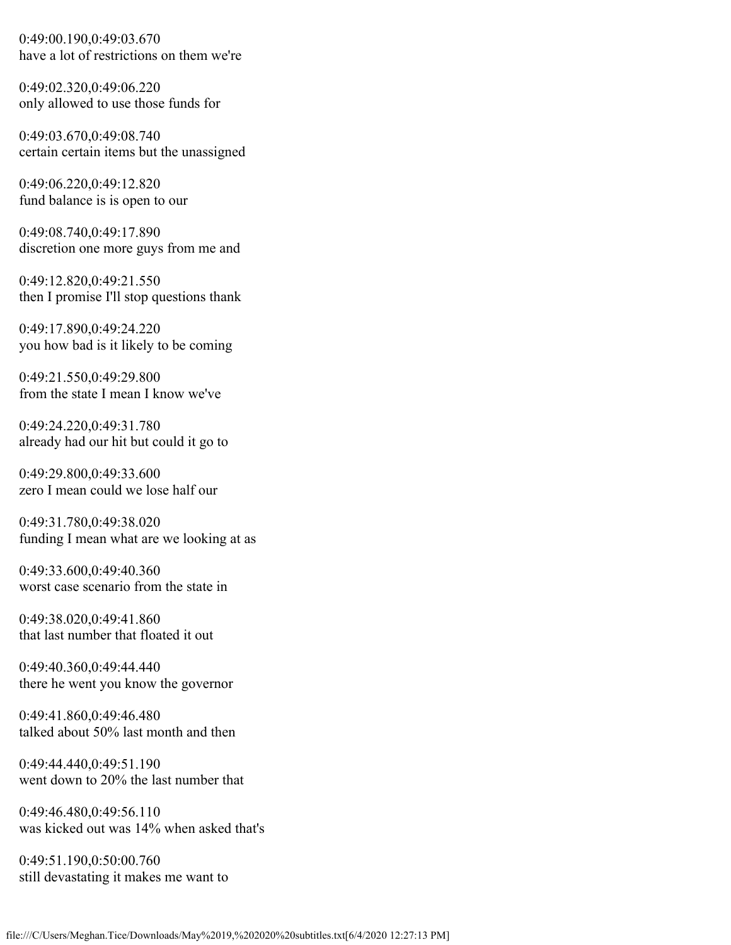0:49:00.190,0:49:03.670 have a lot of restrictions on them we're

0:49:02.320,0:49:06.220 only allowed to use those funds for

0:49:03.670,0:49:08.740 certain certain items but the unassigned

0:49:06.220,0:49:12.820 fund balance is is open to our

0:49:08.740,0:49:17.890 discretion one more guys from me and

0:49:12.820,0:49:21.550 then I promise I'll stop questions thank

0:49:17.890,0:49:24.220 you how bad is it likely to be coming

0:49:21.550,0:49:29.800 from the state I mean I know we've

0:49:24.220,0:49:31.780 already had our hit but could it go to

0:49:29.800,0:49:33.600 zero I mean could we lose half our

0:49:31.780,0:49:38.020 funding I mean what are we looking at as

0:49:33.600,0:49:40.360 worst case scenario from the state in

0:49:38.020,0:49:41.860 that last number that floated it out

0:49:40.360,0:49:44.440 there he went you know the governor

0:49:41.860,0:49:46.480 talked about 50% last month and then

0:49:44.440,0:49:51.190 went down to 20% the last number that

0:49:46.480,0:49:56.110 was kicked out was 14% when asked that's

0:49:51.190,0:50:00.760 still devastating it makes me want to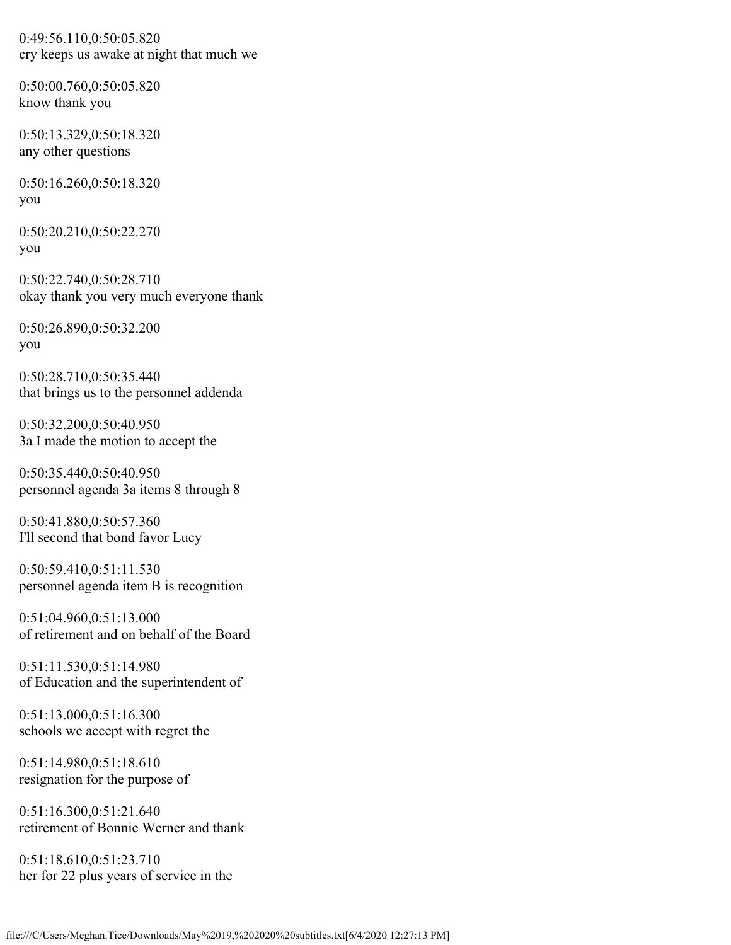0:49:56.110,0:50:05.820 cry keeps us awake at night that much we

0:50:00.760,0:50:05.820 know thank you

0:50:13.329,0:50:18.320 any other questions

0:50:16.260,0:50:18.320 you

0:50:20.210,0:50:22.270 you

0:50:22.740,0:50:28.710 okay thank you very much everyone thank

0:50:26.890,0:50:32.200 you

0:50:28.710,0:50:35.440 that brings us to the personnel addenda

0:50:32.200,0:50:40.950 3a I made the motion to accept the

0:50:35.440,0:50:40.950 personnel agenda 3a items 8 through 8

0:50:41.880,0:50:57.360 I'll second that bond favor Lucy

0:50:59.410,0:51:11.530 personnel agenda item B is recognition

0:51:04.960,0:51:13.000 of retirement and on behalf of the Board

0:51:11.530,0:51:14.980 of Education and the superintendent of

0:51:13.000,0:51:16.300 schools we accept with regret the

0:51:14.980,0:51:18.610 resignation for the purpose of

0:51:16.300,0:51:21.640 retirement of Bonnie Werner and thank

0:51:18.610,0:51:23.710 her for 22 plus years of service in the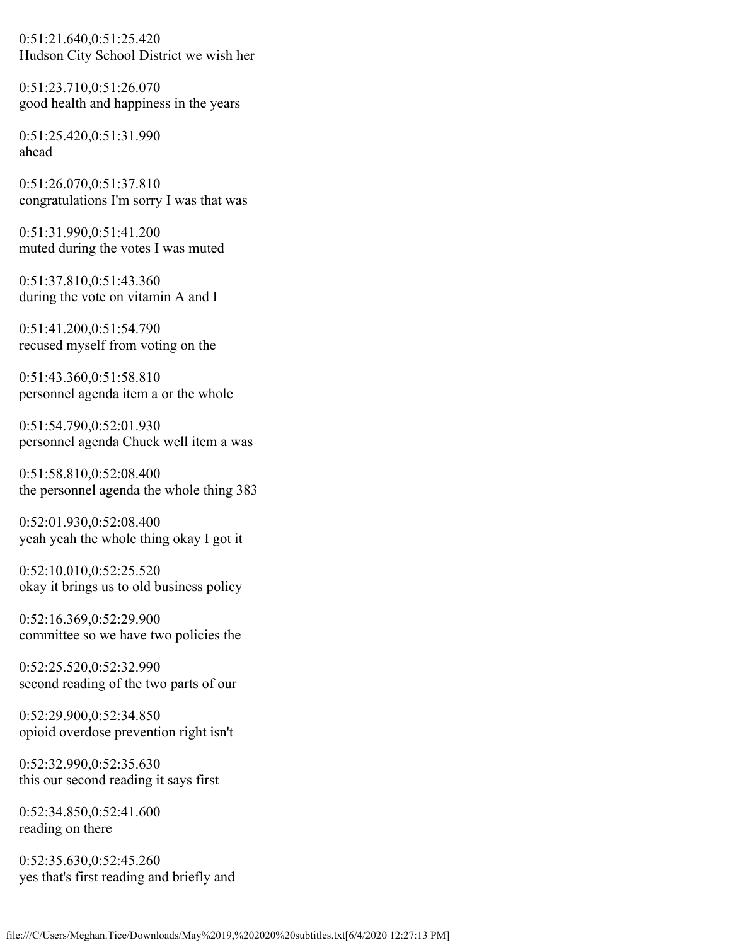0:51:21.640,0:51:25.420 Hudson City School District we wish her

0:51:23.710,0:51:26.070 good health and happiness in the years

0:51:25.420,0:51:31.990 ahead

0:51:26.070,0:51:37.810 congratulations I'm sorry I was that was

0:51:31.990,0:51:41.200 muted during the votes I was muted

0:51:37.810,0:51:43.360 during the vote on vitamin A and I

0:51:41.200,0:51:54.790 recused myself from voting on the

0:51:43.360,0:51:58.810 personnel agenda item a or the whole

0:51:54.790,0:52:01.930 personnel agenda Chuck well item a was

0:51:58.810,0:52:08.400 the personnel agenda the whole thing 383

0:52:01.930,0:52:08.400 yeah yeah the whole thing okay I got it

0:52:10.010,0:52:25.520 okay it brings us to old business policy

0:52:16.369,0:52:29.900 committee so we have two policies the

0:52:25.520,0:52:32.990 second reading of the two parts of our

0:52:29.900,0:52:34.850 opioid overdose prevention right isn't

0:52:32.990,0:52:35.630 this our second reading it says first

0:52:34.850,0:52:41.600 reading on there

0:52:35.630,0:52:45.260 yes that's first reading and briefly and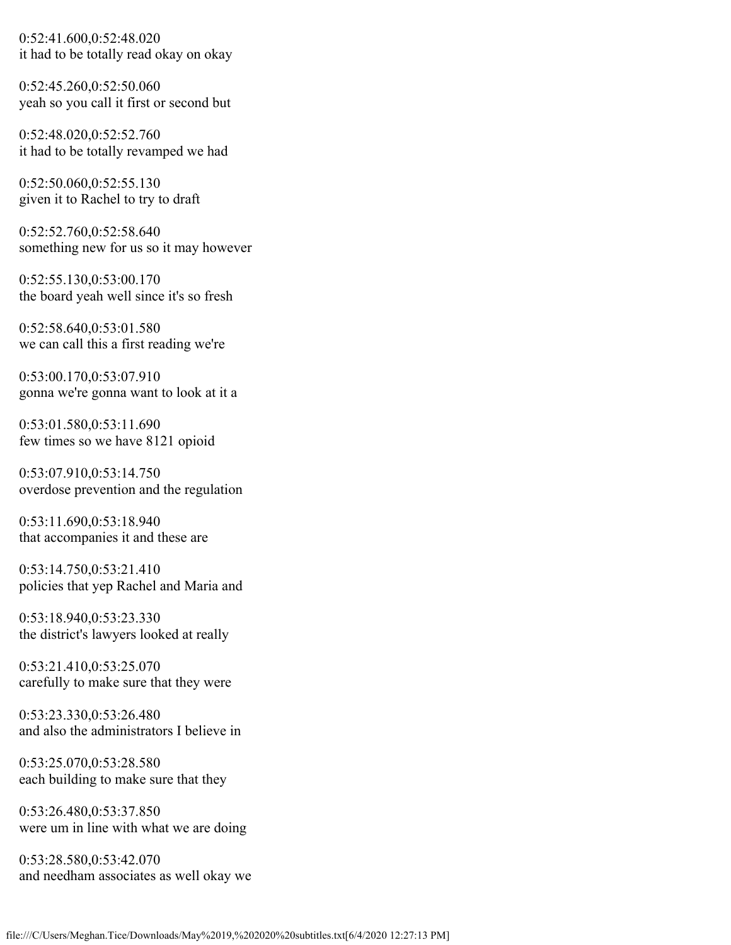0:52:41.600,0:52:48.020 it had to be totally read okay on okay

0:52:45.260,0:52:50.060 yeah so you call it first or second but

0:52:48.020,0:52:52.760 it had to be totally revamped we had

0:52:50.060,0:52:55.130 given it to Rachel to try to draft

0:52:52.760,0:52:58.640 something new for us so it may however

0:52:55.130,0:53:00.170 the board yeah well since it's so fresh

0:52:58.640,0:53:01.580 we can call this a first reading we're

0:53:00.170,0:53:07.910 gonna we're gonna want to look at it a

0:53:01.580,0:53:11.690 few times so we have 8121 opioid

0:53:07.910,0:53:14.750 overdose prevention and the regulation

0:53:11.690,0:53:18.940 that accompanies it and these are

0:53:14.750,0:53:21.410 policies that yep Rachel and Maria and

0:53:18.940,0:53:23.330 the district's lawyers looked at really

0:53:21.410,0:53:25.070 carefully to make sure that they were

0:53:23.330,0:53:26.480 and also the administrators I believe in

0:53:25.070,0:53:28.580 each building to make sure that they

0:53:26.480,0:53:37.850 were um in line with what we are doing

0:53:28.580,0:53:42.070 and needham associates as well okay we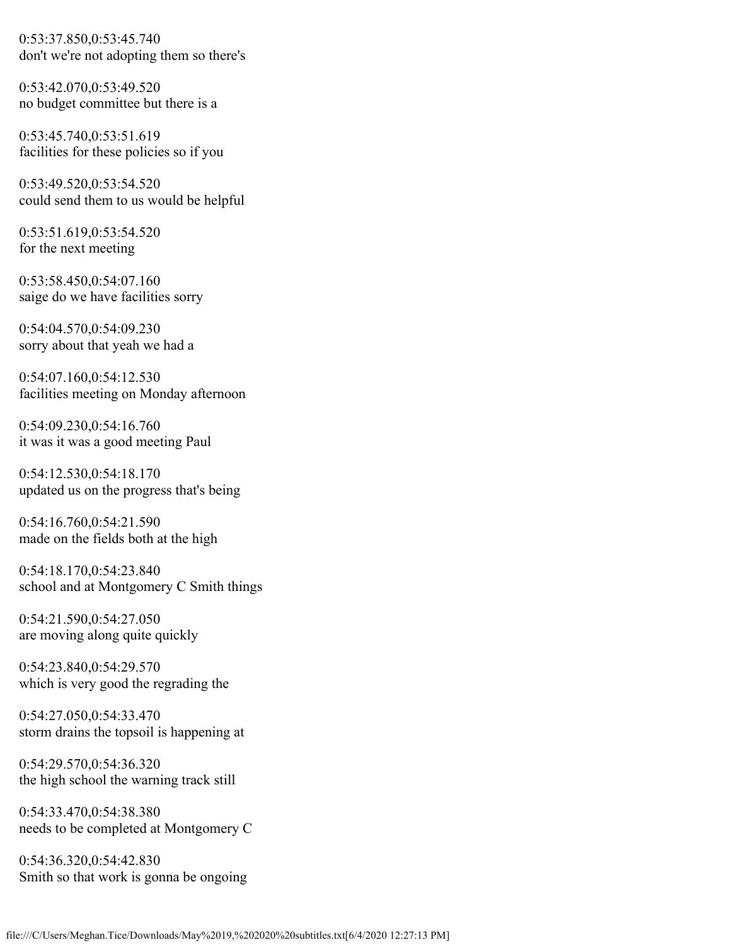0:53:37.850,0:53:45.740 don't we're not adopting them so there's

0:53:42.070,0:53:49.520 no budget committee but there is a

0:53:45.740,0:53:51.619 facilities for these policies so if you

0:53:49.520,0:53:54.520 could send them to us would be helpful

0:53:51.619,0:53:54.520 for the next meeting

0:53:58.450,0:54:07.160 saige do we have facilities sorry

0:54:04.570,0:54:09.230 sorry about that yeah we had a

0:54:07.160,0:54:12.530 facilities meeting on Monday afternoon

0:54:09.230,0:54:16.760 it was it was a good meeting Paul

0:54:12.530,0:54:18.170 updated us on the progress that's being

0:54:16.760,0:54:21.590 made on the fields both at the high

0:54:18.170,0:54:23.840 school and at Montgomery C Smith things

0:54:21.590,0:54:27.050 are moving along quite quickly

0:54:23.840,0:54:29.570 which is very good the regrading the

0:54:27.050,0:54:33.470 storm drains the topsoil is happening at

0:54:29.570,0:54:36.320 the high school the warning track still

0:54:33.470,0:54:38.380 needs to be completed at Montgomery C

0:54:36.320,0:54:42.830 Smith so that work is gonna be ongoing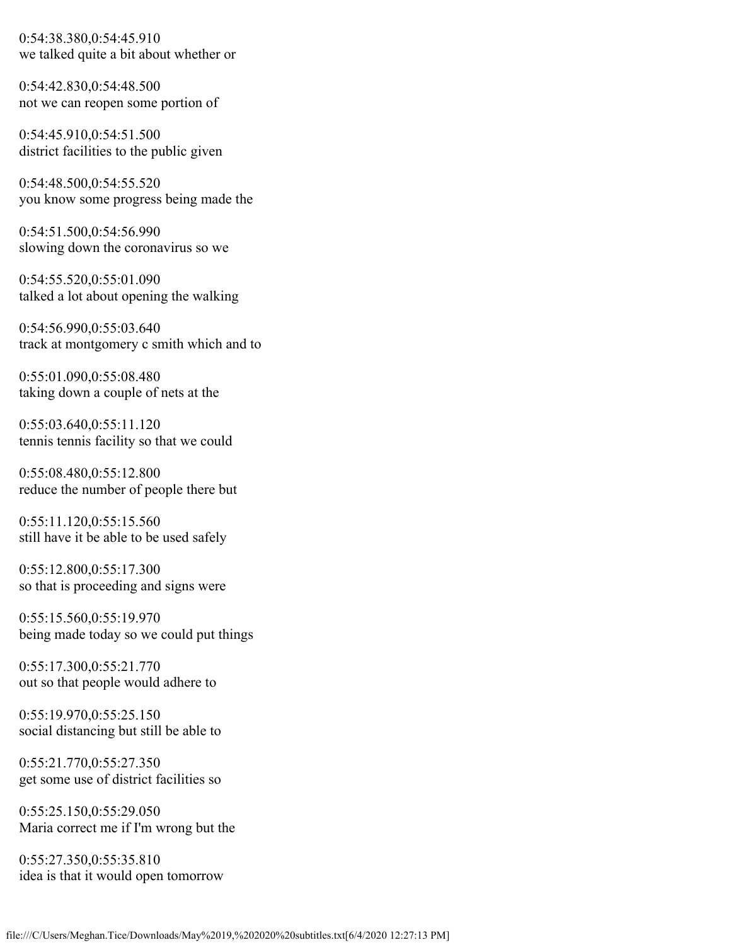0:54:38.380,0:54:45.910 we talked quite a bit about whether or

0:54:42.830,0:54:48.500 not we can reopen some portion of

0:54:45.910,0:54:51.500 district facilities to the public given

0:54:48.500,0:54:55.520 you know some progress being made the

0:54:51.500,0:54:56.990 slowing down the coronavirus so we

0:54:55.520,0:55:01.090 talked a lot about opening the walking

0:54:56.990,0:55:03.640 track at montgomery c smith which and to

0:55:01.090,0:55:08.480 taking down a couple of nets at the

0:55:03.640,0:55:11.120 tennis tennis facility so that we could

0:55:08.480,0:55:12.800 reduce the number of people there but

0:55:11.120,0:55:15.560 still have it be able to be used safely

0:55:12.800,0:55:17.300 so that is proceeding and signs were

0:55:15.560,0:55:19.970 being made today so we could put things

0:55:17.300,0:55:21.770 out so that people would adhere to

0:55:19.970,0:55:25.150 social distancing but still be able to

0:55:21.770,0:55:27.350 get some use of district facilities so

0:55:25.150,0:55:29.050 Maria correct me if I'm wrong but the

0:55:27.350,0:55:35.810 idea is that it would open tomorrow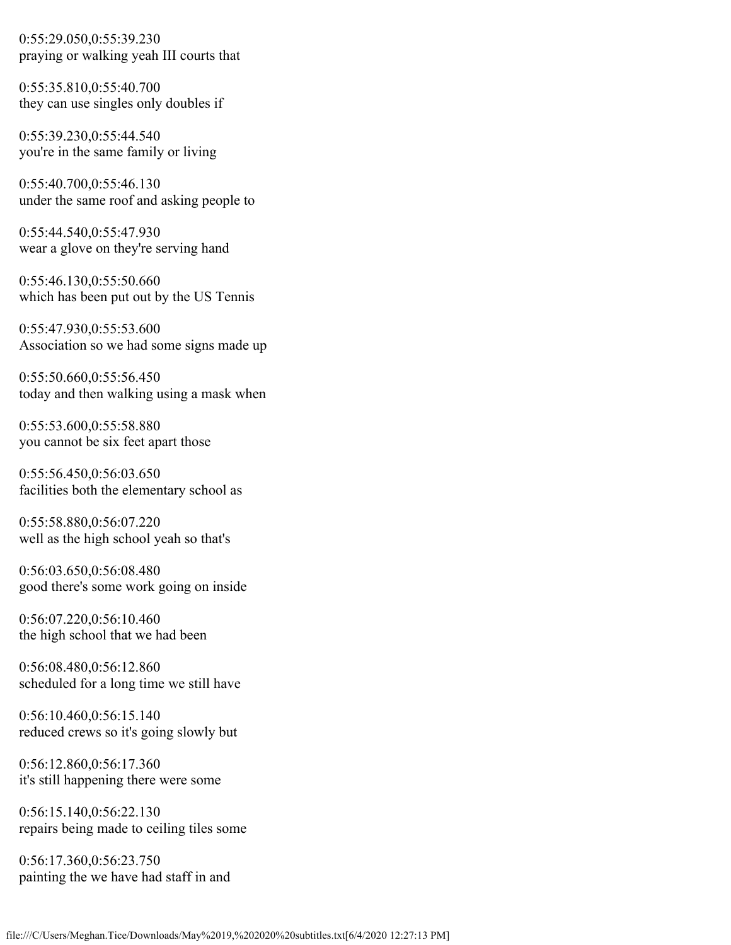0:55:29.050,0:55:39.230 praying or walking yeah III courts that

0:55:35.810,0:55:40.700 they can use singles only doubles if

0:55:39.230,0:55:44.540 you're in the same family or living

0:55:40.700,0:55:46.130 under the same roof and asking people to

0:55:44.540,0:55:47.930 wear a glove on they're serving hand

0:55:46.130,0:55:50.660 which has been put out by the US Tennis

0:55:47.930,0:55:53.600 Association so we had some signs made up

0:55:50.660,0:55:56.450 today and then walking using a mask when

0:55:53.600,0:55:58.880 you cannot be six feet apart those

0:55:56.450,0:56:03.650 facilities both the elementary school as

0:55:58.880,0:56:07.220 well as the high school yeah so that's

0:56:03.650,0:56:08.480 good there's some work going on inside

0:56:07.220,0:56:10.460 the high school that we had been

0:56:08.480,0:56:12.860 scheduled for a long time we still have

0:56:10.460,0:56:15.140 reduced crews so it's going slowly but

0:56:12.860,0:56:17.360 it's still happening there were some

0:56:15.140,0:56:22.130 repairs being made to ceiling tiles some

0:56:17.360,0:56:23.750 painting the we have had staff in and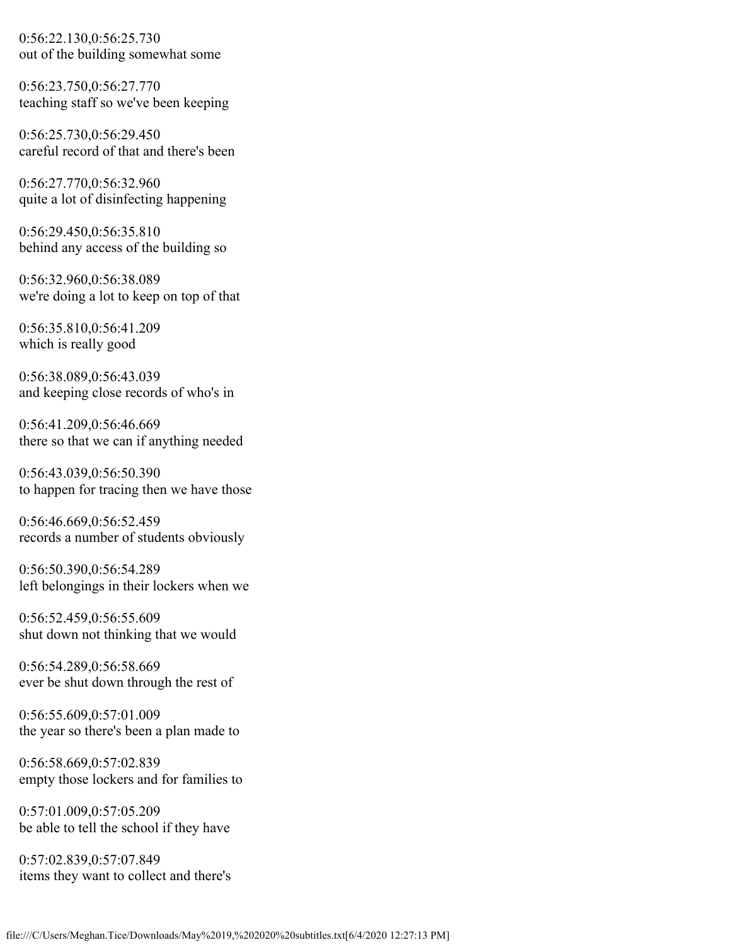0:56:22.130,0:56:25.730 out of the building somewhat some

0:56:23.750,0:56:27.770 teaching staff so we've been keeping

0:56:25.730,0:56:29.450 careful record of that and there's been

0:56:27.770,0:56:32.960 quite a lot of disinfecting happening

0:56:29.450,0:56:35.810 behind any access of the building so

0:56:32.960,0:56:38.089 we're doing a lot to keep on top of that

0:56:35.810,0:56:41.209 which is really good

0:56:38.089,0:56:43.039 and keeping close records of who's in

0:56:41.209,0:56:46.669 there so that we can if anything needed

0:56:43.039,0:56:50.390 to happen for tracing then we have those

0:56:46.669,0:56:52.459 records a number of students obviously

0:56:50.390,0:56:54.289 left belongings in their lockers when we

0:56:52.459,0:56:55.609 shut down not thinking that we would

0:56:54.289,0:56:58.669 ever be shut down through the rest of

0:56:55.609,0:57:01.009 the year so there's been a plan made to

0:56:58.669,0:57:02.839 empty those lockers and for families to

0:57:01.009,0:57:05.209 be able to tell the school if they have

0:57:02.839,0:57:07.849 items they want to collect and there's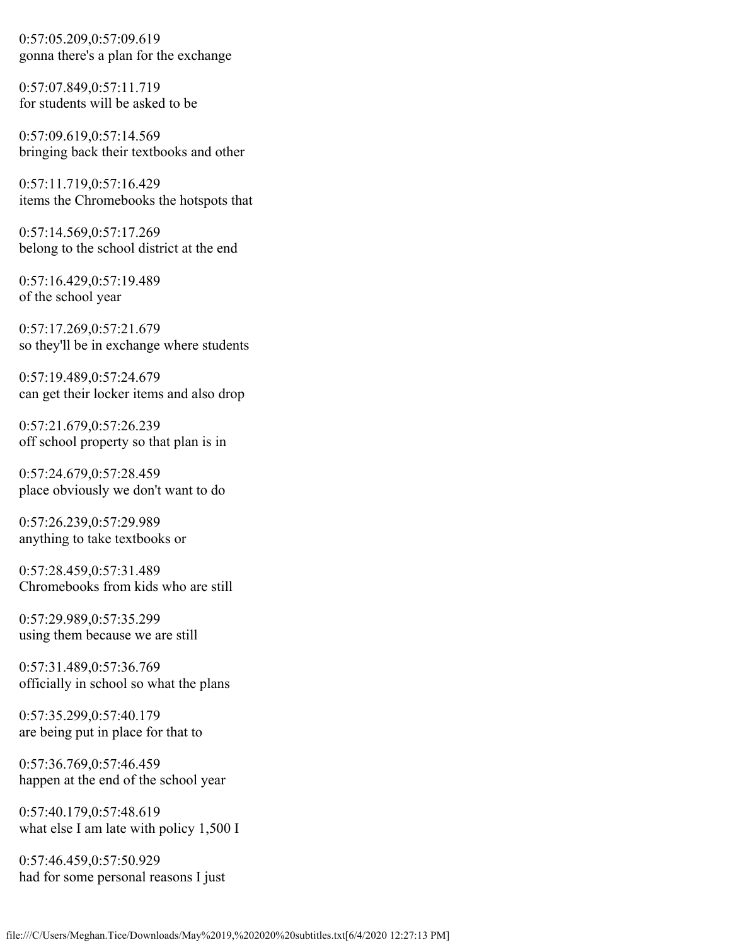0:57:05.209,0:57:09.619 gonna there's a plan for the exchange

0:57:07.849,0:57:11.719 for students will be asked to be

0:57:09.619,0:57:14.569 bringing back their textbooks and other

0:57:11.719,0:57:16.429 items the Chromebooks the hotspots that

0:57:14.569,0:57:17.269 belong to the school district at the end

0:57:16.429,0:57:19.489 of the school year

0:57:17.269,0:57:21.679 so they'll be in exchange where students

0:57:19.489,0:57:24.679 can get their locker items and also drop

0:57:21.679,0:57:26.239 off school property so that plan is in

0:57:24.679,0:57:28.459 place obviously we don't want to do

0:57:26.239,0:57:29.989 anything to take textbooks or

0:57:28.459,0:57:31.489 Chromebooks from kids who are still

0:57:29.989,0:57:35.299 using them because we are still

0:57:31.489,0:57:36.769 officially in school so what the plans

0:57:35.299,0:57:40.179 are being put in place for that to

0:57:36.769,0:57:46.459 happen at the end of the school year

0:57:40.179,0:57:48.619 what else I am late with policy 1,500 I

0:57:46.459,0:57:50.929 had for some personal reasons I just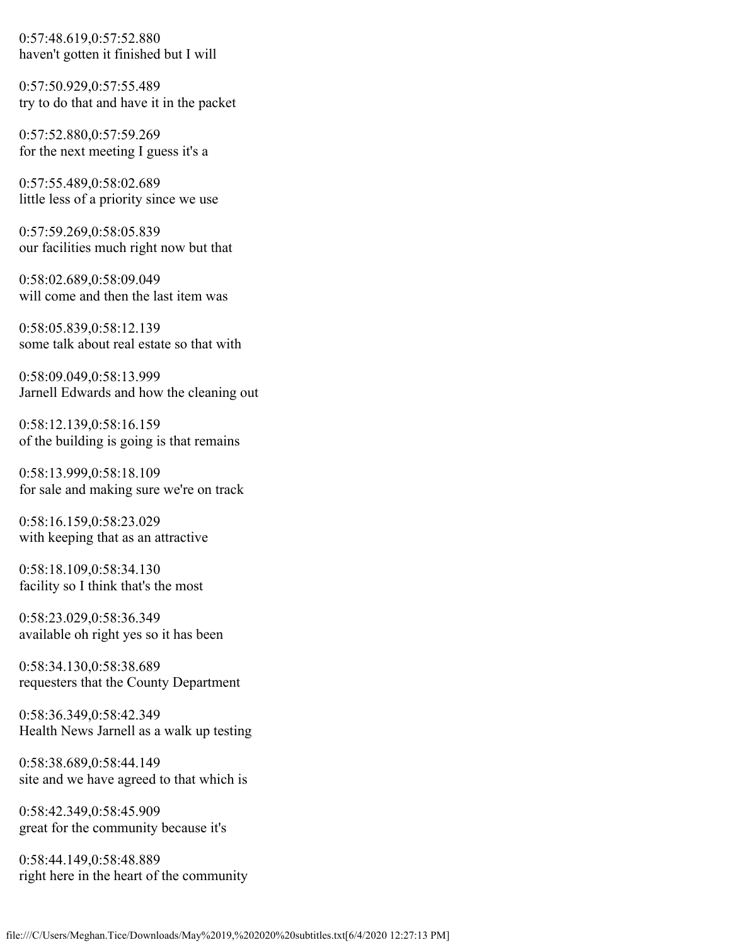0:57:48.619,0:57:52.880 haven't gotten it finished but I will

0:57:50.929,0:57:55.489 try to do that and have it in the packet

0:57:52.880,0:57:59.269 for the next meeting I guess it's a

0:57:55.489,0:58:02.689 little less of a priority since we use

0:57:59.269,0:58:05.839 our facilities much right now but that

0:58:02.689,0:58:09.049 will come and then the last item was

0:58:05.839,0:58:12.139 some talk about real estate so that with

0:58:09.049,0:58:13.999 Jarnell Edwards and how the cleaning out

0:58:12.139,0:58:16.159 of the building is going is that remains

0:58:13.999,0:58:18.109 for sale and making sure we're on track

0:58:16.159,0:58:23.029 with keeping that as an attractive

0:58:18.109,0:58:34.130 facility so I think that's the most

0:58:23.029,0:58:36.349 available oh right yes so it has been

0:58:34.130,0:58:38.689 requesters that the County Department

0:58:36.349,0:58:42.349 Health News Jarnell as a walk up testing

0:58:38.689,0:58:44.149 site and we have agreed to that which is

0:58:42.349,0:58:45.909 great for the community because it's

0:58:44.149,0:58:48.889 right here in the heart of the community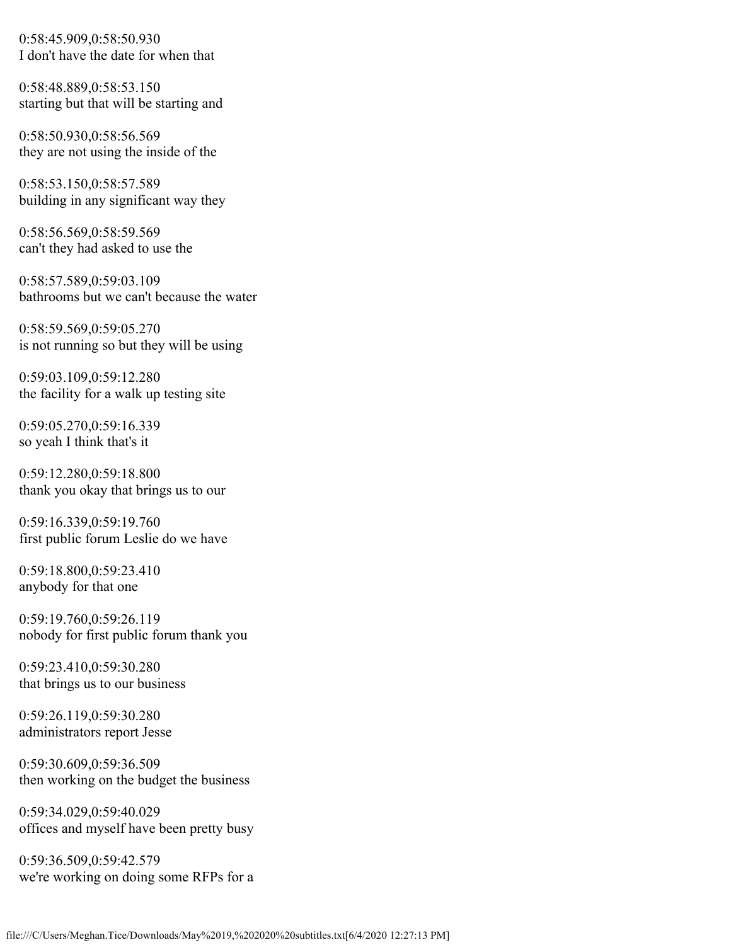0:58:45.909,0:58:50.930 I don't have the date for when that

0:58:48.889,0:58:53.150 starting but that will be starting and

0:58:50.930,0:58:56.569 they are not using the inside of the

0:58:53.150,0:58:57.589 building in any significant way they

0:58:56.569,0:58:59.569 can't they had asked to use the

0:58:57.589,0:59:03.109 bathrooms but we can't because the water

0:58:59.569,0:59:05.270 is not running so but they will be using

0:59:03.109,0:59:12.280 the facility for a walk up testing site

0:59:05.270,0:59:16.339 so yeah I think that's it

0:59:12.280,0:59:18.800 thank you okay that brings us to our

0:59:16.339,0:59:19.760 first public forum Leslie do we have

0:59:18.800,0:59:23.410 anybody for that one

0:59:19.760,0:59:26.119 nobody for first public forum thank you

0:59:23.410,0:59:30.280 that brings us to our business

0:59:26.119,0:59:30.280 administrators report Jesse

0:59:30.609,0:59:36.509 then working on the budget the business

0:59:34.029,0:59:40.029 offices and myself have been pretty busy

0:59:36.509,0:59:42.579 we're working on doing some RFPs for a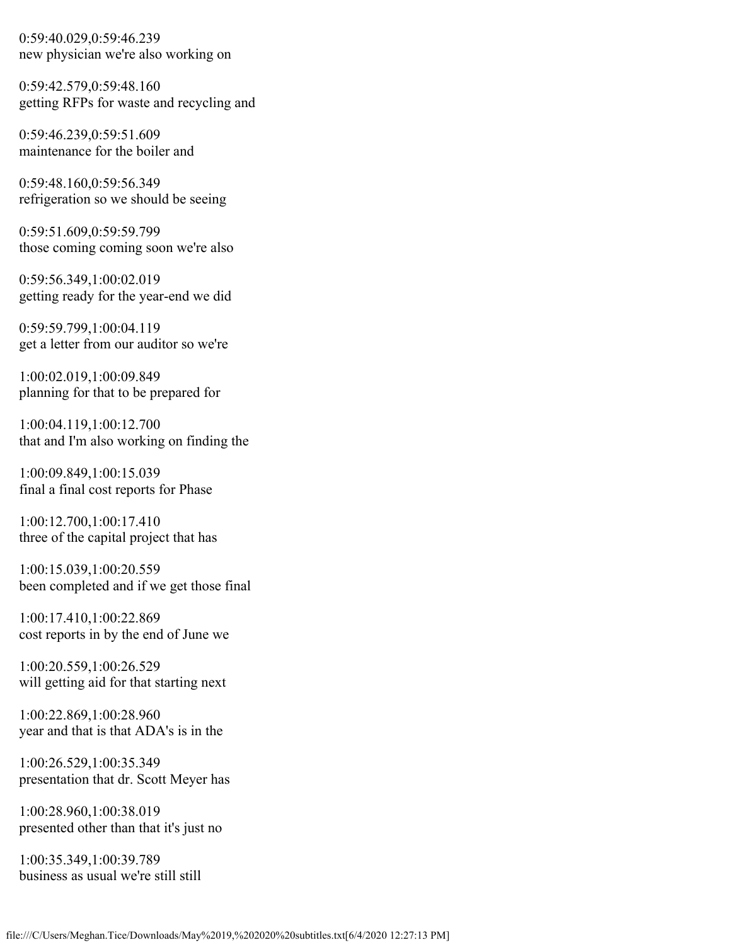0:59:40.029,0:59:46.239 new physician we're also working on

0:59:42.579,0:59:48.160 getting RFPs for waste and recycling and

0:59:46.239,0:59:51.609 maintenance for the boiler and

0:59:48.160,0:59:56.349 refrigeration so we should be seeing

0:59:51.609,0:59:59.799 those coming coming soon we're also

0:59:56.349,1:00:02.019 getting ready for the year-end we did

0:59:59.799,1:00:04.119 get a letter from our auditor so we're

1:00:02.019,1:00:09.849 planning for that to be prepared for

1:00:04.119,1:00:12.700 that and I'm also working on finding the

1:00:09.849,1:00:15.039 final a final cost reports for Phase

1:00:12.700,1:00:17.410 three of the capital project that has

1:00:15.039,1:00:20.559 been completed and if we get those final

1:00:17.410,1:00:22.869 cost reports in by the end of June we

1:00:20.559,1:00:26.529 will getting aid for that starting next

1:00:22.869,1:00:28.960 year and that is that ADA's is in the

1:00:26.529,1:00:35.349 presentation that dr. Scott Meyer has

1:00:28.960,1:00:38.019 presented other than that it's just no

1:00:35.349,1:00:39.789 business as usual we're still still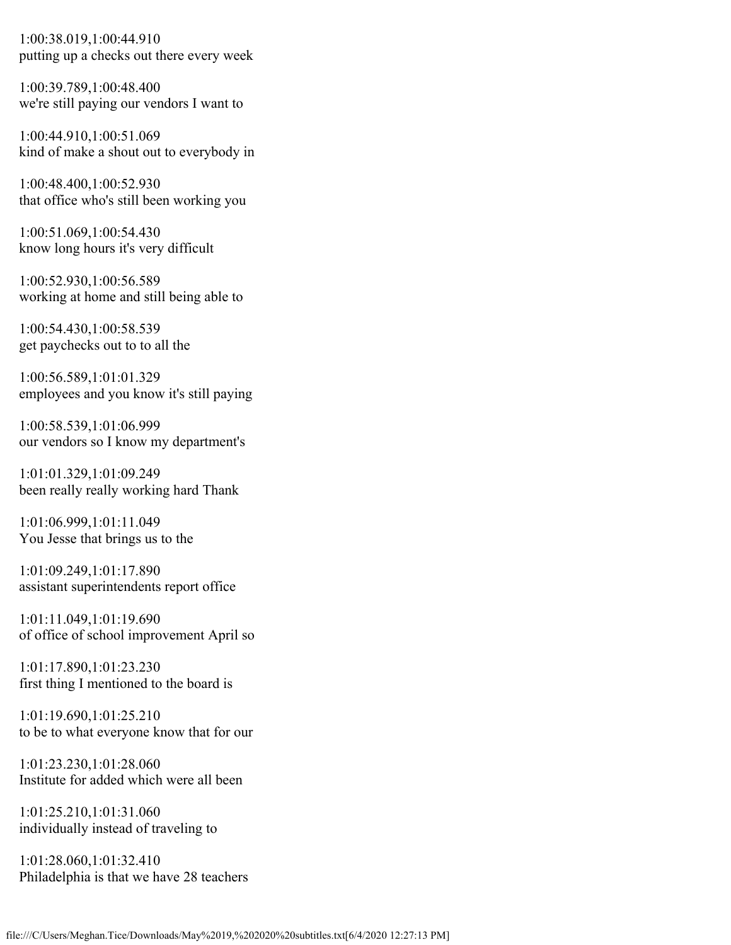1:00:38.019,1:00:44.910 putting up a checks out there every week

1:00:39.789,1:00:48.400 we're still paying our vendors I want to

1:00:44.910,1:00:51.069 kind of make a shout out to everybody in

1:00:48.400,1:00:52.930 that office who's still been working you

1:00:51.069,1:00:54.430 know long hours it's very difficult

1:00:52.930,1:00:56.589 working at home and still being able to

1:00:54.430,1:00:58.539 get paychecks out to to all the

1:00:56.589,1:01:01.329 employees and you know it's still paying

1:00:58.539,1:01:06.999 our vendors so I know my department's

1:01:01.329,1:01:09.249 been really really working hard Thank

1:01:06.999,1:01:11.049 You Jesse that brings us to the

1:01:09.249,1:01:17.890 assistant superintendents report office

1:01:11.049,1:01:19.690 of office of school improvement April so

1:01:17.890,1:01:23.230 first thing I mentioned to the board is

1:01:19.690,1:01:25.210 to be to what everyone know that for our

1:01:23.230,1:01:28.060 Institute for added which were all been

1:01:25.210,1:01:31.060 individually instead of traveling to

1:01:28.060,1:01:32.410 Philadelphia is that we have 28 teachers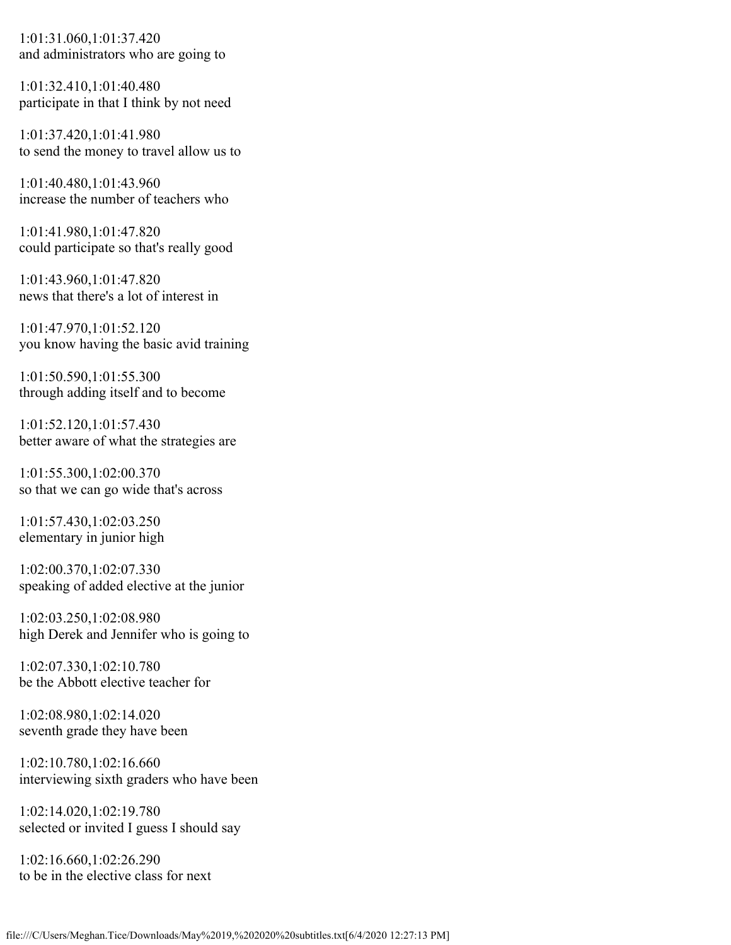1:01:31.060,1:01:37.420 and administrators who are going to

1:01:32.410,1:01:40.480 participate in that I think by not need

1:01:37.420,1:01:41.980 to send the money to travel allow us to

1:01:40.480,1:01:43.960 increase the number of teachers who

1:01:41.980,1:01:47.820 could participate so that's really good

1:01:43.960,1:01:47.820 news that there's a lot of interest in

1:01:47.970,1:01:52.120 you know having the basic avid training

1:01:50.590,1:01:55.300 through adding itself and to become

1:01:52.120,1:01:57.430 better aware of what the strategies are

1:01:55.300,1:02:00.370 so that we can go wide that's across

1:01:57.430,1:02:03.250 elementary in junior high

1:02:00.370,1:02:07.330 speaking of added elective at the junior

1:02:03.250,1:02:08.980 high Derek and Jennifer who is going to

1:02:07.330,1:02:10.780 be the Abbott elective teacher for

1:02:08.980,1:02:14.020 seventh grade they have been

1:02:10.780,1:02:16.660 interviewing sixth graders who have been

1:02:14.020,1:02:19.780 selected or invited I guess I should say

1:02:16.660,1:02:26.290 to be in the elective class for next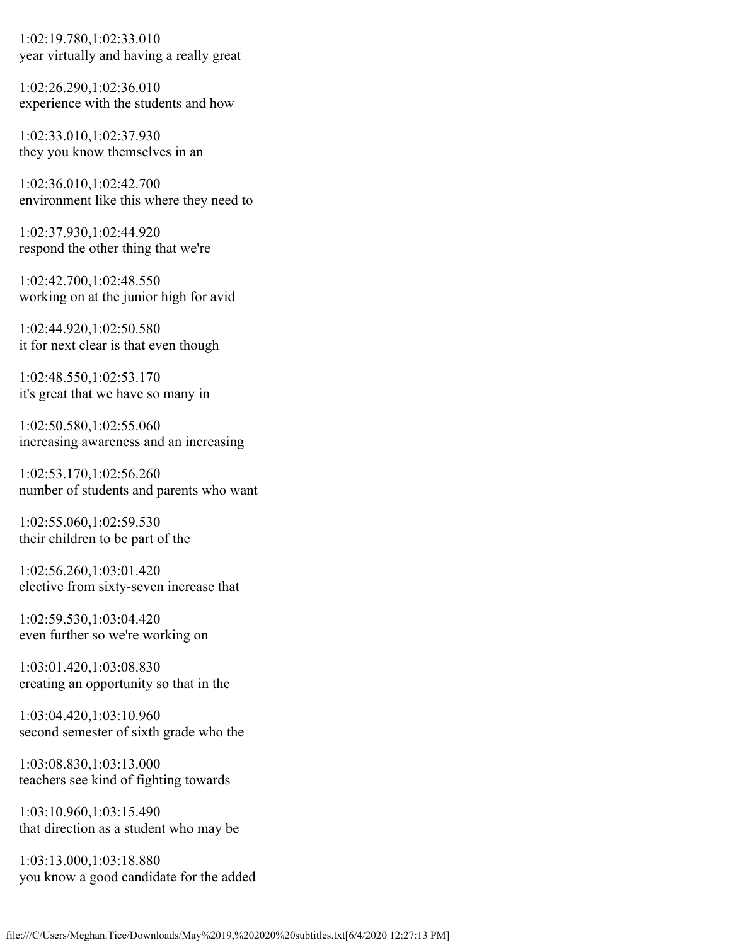1:02:19.780,1:02:33.010 year virtually and having a really great

1:02:26.290,1:02:36.010 experience with the students and how

1:02:33.010,1:02:37.930 they you know themselves in an

1:02:36.010,1:02:42.700 environment like this where they need to

1:02:37.930,1:02:44.920 respond the other thing that we're

1:02:42.700,1:02:48.550 working on at the junior high for avid

1:02:44.920,1:02:50.580 it for next clear is that even though

1:02:48.550,1:02:53.170 it's great that we have so many in

1:02:50.580,1:02:55.060 increasing awareness and an increasing

1:02:53.170,1:02:56.260 number of students and parents who want

1:02:55.060,1:02:59.530 their children to be part of the

1:02:56.260,1:03:01.420 elective from sixty-seven increase that

1:02:59.530,1:03:04.420 even further so we're working on

1:03:01.420,1:03:08.830 creating an opportunity so that in the

1:03:04.420,1:03:10.960 second semester of sixth grade who the

1:03:08.830,1:03:13.000 teachers see kind of fighting towards

1:03:10.960,1:03:15.490 that direction as a student who may be

1:03:13.000,1:03:18.880 you know a good candidate for the added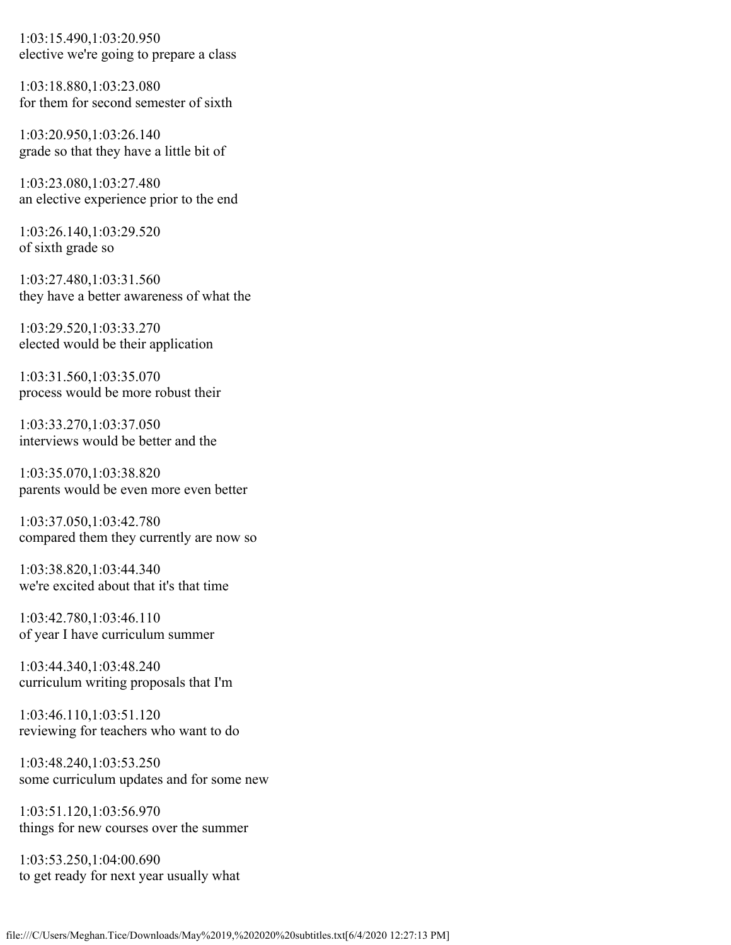1:03:15.490,1:03:20.950 elective we're going to prepare a class

1:03:18.880,1:03:23.080 for them for second semester of sixth

1:03:20.950,1:03:26.140 grade so that they have a little bit of

1:03:23.080,1:03:27.480 an elective experience prior to the end

1:03:26.140,1:03:29.520 of sixth grade so

1:03:27.480,1:03:31.560 they have a better awareness of what the

1:03:29.520,1:03:33.270 elected would be their application

1:03:31.560,1:03:35.070 process would be more robust their

1:03:33.270,1:03:37.050 interviews would be better and the

1:03:35.070,1:03:38.820 parents would be even more even better

1:03:37.050,1:03:42.780 compared them they currently are now so

1:03:38.820,1:03:44.340 we're excited about that it's that time

1:03:42.780,1:03:46.110 of year I have curriculum summer

1:03:44.340,1:03:48.240 curriculum writing proposals that I'm

1:03:46.110,1:03:51.120 reviewing for teachers who want to do

1:03:48.240,1:03:53.250 some curriculum updates and for some new

1:03:51.120,1:03:56.970 things for new courses over the summer

1:03:53.250,1:04:00.690 to get ready for next year usually what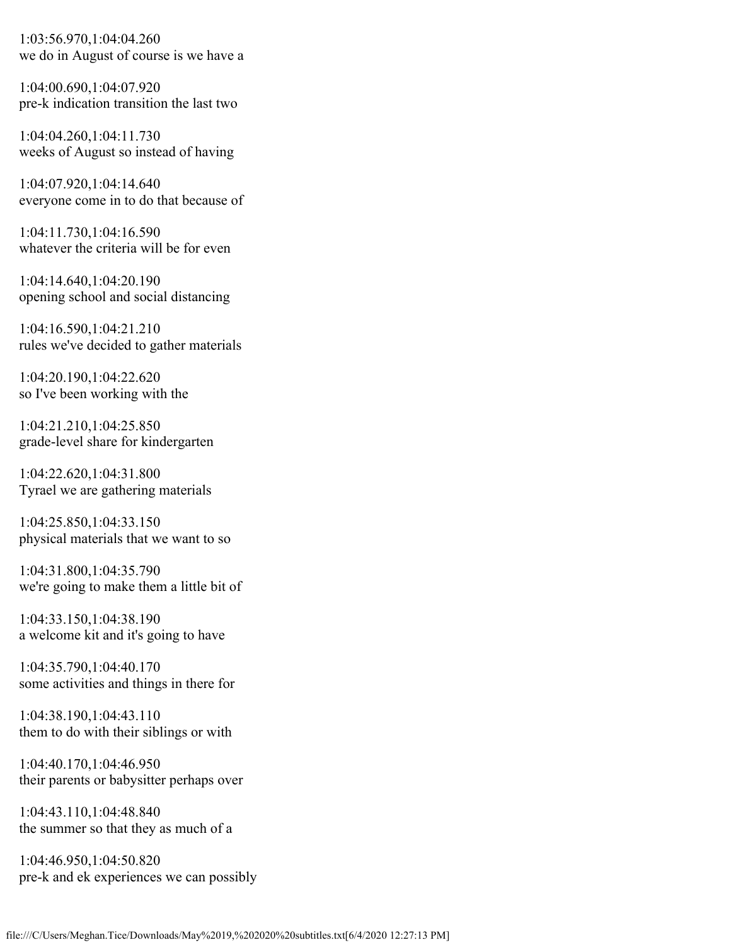1:03:56.970,1:04:04.260 we do in August of course is we have a

1:04:00.690,1:04:07.920 pre-k indication transition the last two

1:04:04.260,1:04:11.730 weeks of August so instead of having

1:04:07.920,1:04:14.640 everyone come in to do that because of

1:04:11.730,1:04:16.590 whatever the criteria will be for even

1:04:14.640,1:04:20.190 opening school and social distancing

1:04:16.590,1:04:21.210 rules we've decided to gather materials

1:04:20.190,1:04:22.620 so I've been working with the

1:04:21.210,1:04:25.850 grade-level share for kindergarten

1:04:22.620,1:04:31.800 Tyrael we are gathering materials

1:04:25.850,1:04:33.150 physical materials that we want to so

1:04:31.800,1:04:35.790 we're going to make them a little bit of

1:04:33.150,1:04:38.190 a welcome kit and it's going to have

1:04:35.790,1:04:40.170 some activities and things in there for

1:04:38.190,1:04:43.110 them to do with their siblings or with

1:04:40.170,1:04:46.950 their parents or babysitter perhaps over

1:04:43.110,1:04:48.840 the summer so that they as much of a

1:04:46.950,1:04:50.820 pre-k and ek experiences we can possibly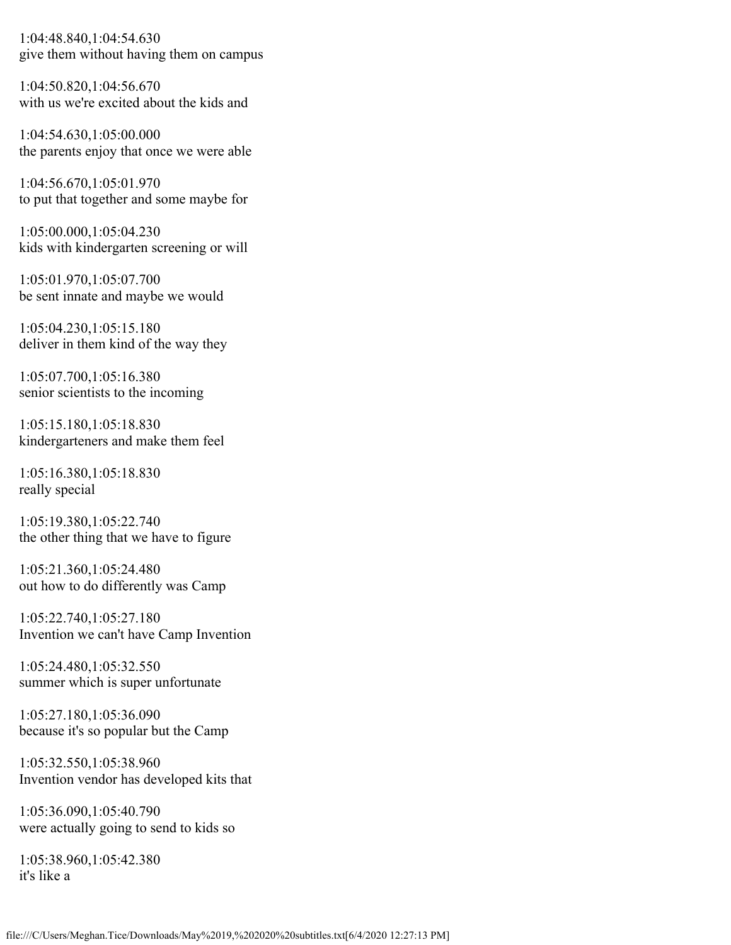1:04:48.840,1:04:54.630 give them without having them on campus

1:04:50.820,1:04:56.670 with us we're excited about the kids and

1:04:54.630,1:05:00.000 the parents enjoy that once we were able

1:04:56.670,1:05:01.970 to put that together and some maybe for

1:05:00.000,1:05:04.230 kids with kindergarten screening or will

1:05:01.970,1:05:07.700 be sent innate and maybe we would

1:05:04.230,1:05:15.180 deliver in them kind of the way they

1:05:07.700,1:05:16.380 senior scientists to the incoming

1:05:15.180,1:05:18.830 kindergarteners and make them feel

1:05:16.380,1:05:18.830 really special

1:05:19.380,1:05:22.740 the other thing that we have to figure

1:05:21.360,1:05:24.480 out how to do differently was Camp

1:05:22.740,1:05:27.180 Invention we can't have Camp Invention

1:05:24.480,1:05:32.550 summer which is super unfortunate

1:05:27.180,1:05:36.090 because it's so popular but the Camp

1:05:32.550,1:05:38.960 Invention vendor has developed kits that

1:05:36.090,1:05:40.790 were actually going to send to kids so

1:05:38.960,1:05:42.380 it's like a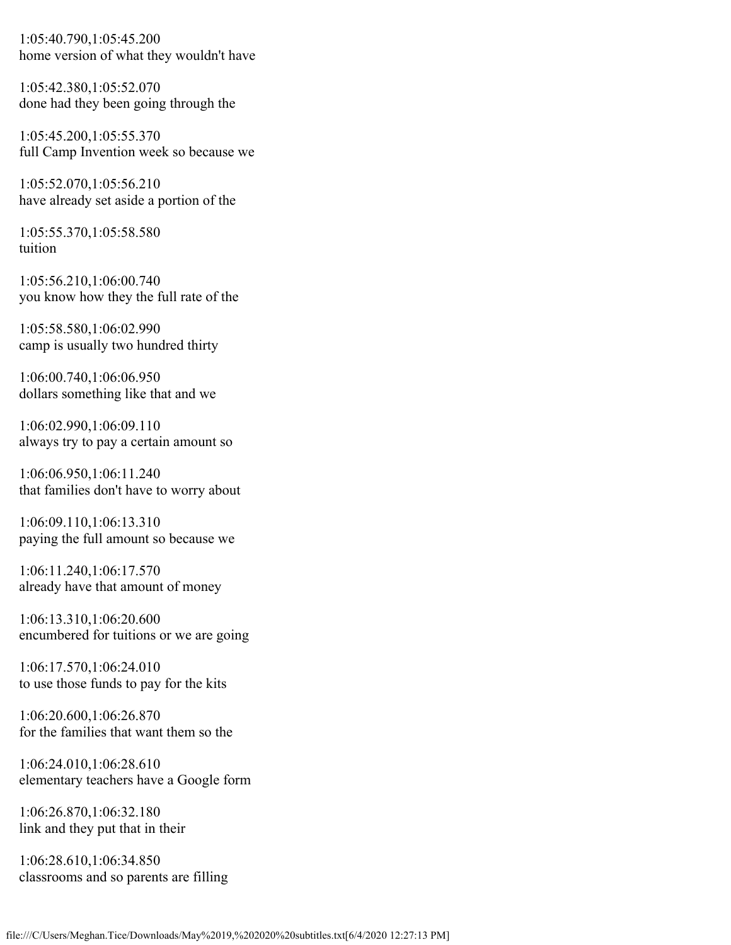1:05:40.790,1:05:45.200 home version of what they wouldn't have

1:05:42.380,1:05:52.070 done had they been going through the

1:05:45.200,1:05:55.370 full Camp Invention week so because we

1:05:52.070,1:05:56.210 have already set aside a portion of the

1:05:55.370,1:05:58.580 tuition

1:05:56.210,1:06:00.740 you know how they the full rate of the

1:05:58.580,1:06:02.990 camp is usually two hundred thirty

1:06:00.740,1:06:06.950 dollars something like that and we

1:06:02.990,1:06:09.110 always try to pay a certain amount so

1:06:06.950,1:06:11.240 that families don't have to worry about

1:06:09.110,1:06:13.310 paying the full amount so because we

1:06:11.240,1:06:17.570 already have that amount of money

1:06:13.310,1:06:20.600 encumbered for tuitions or we are going

1:06:17.570,1:06:24.010 to use those funds to pay for the kits

1:06:20.600,1:06:26.870 for the families that want them so the

1:06:24.010,1:06:28.610 elementary teachers have a Google form

1:06:26.870,1:06:32.180 link and they put that in their

1:06:28.610,1:06:34.850 classrooms and so parents are filling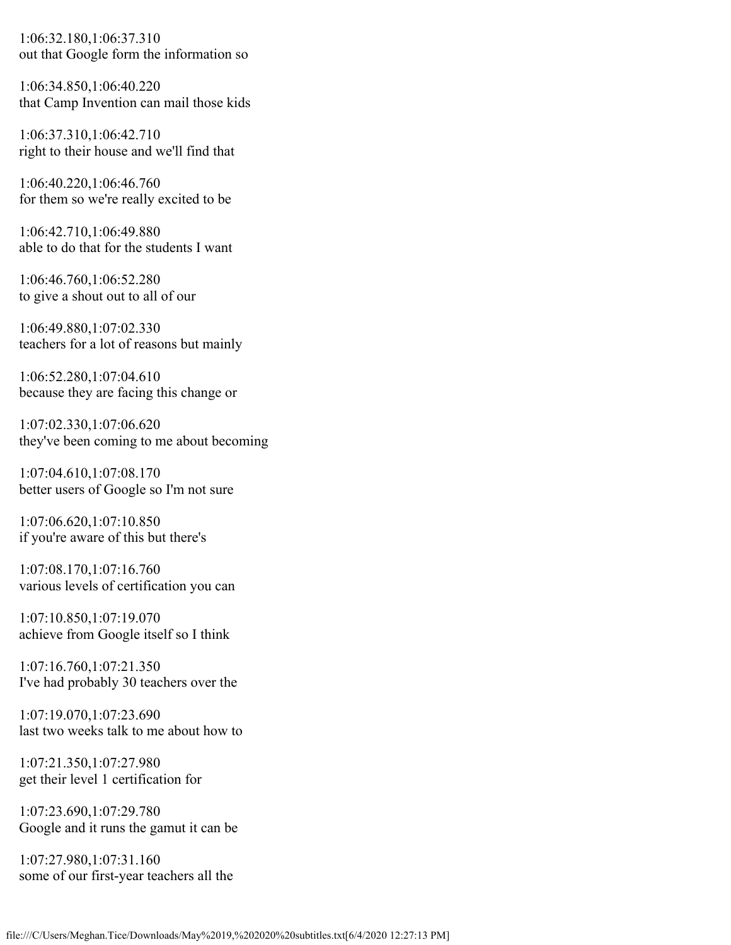1:06:32.180,1:06:37.310 out that Google form the information so

1:06:34.850,1:06:40.220 that Camp Invention can mail those kids

1:06:37.310,1:06:42.710 right to their house and we'll find that

1:06:40.220,1:06:46.760 for them so we're really excited to be

1:06:42.710,1:06:49.880 able to do that for the students I want

1:06:46.760,1:06:52.280 to give a shout out to all of our

1:06:49.880,1:07:02.330 teachers for a lot of reasons but mainly

1:06:52.280,1:07:04.610 because they are facing this change or

1:07:02.330,1:07:06.620 they've been coming to me about becoming

1:07:04.610,1:07:08.170 better users of Google so I'm not sure

1:07:06.620,1:07:10.850 if you're aware of this but there's

1:07:08.170,1:07:16.760 various levels of certification you can

1:07:10.850,1:07:19.070 achieve from Google itself so I think

1:07:16.760,1:07:21.350 I've had probably 30 teachers over the

1:07:19.070,1:07:23.690 last two weeks talk to me about how to

1:07:21.350,1:07:27.980 get their level 1 certification for

1:07:23.690,1:07:29.780 Google and it runs the gamut it can be

1:07:27.980,1:07:31.160 some of our first-year teachers all the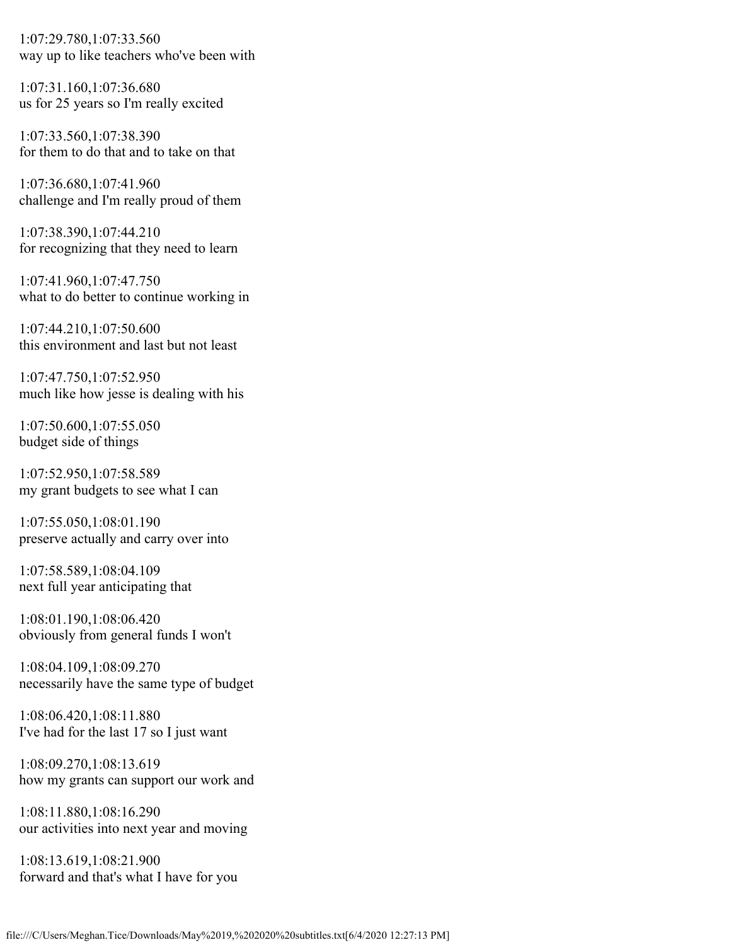1:07:29.780,1:07:33.560 way up to like teachers who've been with

1:07:31.160,1:07:36.680 us for 25 years so I'm really excited

1:07:33.560,1:07:38.390 for them to do that and to take on that

1:07:36.680,1:07:41.960 challenge and I'm really proud of them

1:07:38.390,1:07:44.210 for recognizing that they need to learn

1:07:41.960,1:07:47.750 what to do better to continue working in

1:07:44.210,1:07:50.600 this environment and last but not least

1:07:47.750,1:07:52.950 much like how jesse is dealing with his

1:07:50.600,1:07:55.050 budget side of things

1:07:52.950,1:07:58.589 my grant budgets to see what I can

1:07:55.050,1:08:01.190 preserve actually and carry over into

1:07:58.589,1:08:04.109 next full year anticipating that

1:08:01.190,1:08:06.420 obviously from general funds I won't

1:08:04.109,1:08:09.270 necessarily have the same type of budget

1:08:06.420,1:08:11.880 I've had for the last 17 so I just want

1:08:09.270,1:08:13.619 how my grants can support our work and

1:08:11.880,1:08:16.290 our activities into next year and moving

1:08:13.619,1:08:21.900 forward and that's what I have for you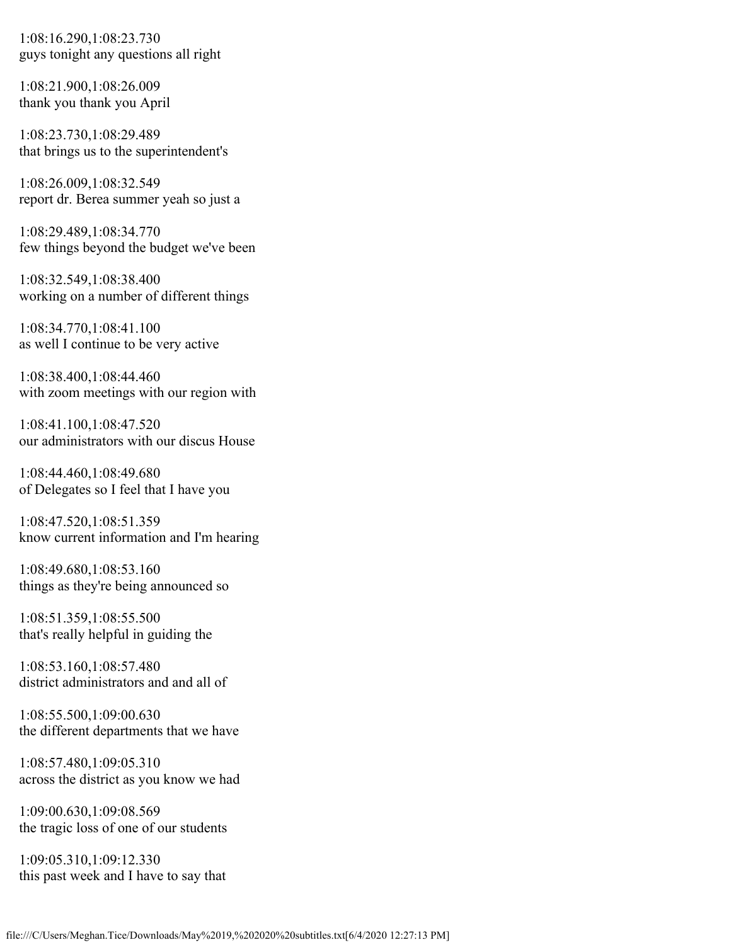1:08:16.290,1:08:23.730 guys tonight any questions all right

1:08:21.900,1:08:26.009 thank you thank you April

1:08:23.730,1:08:29.489 that brings us to the superintendent's

1:08:26.009,1:08:32.549 report dr. Berea summer yeah so just a

1:08:29.489,1:08:34.770 few things beyond the budget we've been

1:08:32.549,1:08:38.400 working on a number of different things

1:08:34.770,1:08:41.100 as well I continue to be very active

1:08:38.400,1:08:44.460 with zoom meetings with our region with

1:08:41.100,1:08:47.520 our administrators with our discus House

1:08:44.460,1:08:49.680 of Delegates so I feel that I have you

1:08:47.520,1:08:51.359 know current information and I'm hearing

1:08:49.680,1:08:53.160 things as they're being announced so

1:08:51.359,1:08:55.500 that's really helpful in guiding the

1:08:53.160,1:08:57.480 district administrators and and all of

1:08:55.500,1:09:00.630 the different departments that we have

1:08:57.480,1:09:05.310 across the district as you know we had

1:09:00.630,1:09:08.569 the tragic loss of one of our students

1:09:05.310,1:09:12.330 this past week and I have to say that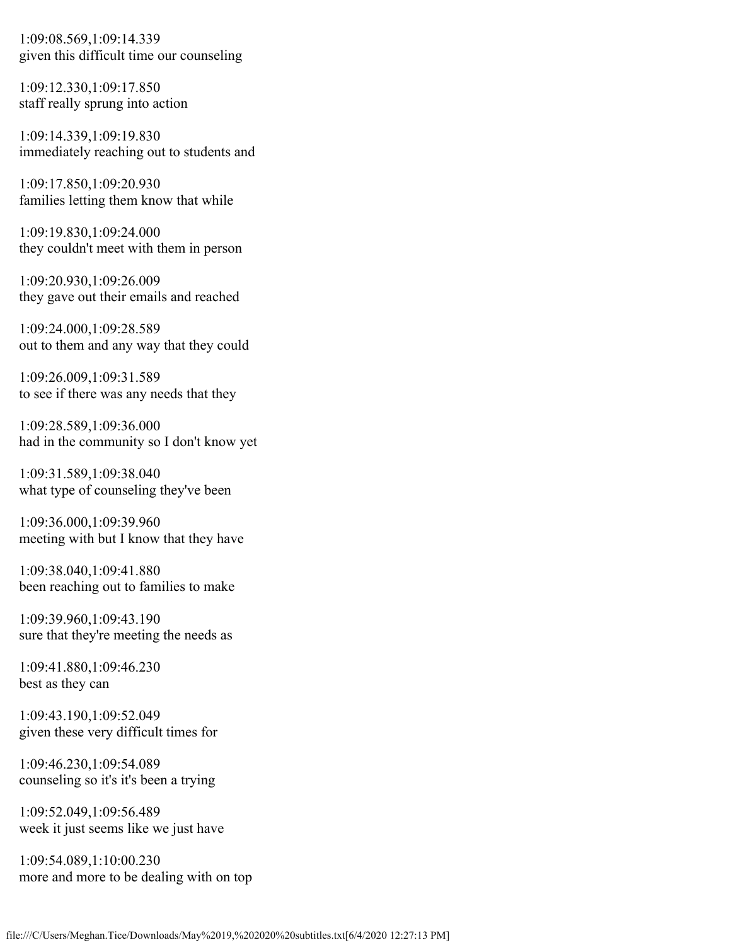1:09:08.569,1:09:14.339 given this difficult time our counseling

1:09:12.330,1:09:17.850 staff really sprung into action

1:09:14.339,1:09:19.830 immediately reaching out to students and

1:09:17.850,1:09:20.930 families letting them know that while

1:09:19.830,1:09:24.000 they couldn't meet with them in person

1:09:20.930,1:09:26.009 they gave out their emails and reached

1:09:24.000,1:09:28.589 out to them and any way that they could

1:09:26.009,1:09:31.589 to see if there was any needs that they

1:09:28.589,1:09:36.000 had in the community so I don't know yet

1:09:31.589,1:09:38.040 what type of counseling they've been

1:09:36.000,1:09:39.960 meeting with but I know that they have

1:09:38.040,1:09:41.880 been reaching out to families to make

1:09:39.960,1:09:43.190 sure that they're meeting the needs as

1:09:41.880,1:09:46.230 best as they can

1:09:43.190,1:09:52.049 given these very difficult times for

1:09:46.230,1:09:54.089 counseling so it's it's been a trying

1:09:52.049,1:09:56.489 week it just seems like we just have

1:09:54.089,1:10:00.230 more and more to be dealing with on top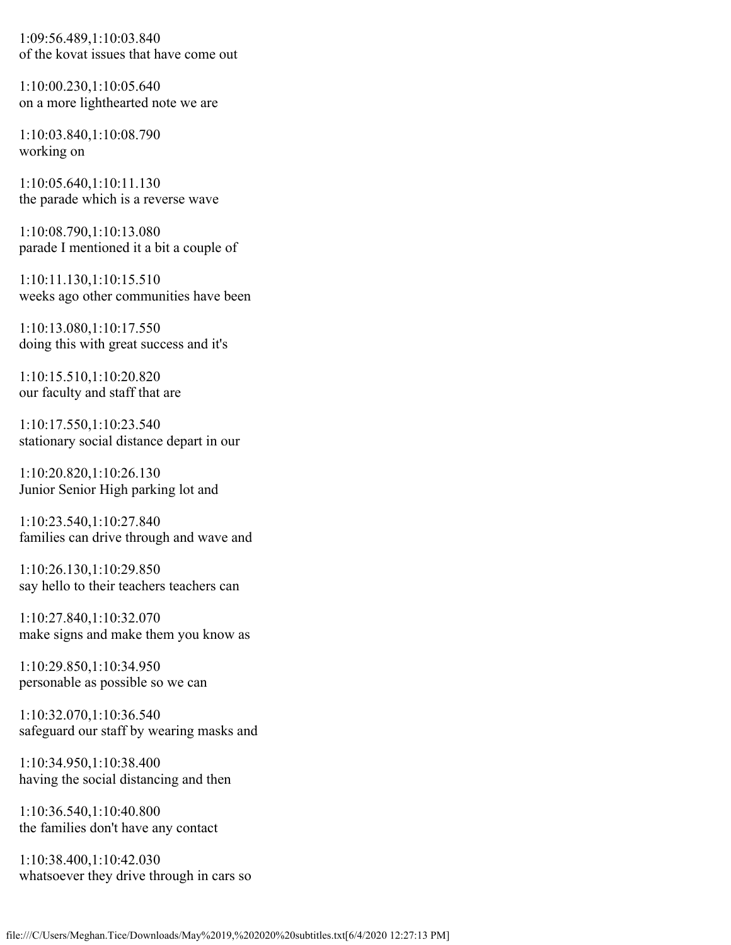1:09:56.489,1:10:03.840 of the kovat issues that have come out

1:10:00.230,1:10:05.640 on a more lighthearted note we are

1:10:03.840,1:10:08.790 working on

1:10:05.640,1:10:11.130 the parade which is a reverse wave

1:10:08.790,1:10:13.080 parade I mentioned it a bit a couple of

1:10:11.130,1:10:15.510 weeks ago other communities have been

1:10:13.080,1:10:17.550 doing this with great success and it's

1:10:15.510,1:10:20.820 our faculty and staff that are

1:10:17.550,1:10:23.540 stationary social distance depart in our

1:10:20.820,1:10:26.130 Junior Senior High parking lot and

1:10:23.540,1:10:27.840 families can drive through and wave and

1:10:26.130,1:10:29.850 say hello to their teachers teachers can

1:10:27.840,1:10:32.070 make signs and make them you know as

1:10:29.850,1:10:34.950 personable as possible so we can

1:10:32.070,1:10:36.540 safeguard our staff by wearing masks and

1:10:34.950,1:10:38.400 having the social distancing and then

1:10:36.540,1:10:40.800 the families don't have any contact

1:10:38.400,1:10:42.030 whatsoever they drive through in cars so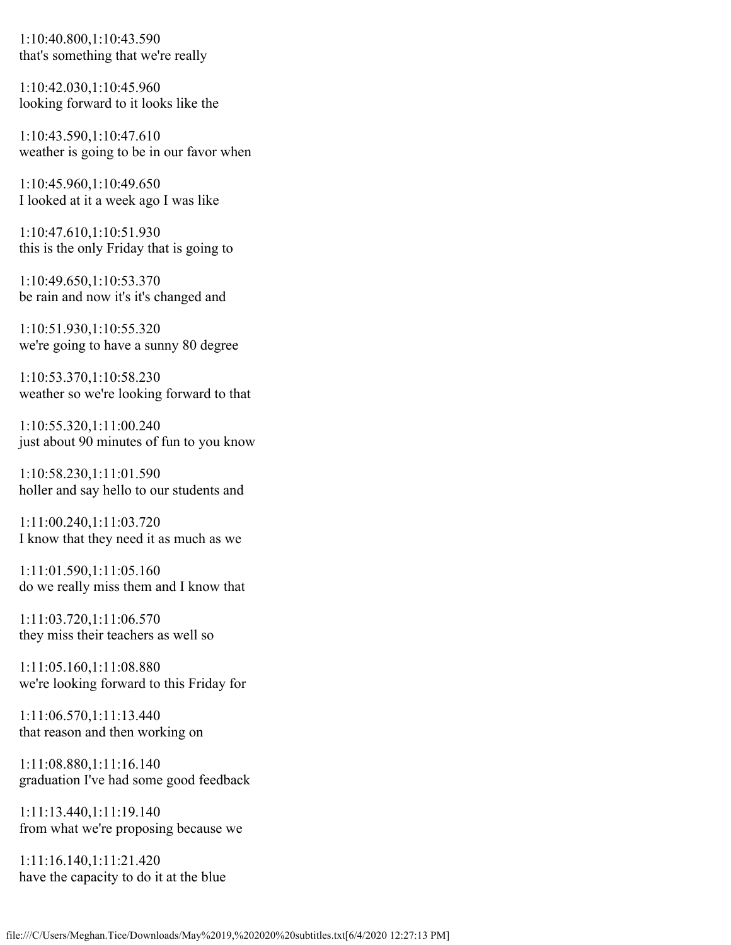1:10:40.800,1:10:43.590 that's something that we're really

1:10:42.030,1:10:45.960 looking forward to it looks like the

1:10:43.590,1:10:47.610 weather is going to be in our favor when

1:10:45.960,1:10:49.650 I looked at it a week ago I was like

1:10:47.610,1:10:51.930 this is the only Friday that is going to

1:10:49.650,1:10:53.370 be rain and now it's it's changed and

1:10:51.930,1:10:55.320 we're going to have a sunny 80 degree

1:10:53.370,1:10:58.230 weather so we're looking forward to that

1:10:55.320,1:11:00.240 just about 90 minutes of fun to you know

1:10:58.230,1:11:01.590 holler and say hello to our students and

1:11:00.240,1:11:03.720 I know that they need it as much as we

1:11:01.590,1:11:05.160 do we really miss them and I know that

1:11:03.720,1:11:06.570 they miss their teachers as well so

1:11:05.160,1:11:08.880 we're looking forward to this Friday for

1:11:06.570,1:11:13.440 that reason and then working on

1:11:08.880,1:11:16.140 graduation I've had some good feedback

1:11:13.440,1:11:19.140 from what we're proposing because we

1:11:16.140,1:11:21.420 have the capacity to do it at the blue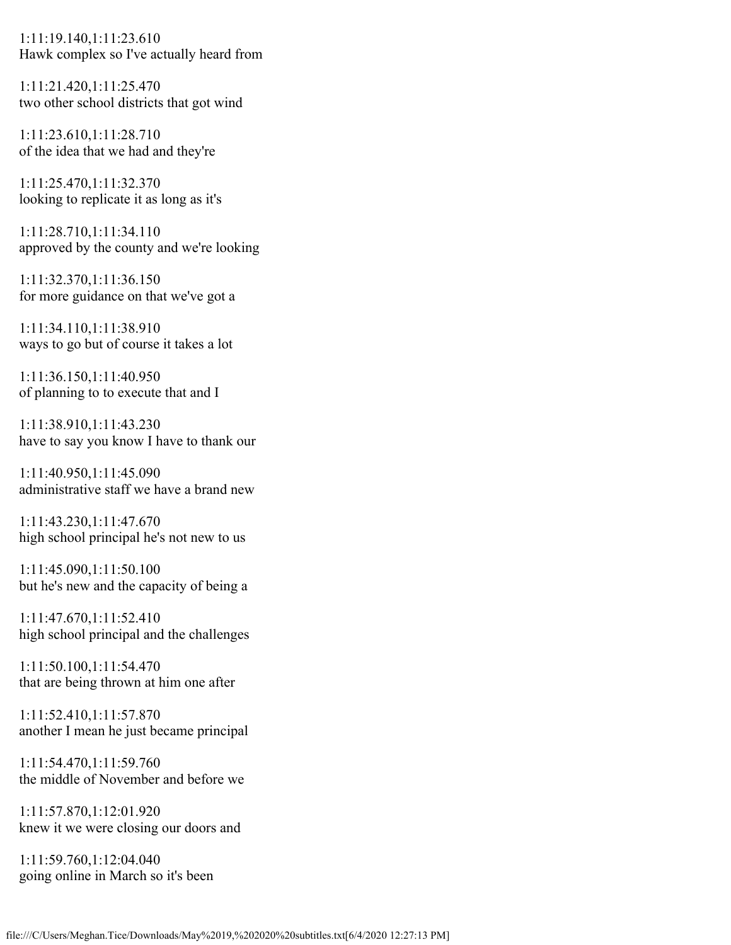1:11:19.140,1:11:23.610 Hawk complex so I've actually heard from

1:11:21.420,1:11:25.470 two other school districts that got wind

1:11:23.610,1:11:28.710 of the idea that we had and they're

1:11:25.470,1:11:32.370 looking to replicate it as long as it's

1:11:28.710,1:11:34.110 approved by the county and we're looking

1:11:32.370,1:11:36.150 for more guidance on that we've got a

1:11:34.110,1:11:38.910 ways to go but of course it takes a lot

1:11:36.150,1:11:40.950 of planning to to execute that and I

1:11:38.910,1:11:43.230 have to say you know I have to thank our

1:11:40.950,1:11:45.090 administrative staff we have a brand new

1:11:43.230,1:11:47.670 high school principal he's not new to us

1:11:45.090,1:11:50.100 but he's new and the capacity of being a

1:11:47.670,1:11:52.410 high school principal and the challenges

1:11:50.100,1:11:54.470 that are being thrown at him one after

1:11:52.410,1:11:57.870 another I mean he just became principal

1:11:54.470,1:11:59.760 the middle of November and before we

1:11:57.870,1:12:01.920 knew it we were closing our doors and

1:11:59.760,1:12:04.040 going online in March so it's been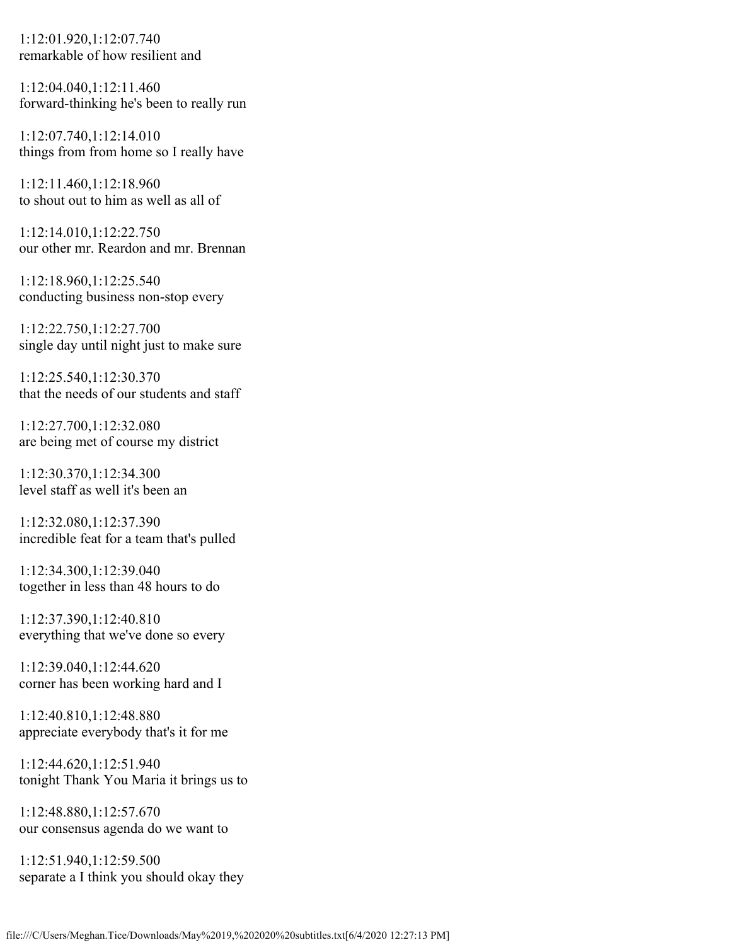1:12:01.920,1:12:07.740 remarkable of how resilient and

1:12:04.040,1:12:11.460 forward-thinking he's been to really run

1:12:07.740,1:12:14.010 things from from home so I really have

1:12:11.460,1:12:18.960 to shout out to him as well as all of

1:12:14.010,1:12:22.750 our other mr. Reardon and mr. Brennan

1:12:18.960,1:12:25.540 conducting business non-stop every

1:12:22.750,1:12:27.700 single day until night just to make sure

1:12:25.540,1:12:30.370 that the needs of our students and staff

1:12:27.700,1:12:32.080 are being met of course my district

1:12:30.370,1:12:34.300 level staff as well it's been an

1:12:32.080,1:12:37.390 incredible feat for a team that's pulled

1:12:34.300,1:12:39.040 together in less than 48 hours to do

1:12:37.390,1:12:40.810 everything that we've done so every

1:12:39.040,1:12:44.620 corner has been working hard and I

1:12:40.810,1:12:48.880 appreciate everybody that's it for me

1:12:44.620,1:12:51.940 tonight Thank You Maria it brings us to

1:12:48.880,1:12:57.670 our consensus agenda do we want to

1:12:51.940,1:12:59.500 separate a I think you should okay they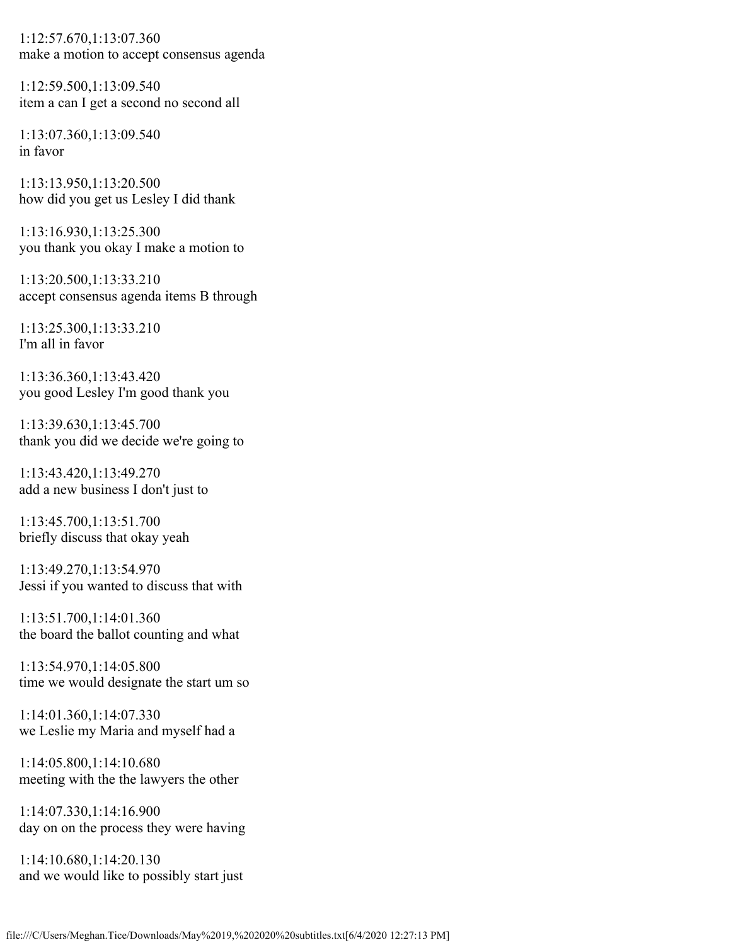1:12:57.670,1:13:07.360 make a motion to accept consensus agenda

1:12:59.500,1:13:09.540 item a can I get a second no second all

1:13:07.360,1:13:09.540 in favor

1:13:13.950,1:13:20.500 how did you get us Lesley I did thank

1:13:16.930,1:13:25.300 you thank you okay I make a motion to

1:13:20.500,1:13:33.210 accept consensus agenda items B through

1:13:25.300,1:13:33.210 I'm all in favor

1:13:36.360,1:13:43.420 you good Lesley I'm good thank you

1:13:39.630,1:13:45.700 thank you did we decide we're going to

1:13:43.420,1:13:49.270 add a new business I don't just to

1:13:45.700,1:13:51.700 briefly discuss that okay yeah

1:13:49.270,1:13:54.970 Jessi if you wanted to discuss that with

1:13:51.700,1:14:01.360 the board the ballot counting and what

1:13:54.970,1:14:05.800 time we would designate the start um so

1:14:01.360,1:14:07.330 we Leslie my Maria and myself had a

1:14:05.800,1:14:10.680 meeting with the the lawyers the other

1:14:07.330,1:14:16.900 day on on the process they were having

1:14:10.680,1:14:20.130 and we would like to possibly start just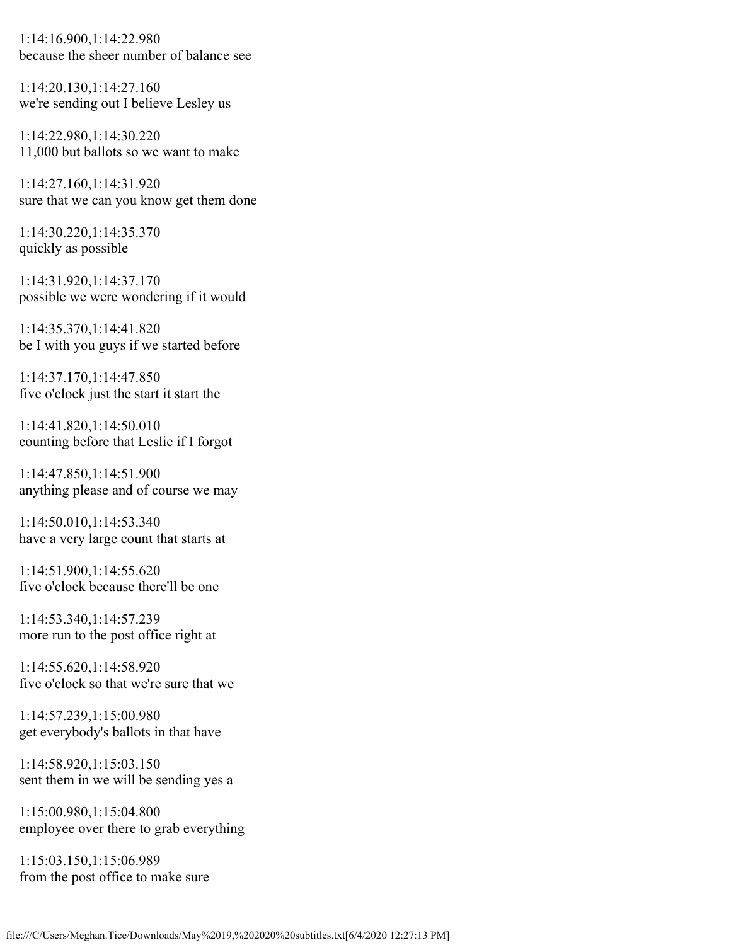1:14:16.900,1:14:22.980 because the sheer number of balance see

1:14:20.130,1:14:27.160 we're sending out I believe Lesley us

1:14:22.980,1:14:30.220 11,000 but ballots so we want to make

1:14:27.160,1:14:31.920 sure that we can you know get them done

1:14:30.220,1:14:35.370 quickly as possible

1:14:31.920,1:14:37.170 possible we were wondering if it would

1:14:35.370,1:14:41.820 be I with you guys if we started before

1:14:37.170,1:14:47.850 five o'clock just the start it start the

1:14:41.820,1:14:50.010 counting before that Leslie if I forgot

1:14:47.850,1:14:51.900 anything please and of course we may

1:14:50.010,1:14:53.340 have a very large count that starts at

1:14:51.900,1:14:55.620 five o'clock because there'll be one

1:14:53.340,1:14:57.239 more run to the post office right at

1:14:55.620,1:14:58.920 five o'clock so that we're sure that we

1:14:57.239,1:15:00.980 get everybody's ballots in that have

1:14:58.920,1:15:03.150 sent them in we will be sending yes a

1:15:00.980,1:15:04.800 employee over there to grab everything

1:15:03.150,1:15:06.989 from the post office to make sure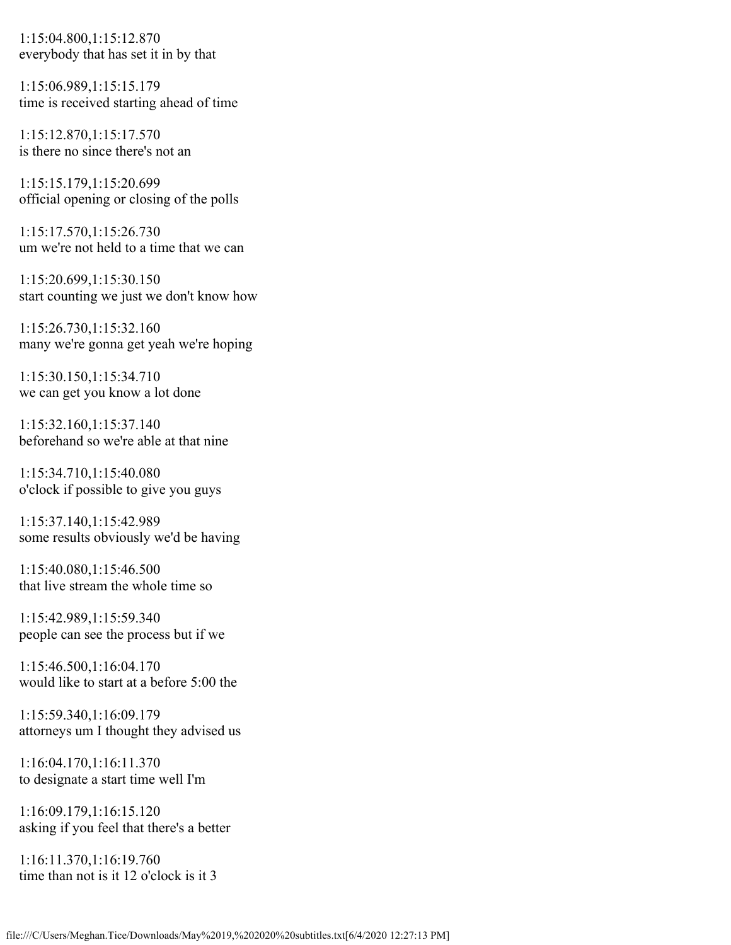1:15:04.800,1:15:12.870 everybody that has set it in by that

1:15:06.989,1:15:15.179 time is received starting ahead of time

1:15:12.870,1:15:17.570 is there no since there's not an

1:15:15.179,1:15:20.699 official opening or closing of the polls

1:15:17.570,1:15:26.730 um we're not held to a time that we can

1:15:20.699,1:15:30.150 start counting we just we don't know how

1:15:26.730,1:15:32.160 many we're gonna get yeah we're hoping

1:15:30.150,1:15:34.710 we can get you know a lot done

1:15:32.160,1:15:37.140 beforehand so we're able at that nine

1:15:34.710,1:15:40.080 o'clock if possible to give you guys

1:15:37.140,1:15:42.989 some results obviously we'd be having

1:15:40.080,1:15:46.500 that live stream the whole time so

1:15:42.989,1:15:59.340 people can see the process but if we

1:15:46.500,1:16:04.170 would like to start at a before 5:00 the

1:15:59.340,1:16:09.179 attorneys um I thought they advised us

1:16:04.170,1:16:11.370 to designate a start time well I'm

1:16:09.179,1:16:15.120 asking if you feel that there's a better

1:16:11.370,1:16:19.760 time than not is it 12 o'clock is it 3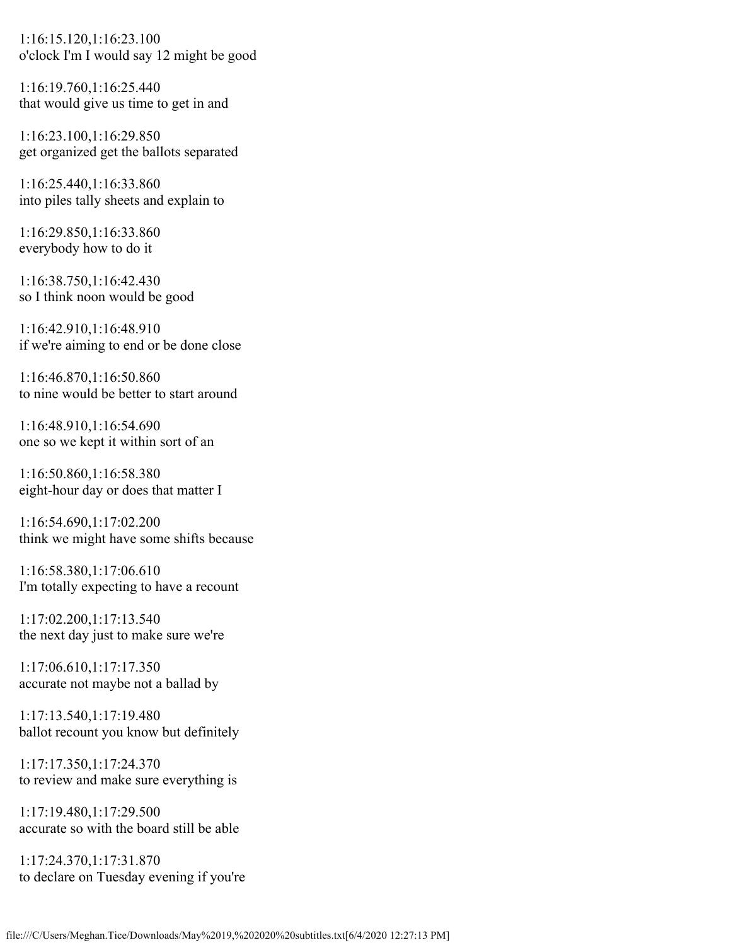1:16:15.120,1:16:23.100 o'clock I'm I would say 12 might be good

1:16:19.760,1:16:25.440 that would give us time to get in and

1:16:23.100,1:16:29.850 get organized get the ballots separated

1:16:25.440,1:16:33.860 into piles tally sheets and explain to

1:16:29.850,1:16:33.860 everybody how to do it

1:16:38.750,1:16:42.430 so I think noon would be good

1:16:42.910,1:16:48.910 if we're aiming to end or be done close

1:16:46.870,1:16:50.860 to nine would be better to start around

1:16:48.910,1:16:54.690 one so we kept it within sort of an

1:16:50.860,1:16:58.380 eight-hour day or does that matter I

1:16:54.690,1:17:02.200 think we might have some shifts because

1:16:58.380,1:17:06.610 I'm totally expecting to have a recount

1:17:02.200,1:17:13.540 the next day just to make sure we're

1:17:06.610,1:17:17.350 accurate not maybe not a ballad by

1:17:13.540,1:17:19.480 ballot recount you know but definitely

1:17:17.350,1:17:24.370 to review and make sure everything is

1:17:19.480,1:17:29.500 accurate so with the board still be able

1:17:24.370,1:17:31.870 to declare on Tuesday evening if you're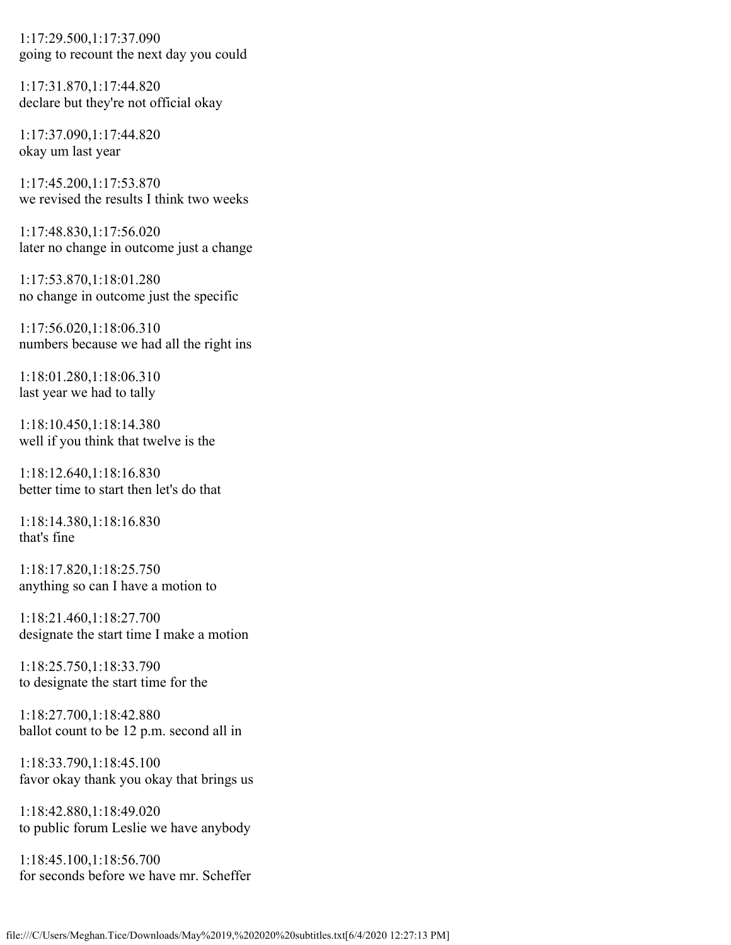1:17:29.500,1:17:37.090 going to recount the next day you could

1:17:31.870,1:17:44.820 declare but they're not official okay

1:17:37.090,1:17:44.820 okay um last year

1:17:45.200,1:17:53.870 we revised the results I think two weeks

1:17:48.830,1:17:56.020 later no change in outcome just a change

1:17:53.870,1:18:01.280 no change in outcome just the specific

1:17:56.020,1:18:06.310 numbers because we had all the right ins

1:18:01.280,1:18:06.310 last year we had to tally

1:18:10.450,1:18:14.380 well if you think that twelve is the

1:18:12.640,1:18:16.830 better time to start then let's do that

1:18:14.380,1:18:16.830 that's fine

1:18:17.820,1:18:25.750 anything so can I have a motion to

1:18:21.460,1:18:27.700 designate the start time I make a motion

1:18:25.750,1:18:33.790 to designate the start time for the

1:18:27.700,1:18:42.880 ballot count to be 12 p.m. second all in

1:18:33.790,1:18:45.100 favor okay thank you okay that brings us

1:18:42.880,1:18:49.020 to public forum Leslie we have anybody

1:18:45.100,1:18:56.700 for seconds before we have mr. Scheffer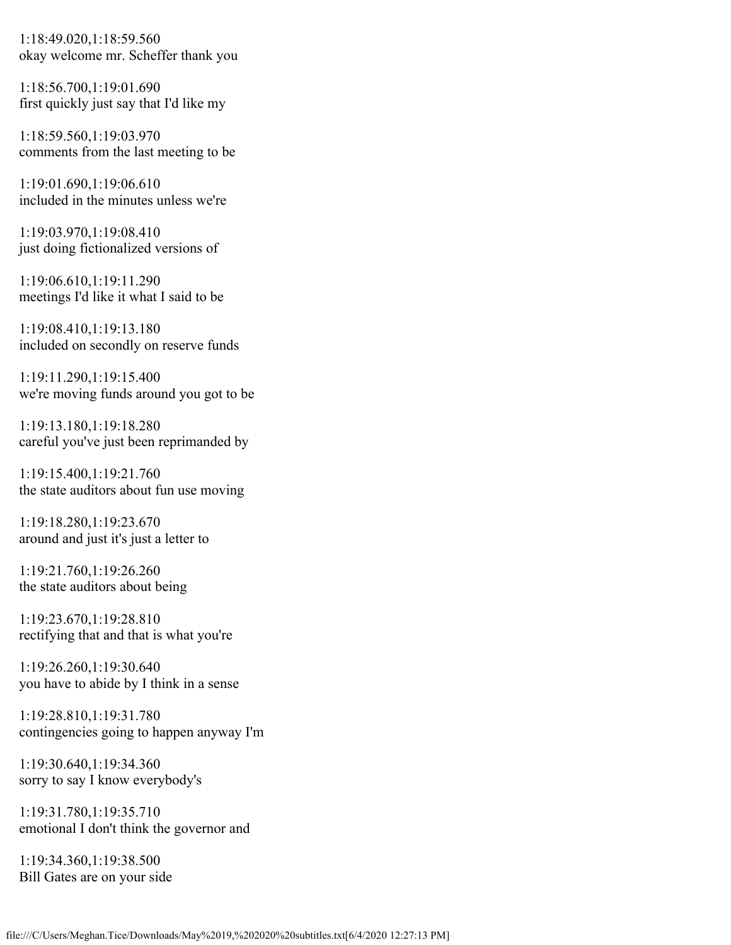1:18:49.020,1:18:59.560 okay welcome mr. Scheffer thank you

1:18:56.700,1:19:01.690 first quickly just say that I'd like my

1:18:59.560,1:19:03.970 comments from the last meeting to be

1:19:01.690,1:19:06.610 included in the minutes unless we're

1:19:03.970,1:19:08.410 just doing fictionalized versions of

1:19:06.610,1:19:11.290 meetings I'd like it what I said to be

1:19:08.410,1:19:13.180 included on secondly on reserve funds

1:19:11.290,1:19:15.400 we're moving funds around you got to be

1:19:13.180,1:19:18.280 careful you've just been reprimanded by

1:19:15.400,1:19:21.760 the state auditors about fun use moving

1:19:18.280,1:19:23.670 around and just it's just a letter to

1:19:21.760,1:19:26.260 the state auditors about being

1:19:23.670,1:19:28.810 rectifying that and that is what you're

1:19:26.260,1:19:30.640 you have to abide by I think in a sense

1:19:28.810,1:19:31.780 contingencies going to happen anyway I'm

1:19:30.640,1:19:34.360 sorry to say I know everybody's

1:19:31.780,1:19:35.710 emotional I don't think the governor and

1:19:34.360,1:19:38.500 Bill Gates are on your side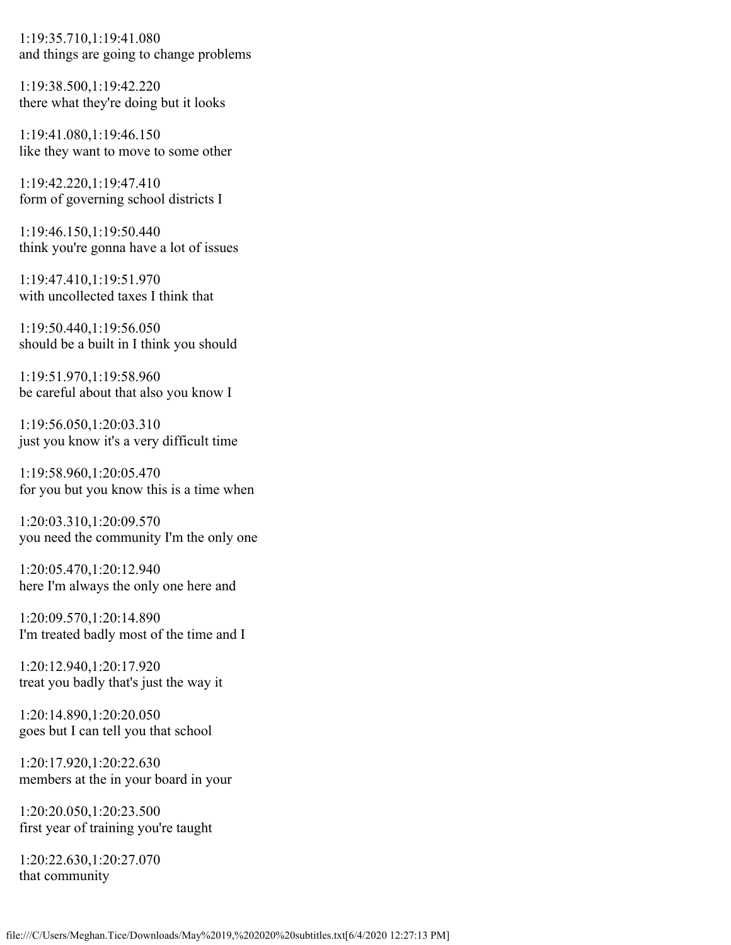1:19:35.710,1:19:41.080 and things are going to change problems

1:19:38.500,1:19:42.220 there what they're doing but it looks

1:19:41.080,1:19:46.150 like they want to move to some other

1:19:42.220,1:19:47.410 form of governing school districts I

1:19:46.150,1:19:50.440 think you're gonna have a lot of issues

1:19:47.410,1:19:51.970 with uncollected taxes I think that

1:19:50.440,1:19:56.050 should be a built in I think you should

1:19:51.970,1:19:58.960 be careful about that also you know I

1:19:56.050,1:20:03.310 just you know it's a very difficult time

1:19:58.960,1:20:05.470 for you but you know this is a time when

1:20:03.310,1:20:09.570 you need the community I'm the only one

1:20:05.470,1:20:12.940 here I'm always the only one here and

1:20:09.570,1:20:14.890 I'm treated badly most of the time and I

1:20:12.940,1:20:17.920 treat you badly that's just the way it

1:20:14.890,1:20:20.050 goes but I can tell you that school

1:20:17.920,1:20:22.630 members at the in your board in your

1:20:20.050,1:20:23.500 first year of training you're taught

1:20:22.630,1:20:27.070 that community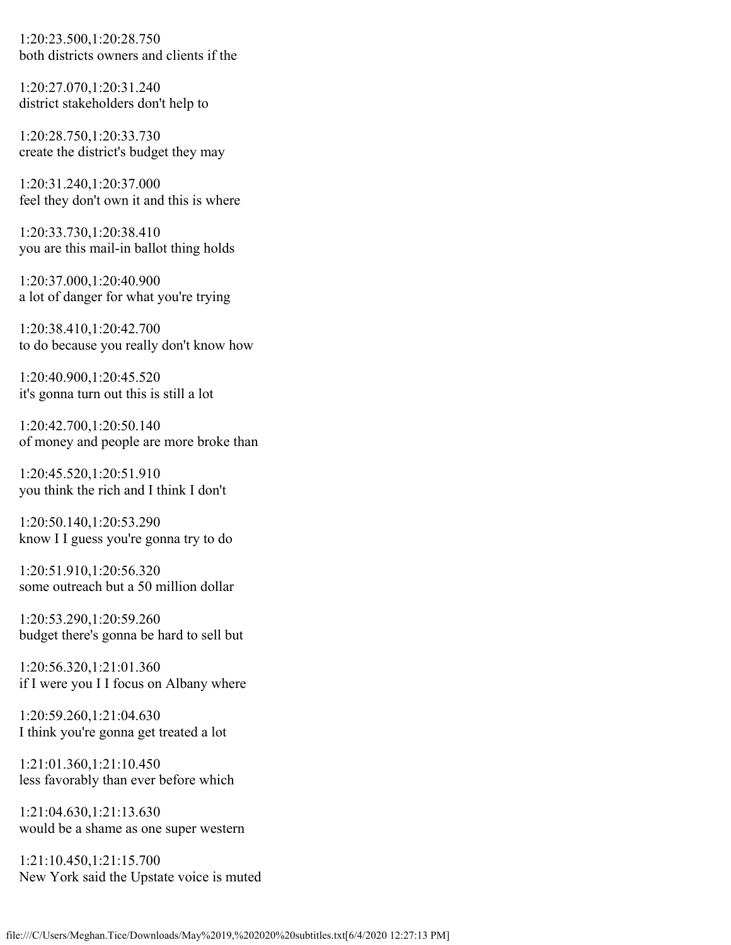1:20:23.500,1:20:28.750 both districts owners and clients if the

1:20:27.070,1:20:31.240 district stakeholders don't help to

1:20:28.750,1:20:33.730 create the district's budget they may

1:20:31.240,1:20:37.000 feel they don't own it and this is where

1:20:33.730,1:20:38.410 you are this mail-in ballot thing holds

1:20:37.000,1:20:40.900 a lot of danger for what you're trying

1:20:38.410,1:20:42.700 to do because you really don't know how

1:20:40.900,1:20:45.520 it's gonna turn out this is still a lot

1:20:42.700,1:20:50.140 of money and people are more broke than

1:20:45.520,1:20:51.910 you think the rich and I think I don't

1:20:50.140,1:20:53.290 know I I guess you're gonna try to do

1:20:51.910,1:20:56.320 some outreach but a 50 million dollar

1:20:53.290,1:20:59.260 budget there's gonna be hard to sell but

1:20:56.320,1:21:01.360 if I were you I I focus on Albany where

1:20:59.260,1:21:04.630 I think you're gonna get treated a lot

1:21:01.360,1:21:10.450 less favorably than ever before which

1:21:04.630,1:21:13.630 would be a shame as one super western

1:21:10.450,1:21:15.700 New York said the Upstate voice is muted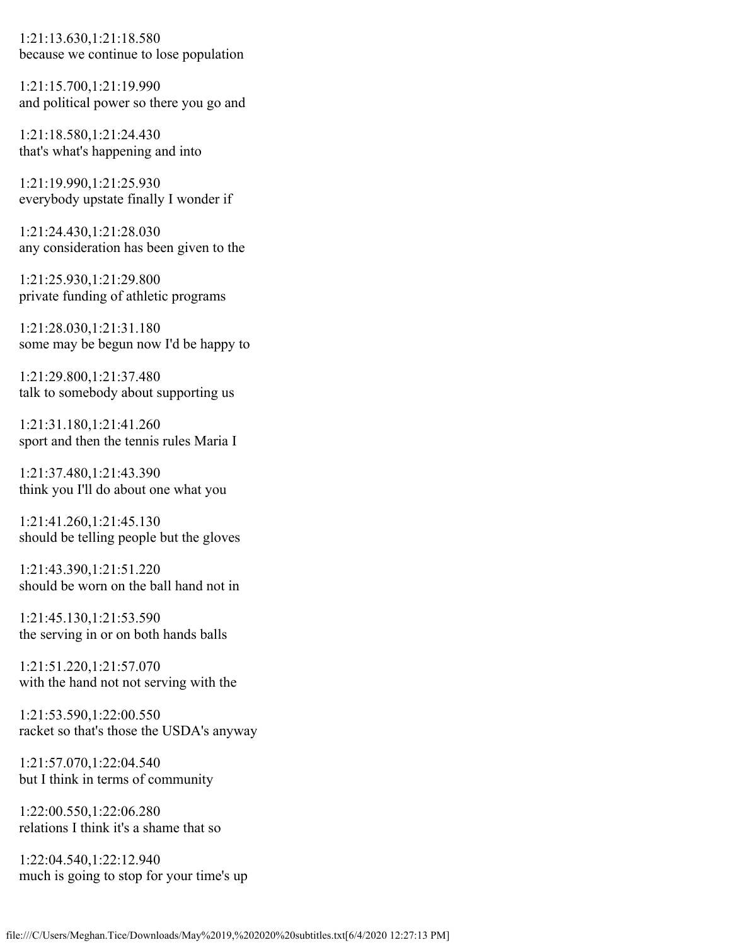1:21:13.630,1:21:18.580 because we continue to lose population

1:21:15.700,1:21:19.990 and political power so there you go and

1:21:18.580,1:21:24.430 that's what's happening and into

1:21:19.990,1:21:25.930 everybody upstate finally I wonder if

1:21:24.430,1:21:28.030 any consideration has been given to the

1:21:25.930,1:21:29.800 private funding of athletic programs

1:21:28.030,1:21:31.180 some may be begun now I'd be happy to

1:21:29.800,1:21:37.480 talk to somebody about supporting us

1:21:31.180,1:21:41.260 sport and then the tennis rules Maria I

1:21:37.480,1:21:43.390 think you I'll do about one what you

1:21:41.260,1:21:45.130 should be telling people but the gloves

1:21:43.390,1:21:51.220 should be worn on the ball hand not in

1:21:45.130,1:21:53.590 the serving in or on both hands balls

1:21:51.220,1:21:57.070 with the hand not not serving with the

1:21:53.590,1:22:00.550 racket so that's those the USDA's anyway

1:21:57.070,1:22:04.540 but I think in terms of community

1:22:00.550,1:22:06.280 relations I think it's a shame that so

1:22:04.540,1:22:12.940 much is going to stop for your time's up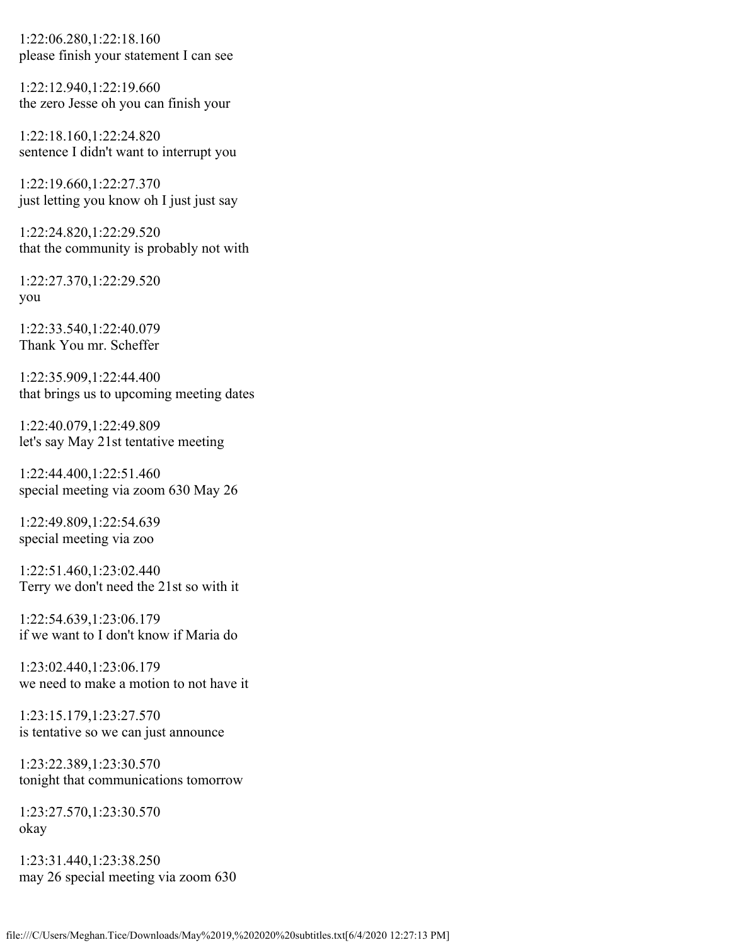1:22:06.280,1:22:18.160 please finish your statement I can see

1:22:12.940,1:22:19.660 the zero Jesse oh you can finish your

1:22:18.160,1:22:24.820 sentence I didn't want to interrupt you

1:22:19.660,1:22:27.370 just letting you know oh I just just say

1:22:24.820,1:22:29.520 that the community is probably not with

1:22:27.370,1:22:29.520 you

1:22:33.540,1:22:40.079 Thank You mr. Scheffer

1:22:35.909,1:22:44.400 that brings us to upcoming meeting dates

1:22:40.079,1:22:49.809 let's say May 21st tentative meeting

1:22:44.400,1:22:51.460 special meeting via zoom 630 May 26

1:22:49.809,1:22:54.639 special meeting via zoo

1:22:51.460,1:23:02.440 Terry we don't need the 21st so with it

1:22:54.639,1:23:06.179 if we want to I don't know if Maria do

1:23:02.440,1:23:06.179 we need to make a motion to not have it

1:23:15.179,1:23:27.570 is tentative so we can just announce

1:23:22.389,1:23:30.570 tonight that communications tomorrow

1:23:27.570,1:23:30.570 okay

1:23:31.440,1:23:38.250 may 26 special meeting via zoom 630